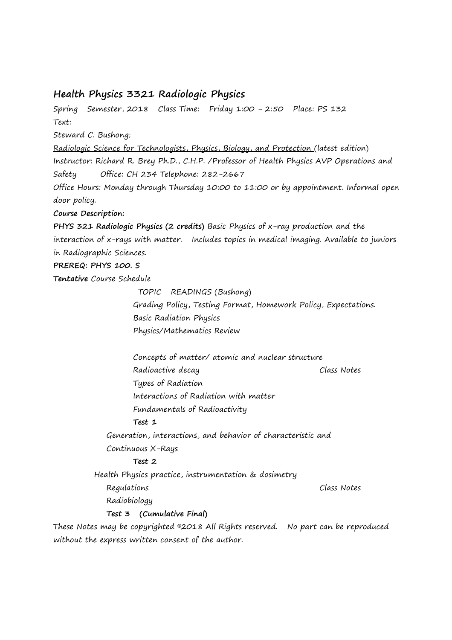# **Health Physics 3321 Radiologic Physics**

Spring Semester, 2018 Class Time: Friday 1:00 - 2:50 Place: PS 132 Text: Steward C. Bushong; Radiologic Science for Technologists, Physics, Biology, and Protection (latest edition) Instructor: Richard R. Brey Ph.D., C.H.P. /Professor of Health Physics AVP Operations and Safety Office: CH 234 Telephone: 282-2667 Office Hours: Monday through Thursday 10:00 to 11:00 or by appointment. Informal open door policy. **Course Description: PHYS 321 Radiologic Physics (2 credits)** Basic Physics of x-ray production and the interaction of x-rays with matter. Includes topics in medical imaging. Available to juniors in Radiographic Sciences. **PREREQ: PHYS 100. S Tentative** Course Schedule TOPIC READINGS (Bushong) Grading Policy, Testing Format, Homework Policy, Expectations. Basic Radiation Physics Physics/Mathematics Review Concepts of matter/ atomic and nuclear structure Radioactive decay Class Notes Types of Radiation Interactions of Radiation with matter Fundamentals of Radioactivity **Test 1** Generation, interactions, and behavior of characteristic and Continuous X-Rays **Test 2**  Health Physics practice, instrumentation & dosimetry Regulations Class Notes Radiobiology **Test 3 (Cumulative Final)** These Notes may be copyrighted ©2018 All Rights reserved. No part can be reproduced without the express written consent of the author.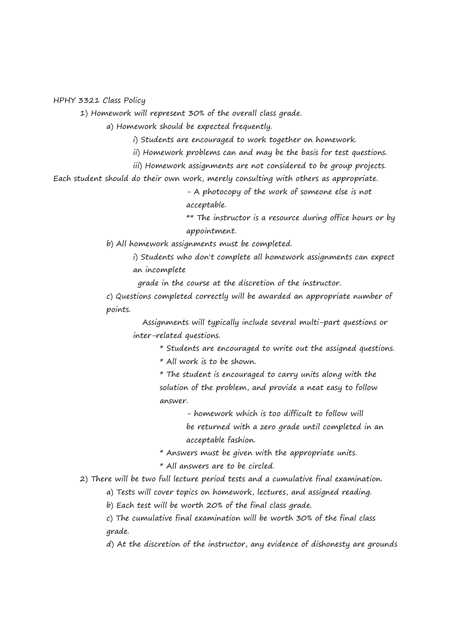HPHY 3321 Class Policy

1) Homework will represent 30% of the overall class grade.

a) Homework should be expected frequently.

i) Students are encouraged to work together on homework.

ii) Homework problems can and may be the basis for test questions.

iii) Homework assignments are not considered to be group projects.

Each student should do their own work, merely consulting with others as appropriate.

- A photocopy of the work of someone else is not acceptable.

\*\* The instructor is a resource during office hours or by appointment.

b) All homework assignments must be completed.

i) Students who don't complete all homework assignments can expect an incomplete

grade in the course at the discretion of the instructor.

c) Questions completed correctly will be awarded an appropriate number of points.

 Assignments will typically include several multi-part questions or inter-related questions.

\* Students are encouraged to write out the assigned questions.

\* All work is to be shown.

\* The student is encouraged to carry units along with the solution of the problem, and provide a neat easy to follow answer.

- homework which is too difficult to follow will

be returned with a zero grade until completed in an acceptable fashion.

\* Answers must be given with the appropriate units.

\* All answers are to be circled.

2) There will be two full lecture period tests and a cumulative final examination.

a) Tests will cover topics on homework, lectures, and assigned reading.

b) Each test will be worth 20% of the final class grade.

c) The cumulative final examination will be worth 30% of the final class grade.

d) At the discretion of the instructor, any evidence of dishonesty are grounds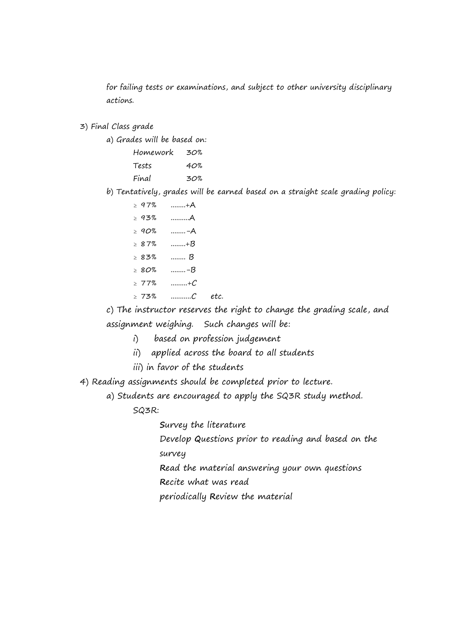for failing tests or examinations, and subject to other university disciplinary actions.

3) Final Class grade

a) Grades will be based on:

| Homework | 30% |
|----------|-----|
| Tests    | 40% |
| Final    | 30% |

b) Tentatively, grades will be earned based on a straight scale grading policy:

| $\geq 97\%$ | +A |
|-------------|----|
| > 93%       | A  |
| $\geq 90\%$ | –A |
| >87%        | +B |
| $>83\%$     | B  |
| $\ge$ 80%   | -B |
| $\geq 77\%$ | +C |
|             |    |

 $\geq 73\%$  .............. $C$  etc.

c) The instructor reserves the right to change the grading scale, and assignment weighing. Such changes will be:

i) based on profession judgement

- ii) applied across the board to all students
- iii) in favor of the students

4) Reading assignments should be completed prior to lecture.

a) Students are encouraged to apply the SQ3R study method.

SQ3R:

**S**urvey the literature

Develop **Q**uestions prior to reading and based on the survey

**R**ead the material answering your own questions

**R**ecite what was read

periodically **R**eview the material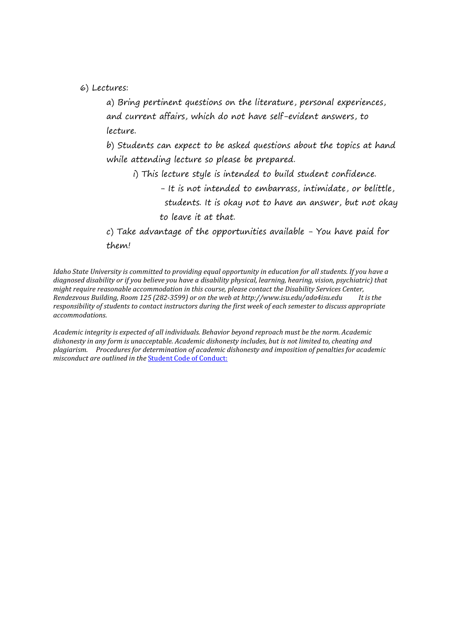6) Lectures:

a) Bring pertinent questions on the literature, personal experiences, and current affairs, which do not have self-evident answers, to lecture.

b) Students can expect to be asked questions about the topics at hand while attending lecture so please be prepared.

- i) This lecture style is intended to build student confidence.
	- It is not intended to embarrass, intimidate, or belittle, students. It is okay not to have an answer, but not okay to leave it at that.

c) Take advantage of the opportunities available - You have paid for them!

*Idaho State University is committed to providing equal opportunity in education for all students. If you have a diagnosed disability or if you believe you have a disability physical, learning, hearing, vision, psychiatric) that might require reasonable accommodation in this course, please contact the Disability Services Center, Rendezvous Building, Room 125 (282-3599) or on the web at http://www.isu.edu/ada4isu.edu It is the responsibility of students to contact instructors during the first week of each semester to discuss appropriate accommodations.* 

*Academic integrity is expected of all individuals. Behavior beyond reproach must be the norm. Academic dishonesty in any form is unacceptable. Academic dishonesty includes, but is not limited to, cheating and plagiarism. Procedures for determination of academic dishonesty and imposition of penalties for academic misconduct are outlined in the* Student Code of Conduct: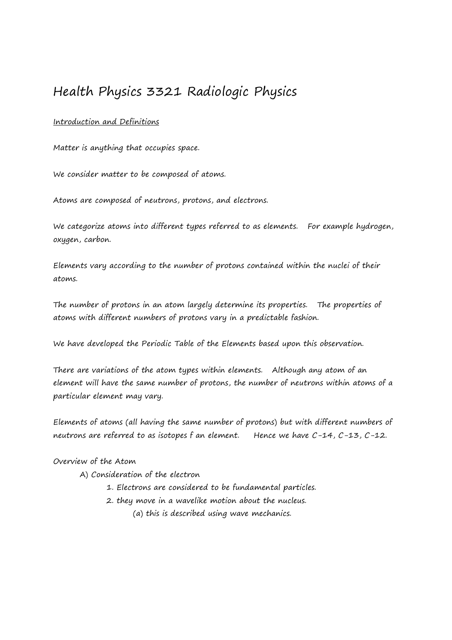# Health Physics 3321 Radiologic Physics

## Introduction and Definitions

Matter is anything that occupies space.

We consider matter to be composed of atoms.

Atoms are composed of neutrons, protons, and electrons.

We categorize atoms into different types referred to as elements. For example hydrogen, oxygen, carbon.

Elements vary according to the number of protons contained within the nuclei of their atoms.

The number of protons in an atom largely determine its properties. The properties of atoms with different numbers of protons vary in a predictable fashion.

We have developed the Periodic Table of the Elements based upon this observation.

There are variations of the atom types within elements. Although any atom of an element will have the same number of protons, the number of neutrons within atoms of a particular element may vary.

Elements of atoms (all having the same number of protons) but with different numbers of neutrons are referred to as isotopes f an element. Hence we have C-14, C-13, C-12.

## Overview of the Atom

- A) Consideration of the electron
	- 1. Electrons are considered to be fundamental particles.
	- 2. they move in a wavelike motion about the nucleus.
		- (a) this is described using wave mechanics.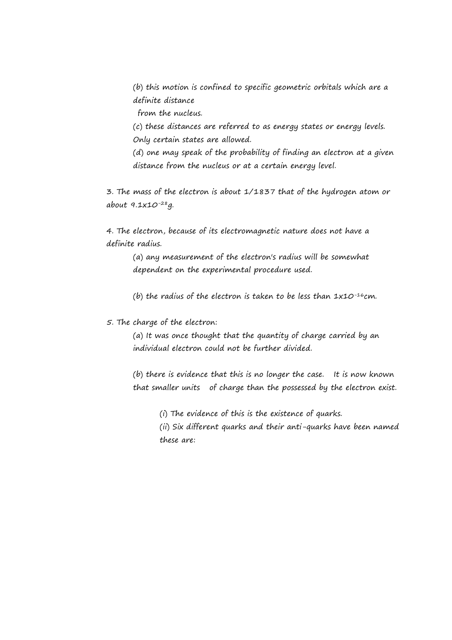(b) this motion is confined to specific geometric orbitals which are a definite distance

from the nucleus.

(c) these distances are referred to as energy states or energy levels. Only certain states are allowed.

(d) one may speak of the probability of finding an electron at a given distance from the nucleus or at a certain energy level.

3. The mass of the electron is about 1/1837 that of the hydrogen atom or about 9.1x10-28g.

4. The electron, because of its electromagnetic nature does not have a definite radius.

(a) any measurement of the electron's radius will be somewhat dependent on the experimental procedure used.

(b) the radius of the electron is taken to be less than  $1x10^{-16}cm$ .

5. The charge of the electron:

(a) It was once thought that the quantity of charge carried by an individual electron could not be further divided.

(b) there is evidence that this is no longer the case. It is now known that smaller units of charge than the possessed by the electron exist.

(i) The evidence of this is the existence of quarks.

(ii) Six different quarks and their anti-quarks have been named these are: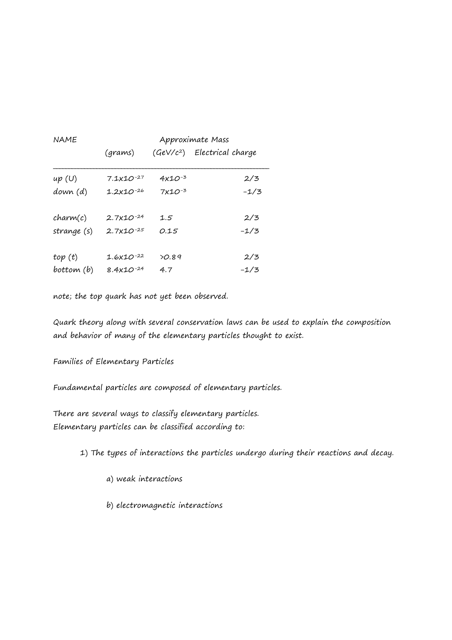| <b>NAME</b> | Approximate Mass      |                    |                              |
|-------------|-----------------------|--------------------|------------------------------|
|             | (grams)               |                    | $(GeV/c2)$ Electrical charge |
| up(U)       | $7.1 \times 10^{-27}$ | 4x1O <sup>-3</sup> | 2/3                          |
| down (d)    | $1.2x10^{-26}$        | $7x10^{-3}$        | $-1/3$                       |
| charm(c)    | $2.7x10^{-24}$        | 1.5                | 2/3                          |
| strange (s) | $2.7x10^{-25}$        | 0.15               | $-1/3$                       |
| top(t)      | $1.6x10^{-22}$        | 20.89              | 2/3                          |
| bottom (b)  | $8.4x10^{-24}$        | 4.7                | $-1/3$                       |

note; the top quark has not yet been observed.

Quark theory along with several conservation laws can be used to explain the composition and behavior of many of the elementary particles thought to exist.

Families of Elementary Particles

Fundamental particles are composed of elementary particles.

There are several ways to classify elementary particles. Elementary particles can be classified according to:

1) The types of interactions the particles undergo during their reactions and decay.

a) weak interactions

b) electromagnetic interactions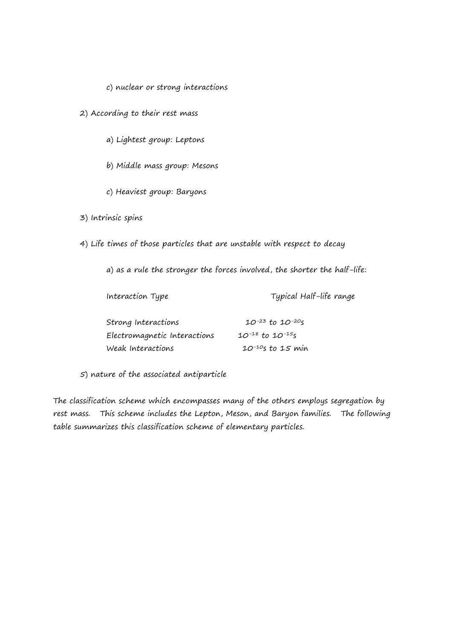#### c) nuclear or strong interactions

2) According to their rest mass

a) Lightest group: Leptons

b) Middle mass group: Mesons

c) Heaviest group: Baryons

3) Intrinsic spins

4) Life times of those particles that are unstable with respect to decay

a) as a rule the stronger the forces involved, the shorter the half-life:

| Interaction Type             | Typical Half-life range    |
|------------------------------|----------------------------|
|                              |                            |
| Strong Interactions          | $10^{-23}$ to $10^{-20}$ s |
| Electromagnetic Interactions | $10^{-18}$ to $10^{-15}$ s |
| Weak Interactions            | $10^{-10}$ s to 15 min     |

5) nature of the associated antiparticle

The classification scheme which encompasses many of the others employs segregation by rest mass. This scheme includes the Lepton, Meson, and Baryon families. The following table summarizes this classification scheme of elementary particles.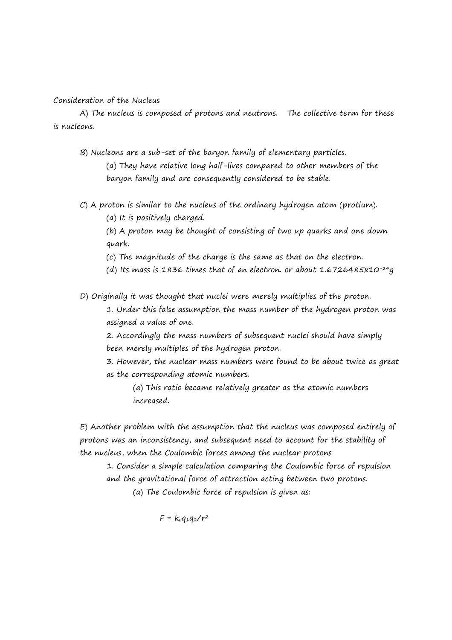#### Consideration of the Nucleus

A) The nucleus is composed of protons and neutrons. The collective term for these is nucleons.

B) Nucleons are a sub-set of the baryon family of elementary particles.

(a) They have relative long half-lives compared to other members of the baryon family and are consequently considered to be stable.

C) A proton is similar to the nucleus of the ordinary hydrogen atom (protium).

(a) It is positively charged.

(b) A proton may be thought of consisting of two up quarks and one down quark.

(c) The magnitude of the charge is the same as that on the electron.

(d) Its mass is 1836 times that of an electron. or about 1.6726485x10<sup>-24</sup>g

D) Originally it was thought that nuclei were merely multiplies of the proton.

1. Under this false assumption the mass number of the hydrogen proton was assigned a value of one.

2. Accordingly the mass numbers of subsequent nuclei should have simply been merely multiples of the hydrogen proton.

3. However, the nuclear mass numbers were found to be about twice as great as the corresponding atomic numbers.

(a) This ratio became relatively greater as the atomic numbers increased.

E) Another problem with the assumption that the nucleus was composed entirely of protons was an inconsistency, and subsequent need to account for the stability of the nucleus, when the Coulombic forces among the nuclear protons

1. Consider a simple calculation comparing the Coulombic force of repulsion and the gravitational force of attraction acting between two protons. (a) The Coulombic force of repulsion is given as:

 $F = k_0 q_1 q_2 / r^2$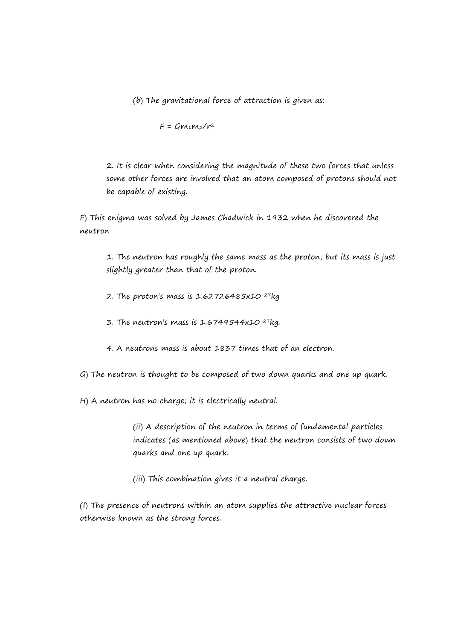(b) The gravitational force of attraction is given as:

 $F = Gm_1m_2/r^2$ 

2. It is clear when considering the magnitude of these two forces that unless some other forces are involved that an atom composed of protons should not be capable of existing.

F) This enigma was solved by James Chadwick in 1932 when he discovered the neutron

1. The neutron has roughly the same mass as the proton, but its mass is just slightly greater than that of the proton.

- 2. The proton's mass is 1.62726485x10-27kg
- 3. The neutron's mass is  $1.6749544x10^{-27}kg$ .
- 4. A neutrons mass is about 1837 times that of an electron.

G) The neutron is thought to be composed of two down quarks and one up quark.

H) A neutron has no charge; it is electrically neutral.

(ii) A description of the neutron in terms of fundamental particles indicates (as mentioned above) that the neutron consists of two down quarks and one up quark.

(iii) This combination gives it a neutral charge.

(I) The presence of neutrons within an atom supplies the attractive nuclear forces otherwise known as the strong forces.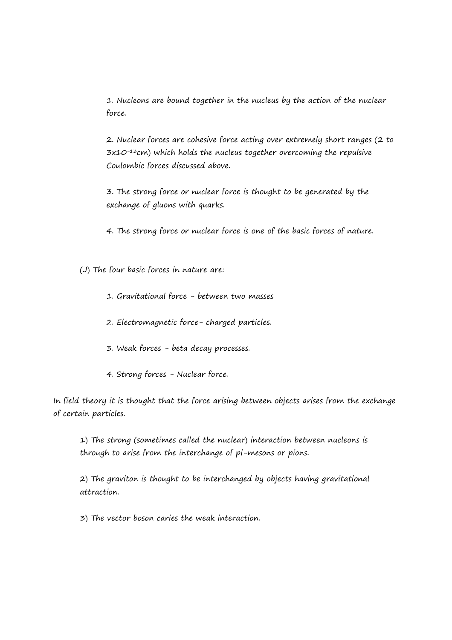1. Nucleons are bound together in the nucleus by the action of the nuclear force.

2. Nuclear forces are cohesive force acting over extremely short ranges (2 to  $3x10^{-13}$ cm) which holds the nucleus together overcoming the repulsive Coulombic forces discussed above.

3. The strong force or nuclear force is thought to be generated by the exchange of gluons with quarks.

4. The strong force or nuclear force is one of the basic forces of nature.

(J) The four basic forces in nature are:

- 1. Gravitational force between two masses
- 2. Electromagnetic force- charged particles.
- 3. Weak forces beta decay processes.
- 4. Strong forces Nuclear force.

In field theory it is thought that the force arising between objects arises from the exchange of certain particles.

1) The strong (sometimes called the nuclear) interaction between nucleons is through to arise from the interchange of pi-mesons or pions.

2) The graviton is thought to be interchanged by objects having gravitational attraction.

3) The vector boson caries the weak interaction.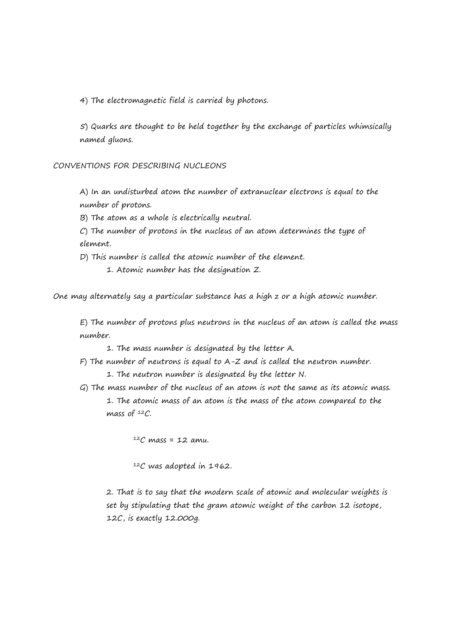4) The electromagnetic field is carried by photons.

5) Quarks are thought to be held together by the exchange of particles whimsically named gluons.

CONVENTIONS FOR DESCRIBING NUCLEONS

A) In an undisturbed atom the number of extranuclear electrons is equal to the number of protons.

B) The atom as a whole is electrically neutral.

C) The number of protons in the nucleus of an atom determines the type of element.

D) This number is called the atomic number of the element.

1. Atomic number has the designation Z.

One may alternately say a particular substance has a high z or a high atomic number.

E) The number of protons plus neutrons in the nucleus of an atom is called the mass number.

1. The mass number is designated by the letter A.

- F) The number of neutrons is equal to A-Z and is called the neutron number.
	- 1. The neutron number is designated by the letter N.
- G) The mass number of the nucleus of an atom is not the same as its atomic mass. 1. The atomic mass of an atom is the mass of the atom compared to the mass of  $12C$ .

 $12C$  mass = 12 amu.

<sup>12</sup>C was adopted in 1962.

2. That is to say that the modern scale of atomic and molecular weights is set by stipulating that the gram atomic weight of the carbon 12 isotope, 12C, is exactly 12.000g.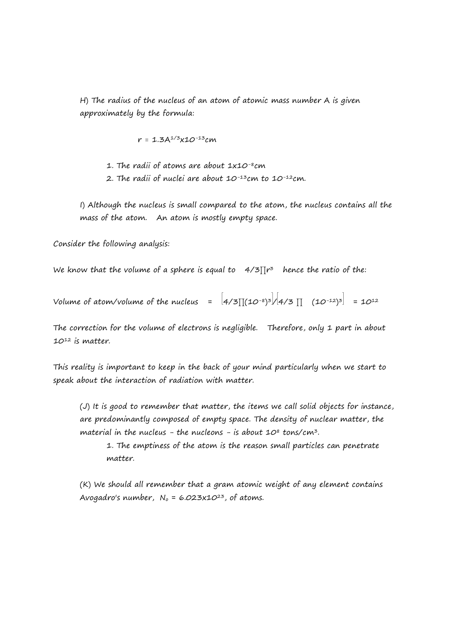H) The radius of the nucleus of an atom of atomic mass number A is given approximately by the formula:

 $r = 1.3A^{1/3}x10^{-13}cm$ 

- 1. The radii of atoms are about 1x10<sup>-8</sup>cm
- 2. The radii of nuclei are about  $10^{-13}$ cm to  $10^{-12}$ cm.

I) Although the nucleus is small compared to the atom, the nucleus contains all the mass of the atom. An atom is mostly empty space.

Consider the following analysis:

We know that the volume of a sphere is equal to  $4/3$   $\prod$ r $^3$  hence the ratio of the:

Volume of atom/volume of the nucleus  $\qquad = \ \frac{1}{4}{5}[(10^{-8})^3]/[4/3] \ \top \ \ (10^{-12})^3 \ = \ 10^{12}$ 

The correction for the volume of electrons is negligible. Therefore, only 1 part in about 10<sup>12</sup> is matter.

This reality is important to keep in the back of your mind particularly when we start to speak about the interaction of radiation with matter.

(J) It is good to remember that matter, the items we call solid objects for instance, are predominantly composed of empty space. The density of nuclear matter, the material in the nucleus - the nucleons - is about  $10^8$  tons/cm<sup>3</sup>.

1. The emptiness of the atom is the reason small particles can penetrate matter.

(K) We should all remember that a gram atomic weight of any element contains Avogadro's number,  $N_0 = 6.023 \times 10^{23}$ , of atoms.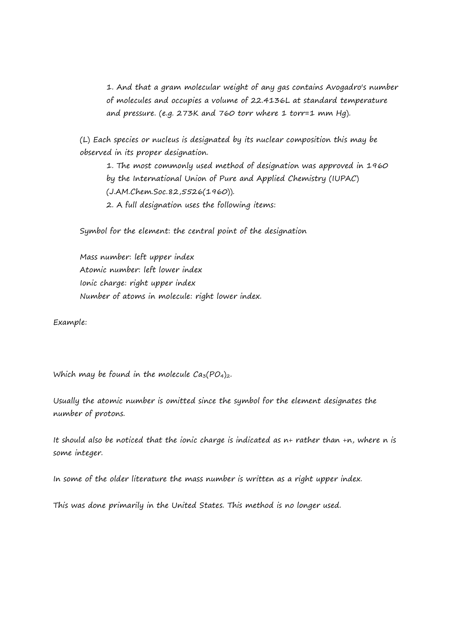1. And that a gram molecular weight of any gas contains Avogadro's number of molecules and occupies a volume of 22.4136L at standard temperature and pressure. (e.g. 273K and 760 torr where 1 torr=1 mm Hg).

(L) Each species or nucleus is designated by its nuclear composition this may be observed in its proper designation.

1. The most commonly used method of designation was approved in 1960 by the International Union of Pure and Applied Chemistry (IUPAC) (J.AM.Chem.Soc.82,5526(1960)). 2. A full designation uses the following items:

Symbol for the element: the central point of the designation

Mass number: left upper index Atomic number: left lower index Ionic charge: right upper index Number of atoms in molecule: right lower index.

Example:

Which may be found in the molecule  $Ca<sub>3</sub>(PO<sub>4</sub>)<sub>2</sub>$ .

Usually the atomic number is omitted since the symbol for the element designates the number of protons.

It should also be noticed that the ionic charge is indicated as n+ rather than +n, where n is some integer.

In some of the older literature the mass number is written as a right upper index.

This was done primarily in the United States. This method is no longer used.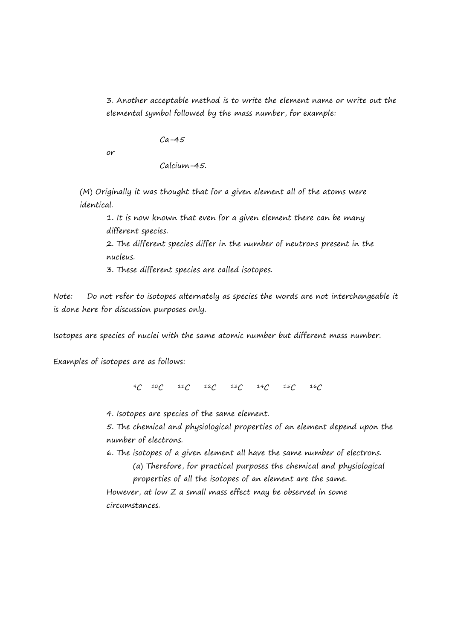3. Another acceptable method is to write the element name or write out the elemental symbol followed by the mass number, for example:

 $Ca-45$ 

or

Calcium-45.

(M) Originally it was thought that for a given element all of the atoms were identical.

1. It is now known that even for a given element there can be many different species.

2. The different species differ in the number of neutrons present in the nucleus.

3. These different species are called isotopes.

Note: Do not refer to isotopes alternately as species the words are not interchangeable it is done here for discussion purposes only.

Isotopes are species of nuclei with the same atomic number but different mass number.

Examples of isotopes are as follows:

<sup>9</sup>C <sup>10</sup>C <sup>11</sup>C <sup>12</sup>C <sup>13</sup>C <sup>14</sup>C <sup>15</sup>C <sup>16</sup>C

4. Isotopes are species of the same element.

5. The chemical and physiological properties of an element depend upon the number of electrons.

6. The isotopes of a given element all have the same number of electrons.

(a) Therefore, for practical purposes the chemical and physiological

properties of all the isotopes of an element are the same. However, at low Z a small mass effect may be observed in some circumstances.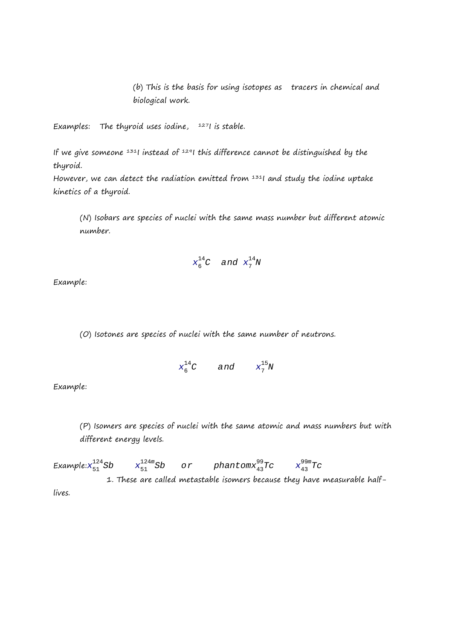(b) This is the basis for using isotopes as tracers in chemical and biological work.

Examples: The thyroid uses iodine,  $1271$  is stable.

If we give someone  $131$  instead of  $1291$  this difference cannot be distinguished by the thyroid.

However, we can detect the radiation emitted from  $1311$  and study the iodine uptake kinetics of a thyroid.

(N) Isobars are species of nuclei with the same mass number but different atomic number.

$$
x_6^{14}C \quad \text{and} \quad x_7^{14}N
$$

Example:

(O) Isotones are species of nuclei with the same number of neutrons.

$$
x_6^{14}C \qquad \text{and} \qquad x_7^{15}N
$$

Example:

(P) Isomers are species of nuclei with the same atomic and mass numbers but with different energy levels.

Example: $x_{51}^{124}$ Sb x  $\frac{124m}{51}Sb$  or phantom $\frac{99}{43}Tc$   $\frac{99m}{43}Tc$ 1. These are called metastable isomers because they have measurable halflives.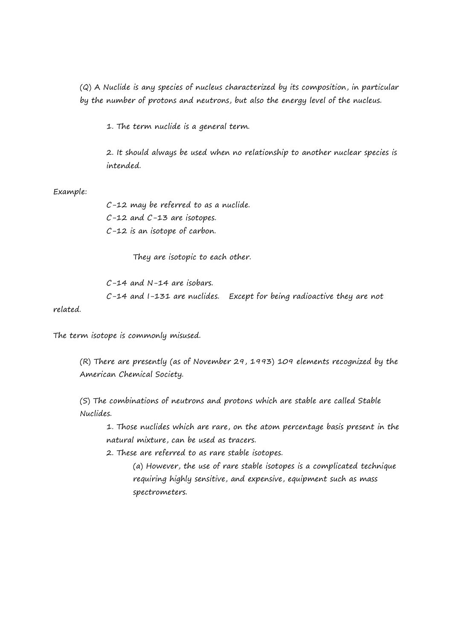(Q) A Nuclide is any species of nucleus characterized by its composition, in particular by the number of protons and neutrons, but also the energy level of the nucleus.

1. The term nuclide is a general term.

2. It should always be used when no relationship to another nuclear species is intended.

#### Example:

C-12 may be referred to as a nuclide. C-12 and C-13 are isotopes. C-12 is an isotope of carbon.

They are isotopic to each other.

C-14 and N-14 are isobars.  $C-14$  and  $I-131$  are nuclides. Except for being radioactive they are not

related.

The term isotope is commonly misused.

(R) There are presently (as of November 29, 1993) 109 elements recognized by the American Chemical Society.

(S) The combinations of neutrons and protons which are stable are called Stable Nuclides.

1. Those nuclides which are rare, on the atom percentage basis present in the natural mixture, can be used as tracers.

2. These are referred to as rare stable isotopes.

(a) However, the use of rare stable isotopes is a complicated technique requiring highly sensitive, and expensive, equipment such as mass spectrometers.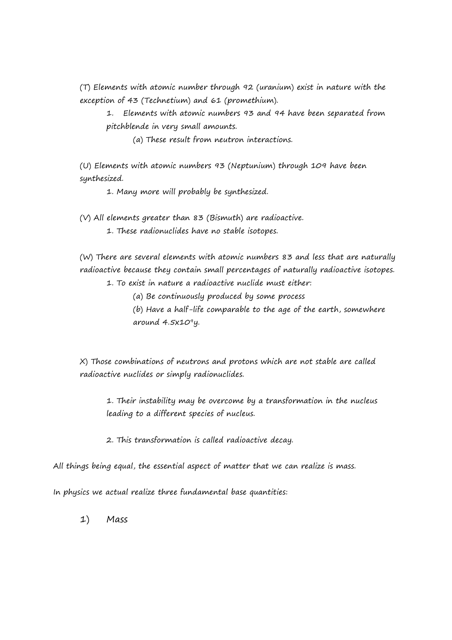(T) Elements with atomic number through 92 (uranium) exist in nature with the exception of 43 (Technetium) and 61 (promethium).

1. Elements with atomic numbers 93 and 94 have been separated from pitchblende in very small amounts.

(a) These result from neutron interactions.

(U) Elements with atomic numbers 93 (Neptunium) through 109 have been synthesized.

1. Many more will probably be synthesized.

(V) All elements greater than 83 (Bismuth) are radioactive.

1. These radionuclides have no stable isotopes.

(W) There are several elements with atomic numbers 83 and less that are naturally radioactive because they contain small percentages of naturally radioactive isotopes.

1. To exist in nature a radioactive nuclide must either:

(a) Be continuously produced by some process

(b) Have a half-life comparable to the age of the earth, somewhere around  $4.5x10<sup>9</sup>y$ .

X) Those combinations of neutrons and protons which are not stable are called radioactive nuclides or simply radionuclides.

1. Their instability may be overcome by a transformation in the nucleus leading to a different species of nucleus.

2. This transformation is called radioactive decay.

All things being equal, the essential aspect of matter that we can realize is mass.

In physics we actual realize three fundamental base quantities:

1) Mass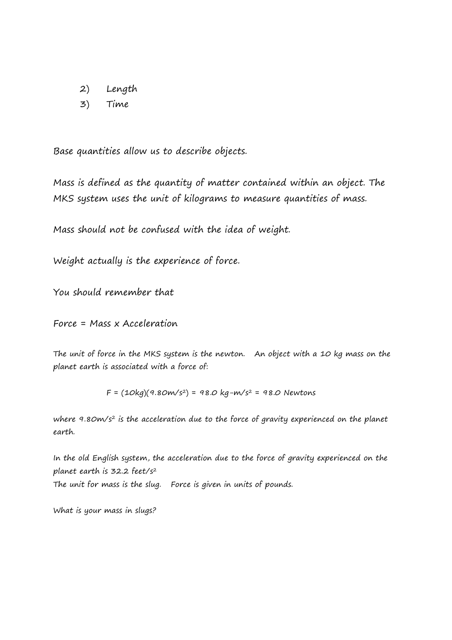- 2) Length
- 3) Time

Base quantities allow us to describe objects.

Mass is defined as the quantity of matter contained within an object. The MKS system uses the unit of kilograms to measure quantities of mass.

Mass should not be confused with the idea of weight.

Weight actually is the experience of force.

You should remember that

Force = Mass x Acceleration

The unit of force in the MKS system is the newton. An object with a 10 kg mass on the planet earth is associated with a force of:

 $F = (10kg)(9.80m/s^2) = 98.0 kg-m/s^2 = 98.0 Newtons$ 

where 9.80m/s<sup>2</sup> is the acceleration due to the force of gravity experienced on the planet earth.

In the old English system, the acceleration due to the force of gravity experienced on the planet earth is 32.2 feet/s<sup>2</sup> The unit for mass is the slug. Force is given in units of pounds.

What is your mass in slugs?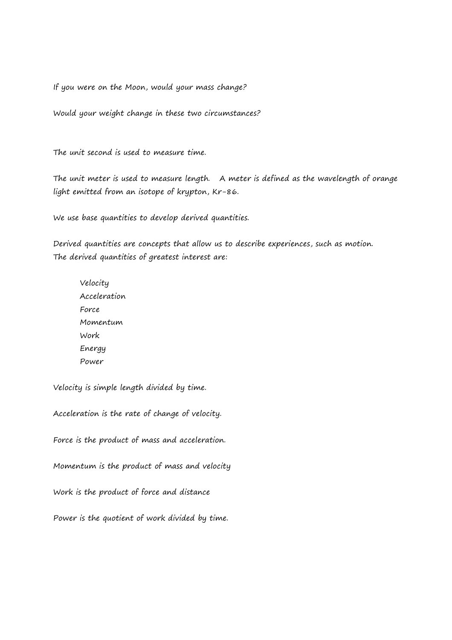If you were on the Moon, would your mass change?

Would your weight change in these two circumstances?

The unit second is used to measure time.

The unit meter is used to measure length. A meter is defined as the wavelength of orange light emitted from an isotope of krypton, Kr-86.

We use base quantities to develop derived quantities.

Derived quantities are concepts that allow us to describe experiences, such as motion. The derived quantities of greatest interest are:

Velocity Acceleration Force Momentum Work Energy Power

Velocity is simple length divided by time.

Acceleration is the rate of change of velocity.

Force is the product of mass and acceleration.

Momentum is the product of mass and velocity

Work is the product of force and distance

Power is the quotient of work divided by time.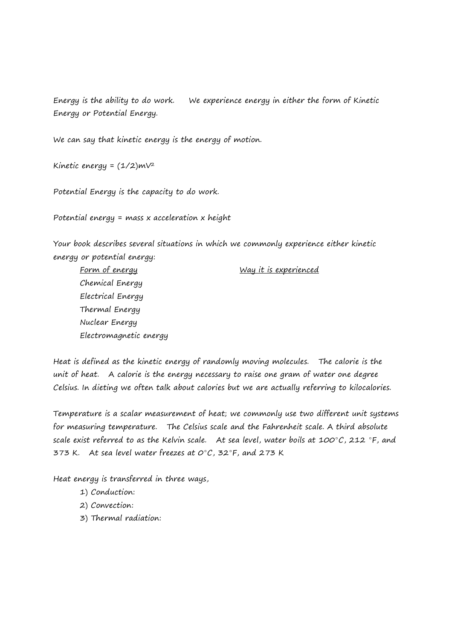Energy is the ability to do work. We experience energy in either the form of Kinetic Energy or Potential Energy.

We can say that kinetic energy is the energy of motion.

Kinetic energy =  $(1/2)$ m $V^2$ 

Potential Energy is the capacity to do work.

Potential energy = mass x acceleration x height

Your book describes several situations in which we commonly experience either kinetic energy or potential energy:

Form of energy  $Way$  it is experienced Chemical Energy Electrical Energy Thermal Energy Nuclear Energy Electromagnetic energy

Heat is defined as the kinetic energy of randomly moving molecules. The calorie is the unit of heat. A calorie is the energy necessary to raise one gram of water one degree Celsius. In dieting we often talk about calories but we are actually referring to kilocalories.

Temperature is a scalar measurement of heat; we commonly use two different unit systems for measuring temperature. The Celsius scale and the Fahrenheit scale. A third absolute scale exist referred to as the Kelvin scale. At sea level, water boils at  $100^{\circ}C$ , 212  $^{\circ}$ F, and 373 K. At sea level water freezes at  $O^{\circ}C$ , 32 $^{\circ}$ F, and 273 K

Heat energy is transferred in three ways,

- 1) Conduction:
- 2) Convection:
- 3) Thermal radiation: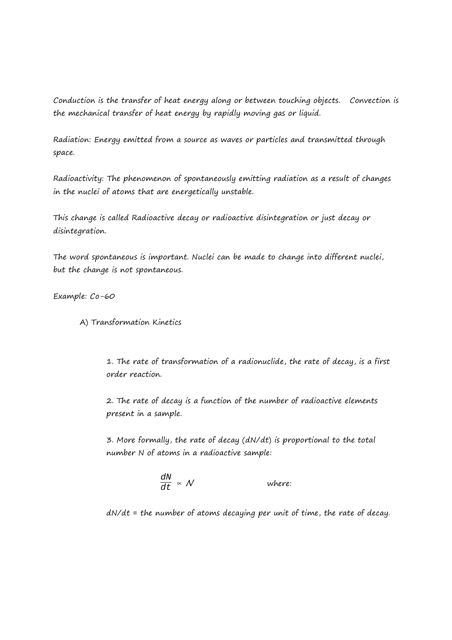Conduction is the transfer of heat energy along or between touching objects. Convection is the mechanical transfer of heat energy by rapidly moving gas or liquid.

Radiation: Energy emitted from a source as waves or particles and transmitted through space.

Radioactivity: The phenomenon of spontaneously emitting radiation as a result of changes in the nuclei of atoms that are energetically unstable.

This change is called Radioactive decay or radioactive disintegration or just decay or disintegration.

The word spontaneous is important. Nuclei can be made to change into different nuclei, but the change is not spontaneous.

Example: Co-60

A) Transformation Kinetics

1. The rate of transformation of a radionuclide, the rate of decay, is a first order reaction.

2. The rate of decay is a function of the number of radioactive elements present in a sample.

3. More formally, the rate of decay (dN/dt) is proportional to the total number N of atoms in a radioactive sample:

$$
\frac{dN}{dt} \propto N
$$
 where:

 $dN/dt$  = the number of atoms decaying per unit of time, the rate of decay.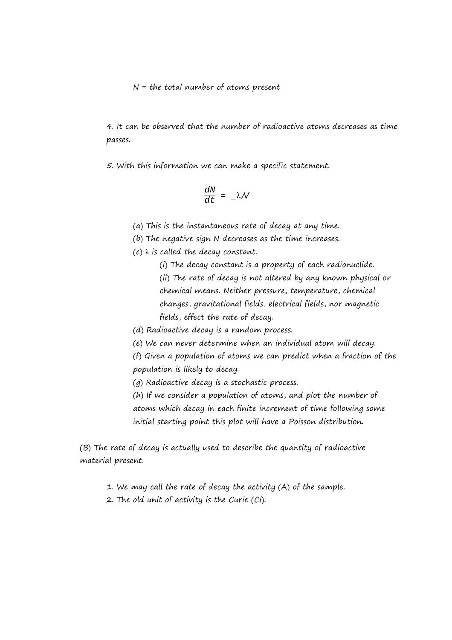$N =$  the total number of atoms present

4. It can be observed that the number of radioactive atoms decreases as time passes.

5. With this information we can make a specific statement:

$$
\frac{dN}{dt} = \Delta \mathcal{N}
$$

(a) This is the instantaneous rate of decay at any time.

(b) The negative sign N decreases as the time increases.

 $(c)$   $\lambda$  is called the decay constant.

(i) The decay constant is a property of each radionuclide. (ii) The rate of decay is not altered by any known physical or chemical means. Neither pressure, temperature, chemical changes, gravitational fields, electrical fields, nor magnetic fields, effect the rate of decay.

(d) Radioactive decay is a random process.

(e) We can never determine when an individual atom will decay.

(f) Given a population of atoms we can predict when a fraction of the population is likely to decay.

(g) Radioactive decay is a stochastic process.

(h) If we consider a population of atoms, and plot the number of atoms which decay in each finite increment of time following some initial starting point this plot will have a Poisson distribution.

(B) The rate of decay is actually used to describe the quantity of radioactive material present.

1. We may call the rate of decay the activity (A) of the sample.

2. The old unit of activity is the Curie  $(Ci)$ .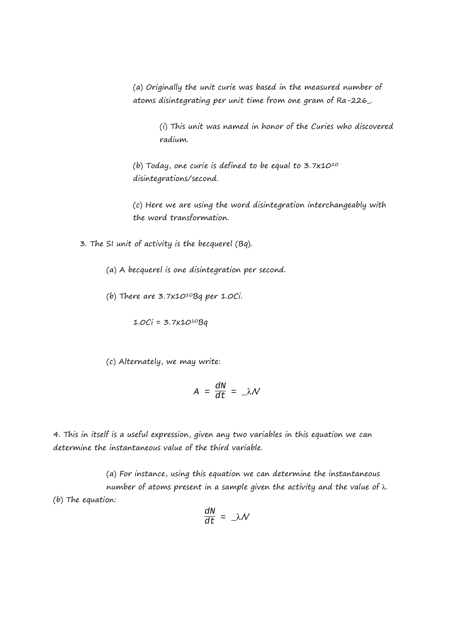(a) Originally the unit curie was based in the measured number of atoms disintegrating per unit time from one gram of Ra-226\_.

> (i) This unit was named in honor of the Curies who discovered radium.

(b) Today, one curie is defined to be equal to  $3.7x10^{10}$ disintegrations/second.

(c) Here we are using the word disintegration interchangeably with the word transformation.

3. The SI unit of activity is the becquerel (Bq).

- (a) A becquerel is one disintegration per second.
- (b) There are  $3.7x10^{10}$ Bq per 1.0Ci.

$$
1.0Ci = 3.7x10^{10}Bq
$$

(c) Alternately, we may write:

$$
A = \frac{dN}{dt} = \Box \lambda \mathcal{N}
$$

4. This in itself is a useful expression, given any two variables in this equation we can determine the instantaneous value of the third variable.

(a) For instance, using this equation we can determine the instantaneous number of atoms present in a sample given the activity and the value of λ. (b) The equation:

$$
\frac{dN}{dt} = \Delta \mathcal{N}
$$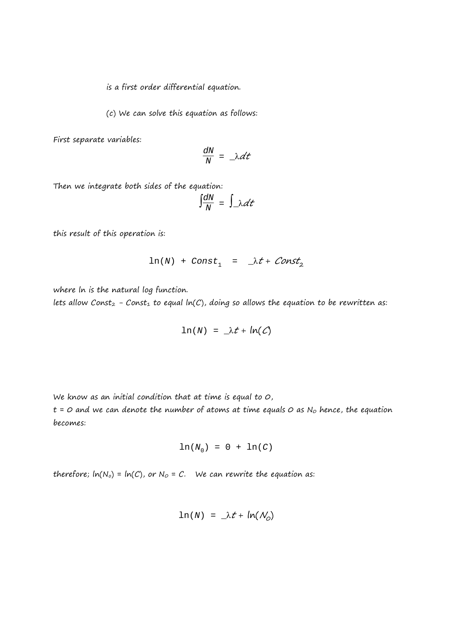is a first order differential equation.

(c) We can solve this equation as follows:

First separate variables:

$$
\frac{dN}{N} = \Delta dt
$$

Then we integrate both sides of the equation:

$$
\int \frac{dN}{N} = \int \lambda dt
$$

this result of this operation is:

$$
\ln(N) + Const_1 = \lambda t + Const_2
$$

where ln is the natural log function.

lets allow Const<sub>2</sub> - Const<sub>1</sub> to equal  $ln(C)$ , doing so allows the equation to be rewritten as:

$$
\ln(N) = \lambda t + \ln(C)
$$

We know as an initial condition that at time is equal to 0,

 $t = 0$  and we can denote the number of atoms at time equals  $O$  as N<sub>o</sub> hence, the equation becomes:

$$
\ln(N_0) = 0 + \ln(C)
$$

therefore;  $ln(N_0) = ln(C)$ , or  $N_0 = C$ . We can rewrite the equation as:

$$
\ln(N) = \lambda t + \ln(N_0)
$$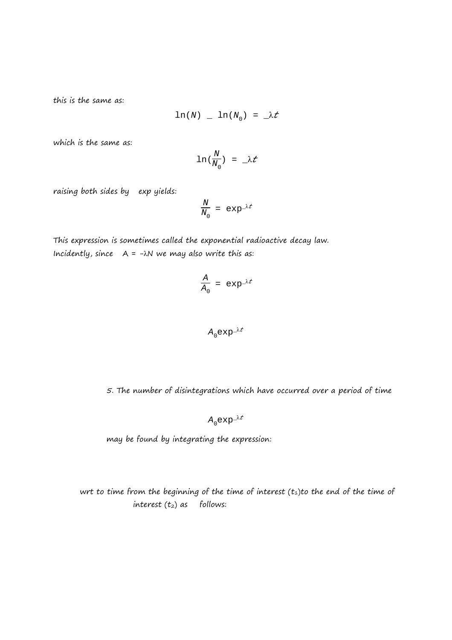this is the same as:

$$
\ln(N) \quad \_ \quad \ln(N_0) \ = \ \_ \lambda t
$$

which is the same as:

$$
\ln{(\frac{N}{N_0})} = \lambda t
$$

raising both sides by exp yields:

$$
\frac{N}{N_0} = \exp^{-\lambda t}
$$

This expression is sometimes called the exponential radioactive decay law. Incidently, since  $A = -\lambda N$  we may also write this as:

$$
\frac{A}{A_0} = \exp^{-\lambda t}
$$

$$
A_0 \exp^{-\lambda t}
$$

5. The number of disintegrations which have occurred over a period of time

$$
A_0 \exp^{-\lambda t}
$$

may be found by integrating the expression:

wrt to time from the beginning of the time of interest  $(t_1)$ to the end of the time of interest  $(t_2)$  as follows: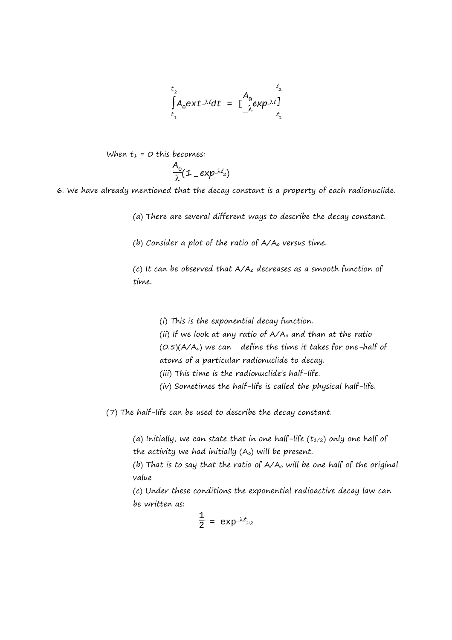$$
\int_{t_1}^{t_2} A_0 \, \mathrm{ext}^{-\lambda t} \, \mathrm{d}t = \left[ \frac{A_0}{\lambda} \exp^{\lambda t} \right]_{t_1}^{t_2}
$$

When 
$$
t_1 = 0
$$
 this becomes:  
\n
$$
\frac{A_0}{\lambda}(\mathbf{1} - \exp^{-\lambda t_2})
$$

6. We have already mentioned that the decay constant is a property of each radionuclide.

(a) There are several different ways to describe the decay constant.

(b) Consider a plot of the ratio of  $A/A<sub>o</sub>$  versus time.

(c) It can be observed that A/Ao decreases as a smooth function of time.

> (i) This is the exponential decay function. (ii) If we look at any ratio of  $A/A_0$  and than at the ratio  $(0.5)(A/A<sub>o</sub>)$  we can define the time it takes for one-half of atoms of a particular radionuclide to decay. (iii) This time is the radionuclide's half-life. (iv) Sometimes the half-life is called the physical half-life.

(7) The half-life can be used to describe the decay constant.

(a) Initially, we can state that in one half-life  $(t_{1/2})$  only one half of the activity we had initially  $(A<sub>o</sub>)$  will be present.

(b) That is to say that the ratio of  $A/A_0$  will be one half of the original value

(c) Under these conditions the exponential radioactive decay law can be written as:

$$
\frac{1}{2} = \exp^{-\lambda t_{1/2}}
$$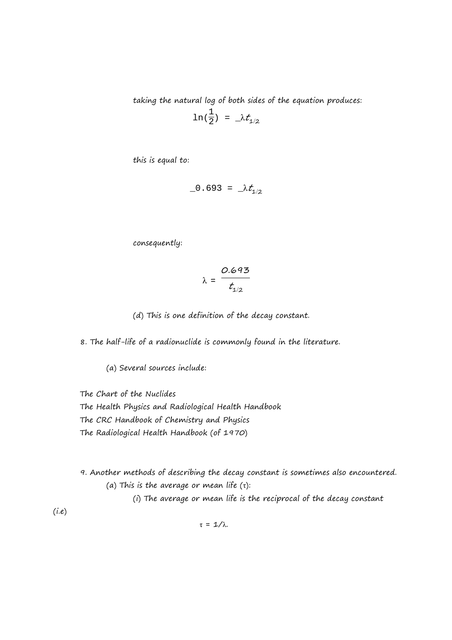taking the natural log of both sides of the equation produces:

$$
\ln(\frac{1}{2}) = \lambda t_{1/2}
$$

this is equal to:

$$
-0.693 = \lambda t_{1/2}
$$

consequently:

$$
\lambda = \frac{0.693}{t_{1/2}}
$$

(d) This is one definition of the decay constant.

8. The half-life of a radionuclide is commonly found in the literature.

(a) Several sources include:

The Chart of the Nuclides

The Health Physics and Radiological Health Handbook The CRC Handbook of Chemistry and Physics The Radiological Health Handbook (of 1970)

9. Another methods of describing the decay constant is sometimes also encountered. (a) This is the average or mean life  $(\tau)$ :

(i) The average or mean life is the reciprocal of the decay constant

 $(i.e)$ 

$$
\tau = 1/\lambda.
$$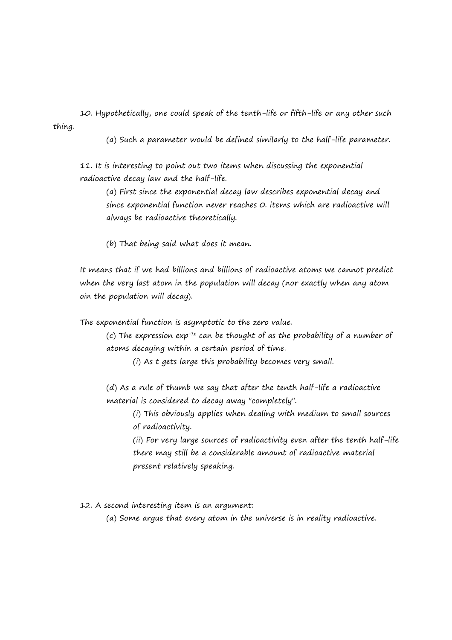10. Hypothetically, one could speak of the tenth-life or fifth-life or any other such thing.

(a) Such a parameter would be defined similarly to the half-life parameter.

11. It is interesting to point out two items when discussing the exponential radioactive decay law and the half-life.

(a) First since the exponential decay law describes exponential decay and since exponential function never reaches 0. items which are radioactive will always be radioactive theoretically.

(b) That being said what does it mean.

It means that if we had billions and billions of radioactive atoms we cannot predict when the very last atom in the population will decay (nor exactly when any atom oin the population will decay).

The exponential function is asymptotic to the zero value.

(c) The expression exp<sup>-λt</sup> can be thought of as the probability of a number of atoms decaying within a certain period of time.

(i) As t gets large this probability becomes very small.

(d) As a rule of thumb we say that after the tenth half-life a radioactive material is considered to decay away "completely".

(i) This obviously applies when dealing with medium to small sources of radioactivity.

(ii) For very large sources of radioactivity even after the tenth half-life there may still be a considerable amount of radioactive material present relatively speaking.

12. A second interesting item is an argument:

(a) Some argue that every atom in the universe is in reality radioactive.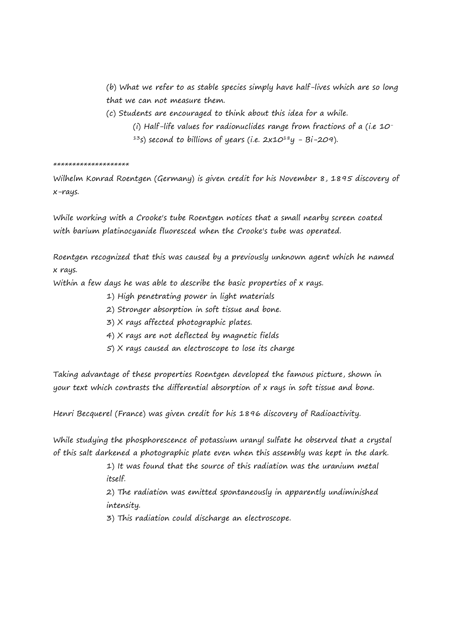(b) What we refer to as stable species simply have half-lives which are so long that we can not measure them.

- (c) Students are encouraged to think about this idea for a while.
	- (i) Half-life values for radionuclides range from fractions of a (i.e 10-
	- <sup>13</sup>s) second to billions of years (i.e.  $2x10^{18}y Bi-209$ ).

\*\*\*\*\*\*\*\*\*\*\*\*\*\*\*\*\*\*\*\*

Wilhelm Konrad Roentgen (Germany) is given credit for his November 8, 1895 discovery of x-rays.

While working with a Crooke's tube Roentgen notices that a small nearby screen coated with barium platinocyanide fluoresced when the Crooke's tube was operated.

Roentgen recognized that this was caused by a previously unknown agent which he named x rays.

Within a few days he was able to describe the basic properties of x rays.

- 1) High penetrating power in light materials
- 2) Stronger absorption in soft tissue and bone.
- 3) X rays affected photographic plates.
- 4) X rays are not deflected by magnetic fields
- 5) X rays caused an electroscope to lose its charge

Taking advantage of these properties Roentgen developed the famous picture, shown in your text which contrasts the differential absorption of x rays in soft tissue and bone.

Henri Becquerel (France) was given credit for his 1896 discovery of Radioactivity.

While studying the phosphorescence of potassium uranyl sulfate he observed that a crystal of this salt darkened a photographic plate even when this assembly was kept in the dark.

> 1) It was found that the source of this radiation was the uranium metal itself.

> 2) The radiation was emitted spontaneously in apparently undiminished intensity.

3) This radiation could discharge an electroscope.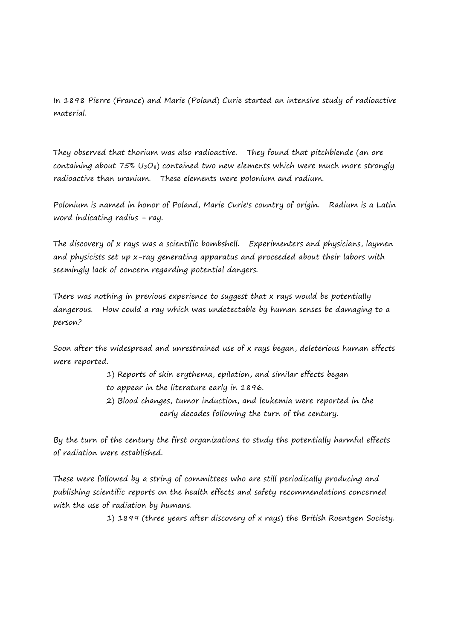In 1898 Pierre (France) and Marie (Poland) Curie started an intensive study of radioactive material.

They observed that thorium was also radioactive. They found that pitchblende (an ore containing about  $75\%$  U<sub>3</sub>O<sub>8</sub>) contained two new elements which were much more strongly radioactive than uranium. These elements were polonium and radium.

Polonium is named in honor of Poland, Marie Curie's country of origin. Radium is a Latin word indicating radius - ray.

The discovery of x rays was a scientific bombshell. Experimenters and physicians, laymen and physicists set up x-ray generating apparatus and proceeded about their labors with seemingly lack of concern regarding potential dangers.

There was nothing in previous experience to suggest that x rays would be potentially dangerous. How could a ray which was undetectable by human senses be damaging to a person?

Soon after the widespread and unrestrained use of x rays began, deleterious human effects were reported.

- 1) Reports of skin erythema, epilation, and similar effects began
- to appear in the literature early in 1896.
- 2) Blood changes, tumor induction, and leukemia were reported in the early decades following the turn of the century.

By the turn of the century the first organizations to study the potentially harmful effects of radiation were established.

These were followed by a string of committees who are still periodically producing and publishing scientific reports on the health effects and safety recommendations concerned with the use of radiation by humans.

1) 1899 (three years after discovery of x rays) the British Roentgen Society.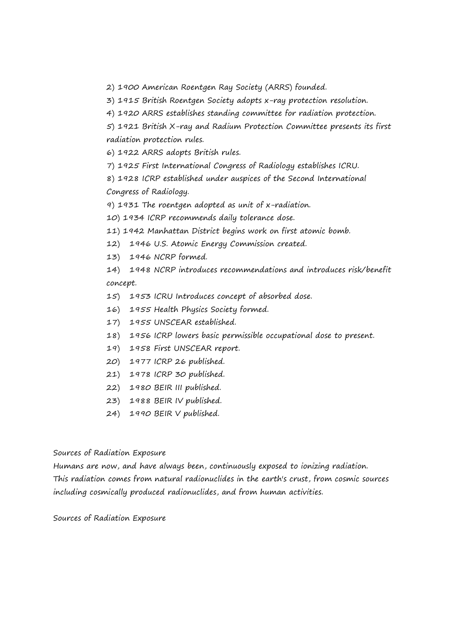2) 1900 American Roentgen Ray Society (ARRS) founded.

3) 1915 British Roentgen Society adopts x-ray protection resolution.

4) 1920 ARRS establishes standing committee for radiation protection.

5) 1921 British X-ray and Radium Protection Committee presents its first radiation protection rules.

6) 1922 ARRS adopts British rules.

7) 1925 First International Congress of Radiology establishes ICRU.

8) 1928 ICRP established under auspices of the Second International Congress of Radiology.

9) 1931 The roentgen adopted as unit of x-radiation.

10) 1934 ICRP recommends daily tolerance dose.

11) 1942 Manhattan District begins work on first atomic bomb.

- 12) 1946 U.S. Atomic Energy Commission created.
- 13) 1946 NCRP formed.

14) 1948 NCRP introduces recommendations and introduces risk/benefit concept.

- 15) 1953 ICRU Introduces concept of absorbed dose.
- 16) 1955 Health Physics Society formed.
- 17) 1955 UNSCEAR established.
- 18) 1956 ICRP lowers basic permissible occupational dose to present.
- 19) 1958 First UNSCEAR report.
- 20) 1977 ICRP 26 published.
- 21) 1978 ICRP 30 published.
- 22) 1980 BEIR III published.
- 23) 1988 BEIR IV published.
- 24) 1990 BEIR V published.

### Sources of Radiation Exposure

Humans are now, and have always been, continuously exposed to ionizing radiation. This radiation comes from natural radionuclides in the earth's crust, from cosmic sources including cosmically produced radionuclides, and from human activities.

Sources of Radiation Exposure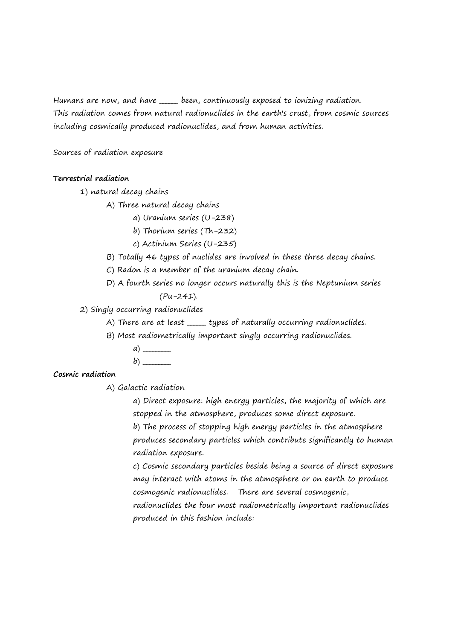Humans are now, and have <u>each</u> been, continuously exposed to ionizing radiation. This radiation comes from natural radionuclides in the earth's crust, from cosmic sources including cosmically produced radionuclides, and from human activities.

Sources of radiation exposure

## **Terrestrial radiation**

1) natural decay chains

A) Three natural decay chains

- a) Uranium series (U-238)
- b) Thorium series (Th-232)
- c) Actinium Series (U-235)
- B) Totally 46 types of nuclides are involved in these three decay chains.
- C) Radon is a member of the uranium decay chain.
- D) A fourth series no longer occurs naturally this is the Neptunium series (Pu-241).

2) Singly occurring radionuclides

- A) There are at least \_\_\_\_\_\_ types of naturally occurring radionuclides.
- B) Most radiometrically important singly occurring radionuclides.
	- a) \_\_\_\_\_\_\_\_\_
	- $b)$

## **Cosmic radiation**

A) Galactic radiation

a) Direct exposure: high energy particles, the majority of which are stopped in the atmosphere, produces some direct exposure.

b) The process of stopping high energy particles in the atmosphere produces secondary particles which contribute significantly to human radiation exposure.

c) Cosmic secondary particles beside being a source of direct exposure may interact with atoms in the atmosphere or on earth to produce cosmogenic radionuclides. There are several cosmogenic, radionuclides the four most radiometrically important radionuclides produced in this fashion include: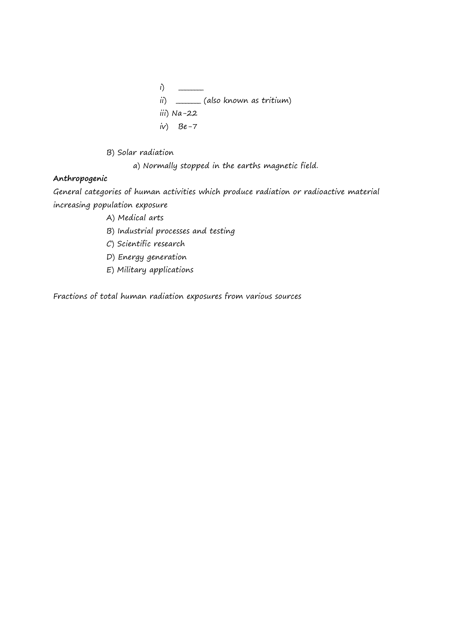- i) \_\_\_\_\_\_\_\_ ii) \_\_\_\_\_\_ (also known as tritium) iii) Na-22  $iv)$  Be-7
- B) Solar radiation

a) Normally stopped in the earths magnetic field.

# **Anthropogenic**

General categories of human activities which produce radiation or radioactive material increasing population exposure

- A) Medical arts
- B) Industrial processes and testing
- C) Scientific research
- D) Energy generation
- E) Military applications

Fractions of total human radiation exposures from various sources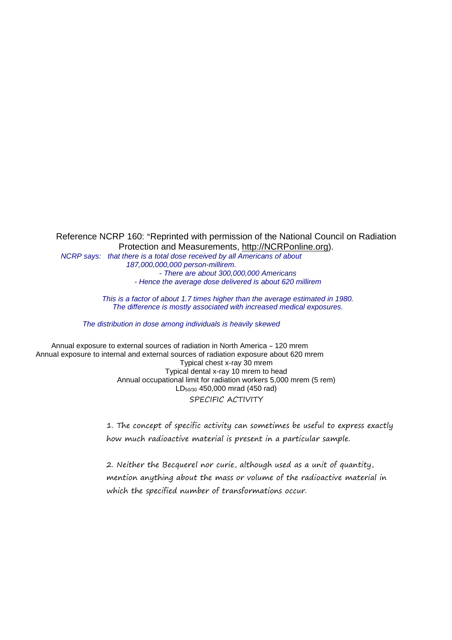Reference NCRP 160: "Reprinted with permission of the National Council on Radiation Protection and Measurements, http://NCRPonline.org).

NCRP says: that there is a total dose received by all Americans of about 187,000,000,000 person-millirem. - There are about 300,000,000 Americans - Hence the average dose delivered is about 620 millirem

> This is a factor of about 1.7 times higher than the average estimated in 1980. The difference is mostly associated with increased medical exposures.

The distribution in dose among individuals is heavily skewed

Annual exposure to external sources of radiation in North America - 120 mrem Annual exposure to internal and external sources of radiation exposure about 620 mrem Typical chest x-ray 30 mrem Typical dental x-ray 10 mrem to head Annual occupational limit for radiation workers 5,000 mrem (5 rem) LD50/30 450,000 mrad (450 rad) SPECIFIC ACTIVITY

> 1. The concept of specific activity can sometimes be useful to express exactly how much radioactive material is present in a particular sample.

2. Neither the Becquerel nor curie, although used as a unit of quantity, mention anything about the mass or volume of the radioactive material in which the specified number of transformations occur.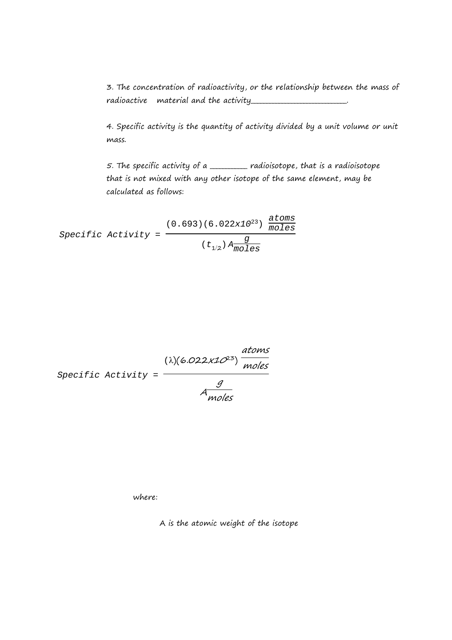3. The concentration of radioactivity, or the relationship between the mass of radioactive material and the activity\_\_\_\_\_\_\_\_\_\_\_\_\_\_\_\_\_\_\_\_\_\_\_\_\_\_\_\_\_\_\_.

4. Specific activity is the quantity of activity divided by a unit volume or unit mass.

5. The specific activity of a \_\_\_\_\_\_\_\_\_\_\_\_ radioisotope, that is a radioisotope that is not mixed with any other isotope of the same element, may be calculated as follows:

 $Specific$  Activity =  $\overline{\phantom{a}}$  $(0.693)(6.022x10^{23}) \frac{\text{atoms}}{\text{moles}}$ moles  $(t_{1/2})$   $A \frac{g}{mol}$ moles

Specific Activity = 
$$
\frac{(\lambda)(6.022 \times 10^{23})}{\text{moles}}
$$
  
 
$$
A \frac{g}{\text{moles}}
$$

where:

A is the atomic weight of the isotope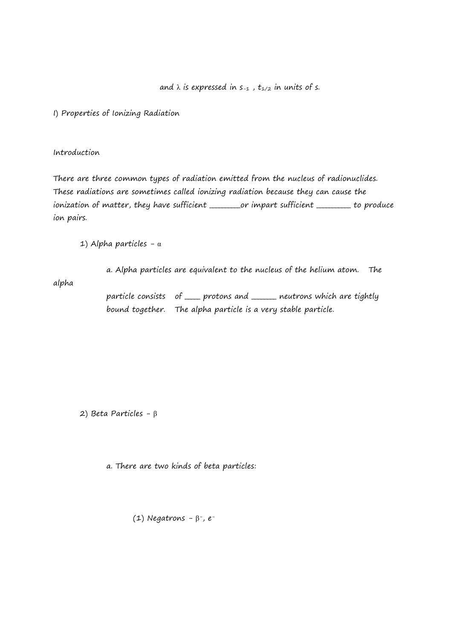and  $\lambda$  is expressed in  $s_{-1}$ ,  $t_{1/2}$  in units of s.

I) Properties of Ionizing Radiation

### Introduction

There are three common types of radiation emitted from the nucleus of radionuclides. These radiations are sometimes called ionizing radiation because they can cause the ionization of matter, they have sufficient \_\_\_\_\_\_\_\_\_\_or impart sufficient \_\_\_\_\_\_\_\_\_\_ to produce ion pairs.

1) Alpha particles - α

alpha

particle consists of <u>equal</u> protons and <u>equal neutrons</u> which are tightly bound together. The alpha particle is a very stable particle.

a. Alpha particles are equivalent to the nucleus of the helium atom. The

2) Beta Particles - β

a. There are two kinds of beta particles:

(1) Negatrons – β-, e-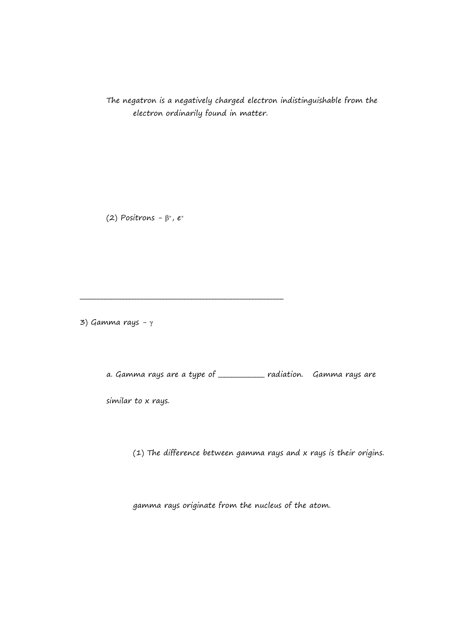The negatron is a negatively charged electron indistinguishable from the electron ordinarily found in matter.

(2) Positrons -  $\beta^*$ , e<sup>+</sup>

\_\_\_\_\_\_\_\_\_\_\_\_\_\_\_\_\_\_\_\_\_\_\_\_\_\_\_\_\_\_\_\_\_\_\_\_\_\_\_\_\_\_\_\_\_\_\_\_\_\_\_\_\_\_\_\_\_\_\_\_\_\_\_\_\_\_

3) Gamma rays  $-γ$ 

a. Gamma rays are a type of \_\_\_\_\_\_\_\_\_\_\_\_\_\_\_ radiation. Gamma rays are

similar to x rays.

(1) The difference between gamma rays and x rays is their origins.

gamma rays originate from the nucleus of the atom.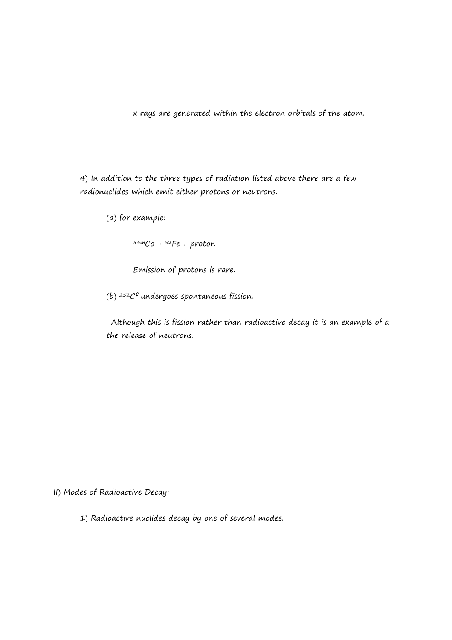x rays are generated within the electron orbitals of the atom.

4) In addition to the three types of radiation listed above there are a few radionuclides which emit either protons or neutrons.

(a) for example:

 $53 \text{m}$ Co -  $52$ Fe + proton

Emission of protons is rare.

(b) <sup>252</sup>Cf undergoes spontaneous fission.

 Although this is fission rather than radioactive decay it is an example of a the release of neutrons.

II) Modes of Radioactive Decay:

1) Radioactive nuclides decay by one of several modes.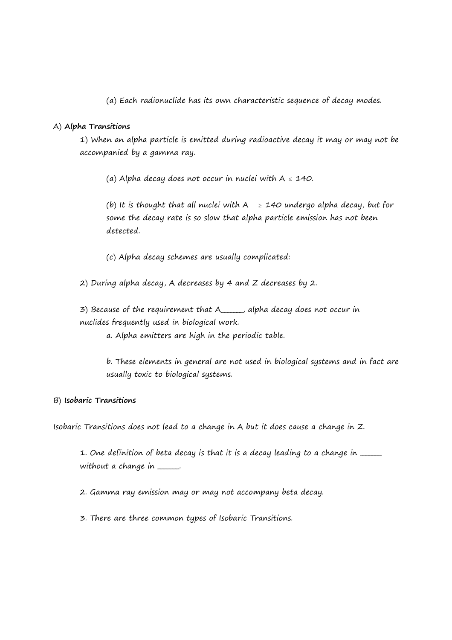(a) Each radionuclide has its own characteristic sequence of decay modes.

## A) **Alpha Transitions**

1) When an alpha particle is emitted during radioactive decay it may or may not be accompanied by a gamma ray.

(a) Alpha decay does not occur in nuclei with  $A \le 140$ .

(b) It is thought that all nuclei with  $A \geq 140$  undergo alpha decay, but for some the decay rate is so slow that alpha particle emission has not been detected.

(c) Alpha decay schemes are usually complicated:

2) During alpha decay, A decreases by 4 and Z decreases by 2.

3) Because of the requirement that A\_\_\_\_\_\_\_, alpha decay does not occur in nuclides frequently used in biological work.

a. Alpha emitters are high in the periodic table.

b. These elements in general are not used in biological systems and in fact are usually toxic to biological systems.

### B) **Isobaric Transitions**

Isobaric Transitions does not lead to a change in A but it does cause a change in Z.

1. One definition of beta decay is that it is a decay leading to a change in \_\_\_\_\_ without a change in \_\_\_\_\_.

2. Gamma ray emission may or may not accompany beta decay.

3. There are three common types of Isobaric Transitions.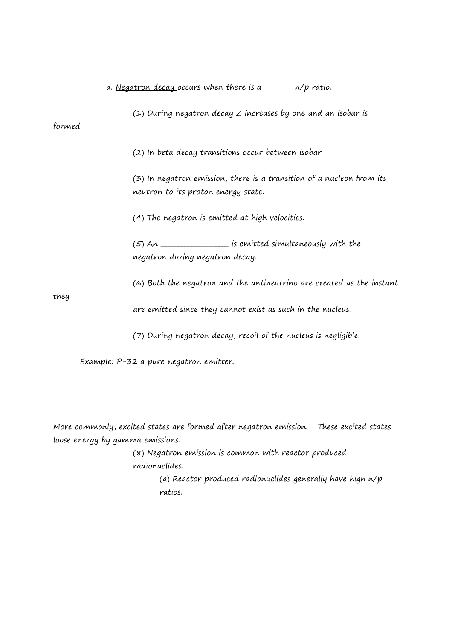a. Negatron decay occurs when there is a  $\frac{1}{2}$  n/p ratio.

(1) During negatron decay Z increases by one and an isobar is formed.

(2) In beta decay transitions occur between isobar.

(3) In negatron emission, there is a transition of a nucleon from its neutron to its proton energy state.

(4) The negatron is emitted at high velocities.

 $(5)$  An  $\overline{\hspace{2cm}}$  is emitted simultaneously with the negatron during negatron decay.

(6) Both the negatron and the antineutrino are created as the instant

they

are emitted since they cannot exist as such in the nucleus.

(7) During negatron decay, recoil of the nucleus is negligible.

Example: P-32 a pure negatron emitter.

More commonly, excited states are formed after negatron emission. These excited states loose energy by gamma emissions.

> (8) Negatron emission is common with reactor produced radionuclides.

(a) Reactor produced radionuclides generally have high n/p ratios.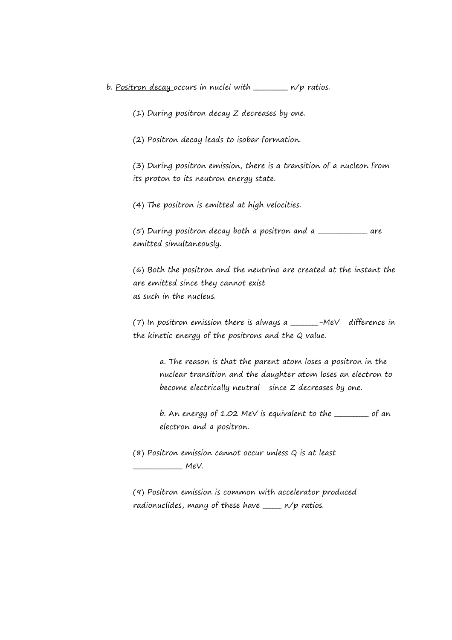b. Positron decay occurs in nuclei with  $\frac{1}{\sqrt{p}}$  ratios.

(1) During positron decay Z decreases by one.

(2) Positron decay leads to isobar formation.

(3) During positron emission, there is a transition of a nucleon from its proton to its neutron energy state.

(4) The positron is emitted at high velocities.

(5) During positron decay both a positron and a \_\_\_\_\_\_\_\_\_\_\_\_\_\_\_\_ are emitted simultaneously.

(6) Both the positron and the neutrino are created at the instant the are emitted since they cannot exist as such in the nucleus.

(7) In positron emission there is always a \_\_\_\_\_\_\_\_\_-MeV difference in the kinetic energy of the positrons and the Q value.

> a. The reason is that the parent atom loses a positron in the nuclear transition and the daughter atom loses an electron to become electrically neutral since Z decreases by one.

> b. An energy of 1.02 MeV is equivalent to the \_\_\_\_\_\_\_\_\_\_ of an electron and a positron.

(8) Positron emission cannot occur unless Q is at least  $Mev.$ 

(9) Positron emission is common with accelerator produced radionuclides, many of these have  $\frac{1}{1-\epsilon}$  n/p ratios.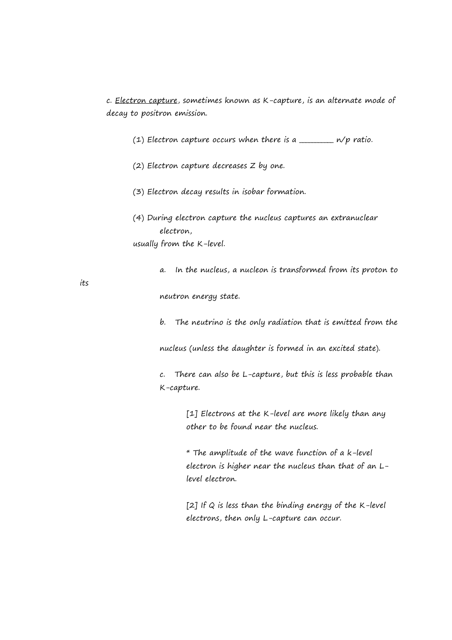c. Electron capture, sometimes known as K-capture, is an alternate mode of decay to positron emission.

- (1) Electron capture occurs when there is a  $\frac{1}{\sqrt{p}}$  ratio.
- (2) Electron capture decreases Z by one.
- (3) Electron decay results in isobar formation.
- (4) During electron capture the nucleus captures an extranuclear electron, usually from the K-level.
	- a. In the nucleus, a nucleon is transformed from its proton to

neutron energy state.

b. The neutrino is the only radiation that is emitted from the

nucleus (unless the daughter is formed in an excited state).

c. There can also be L-capture, but this is less probable than K-capture.

> [1] Electrons at the K-level are more likely than any other to be found near the nucleus.

\* The amplitude of the wave function of a k-level electron is higher near the nucleus than that of an Llevel electron.

[2] If  $Q$  is less than the binding energy of the K-level electrons, then only L-capture can occur.

its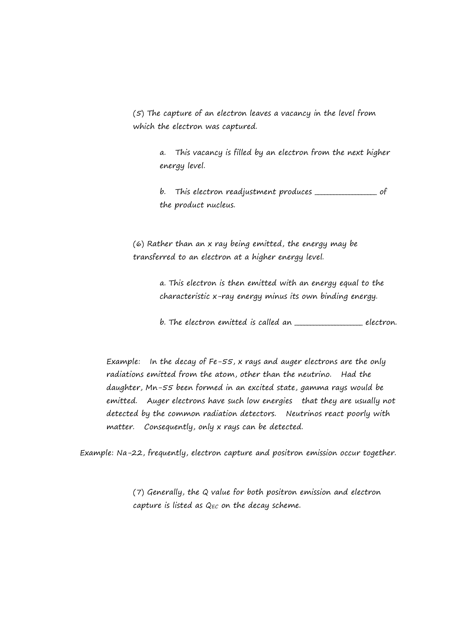(5) The capture of an electron leaves a vacancy in the level from which the electron was captured.

> a. This vacancy is filled by an electron from the next higher energy level.

b. This electron readjustment produces \_\_\_\_\_\_\_\_\_\_\_\_\_\_\_\_\_\_\_\_ of the product nucleus.

(6) Rather than an x ray being emitted, the energy may be transferred to an electron at a higher energy level.

> a. This electron is then emitted with an energy equal to the characteristic x-ray energy minus its own binding energy.

b. The electron emitted is called an \_\_\_\_\_\_\_\_\_\_\_\_\_\_\_\_\_\_\_ electron.

Example: In the decay of Fe-55, x rays and auger electrons are the only radiations emitted from the atom, other than the neutrino. Had the daughter, Mn-55 been formed in an excited state, gamma rays would be emitted. Auger electrons have such low energies that they are usually not detected by the common radiation detectors. Neutrinos react poorly with matter. Consequently, only x rays can be detected.

Example: Na-22, frequently, electron capture and positron emission occur together.

(7) Generally, the Q value for both positron emission and electron capture is listed as  $Q_{EC}$  on the decay scheme.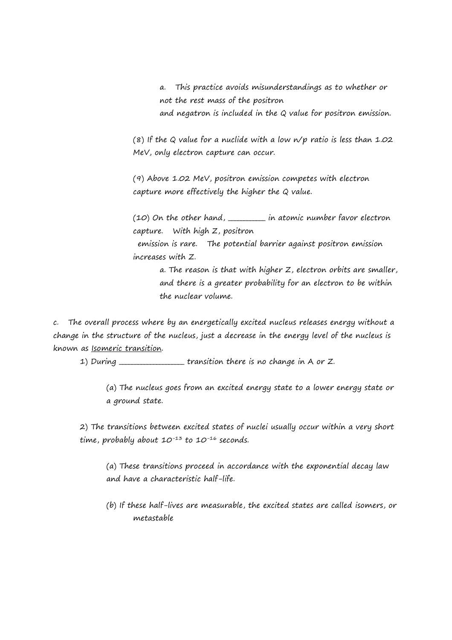a. This practice avoids misunderstandings as to whether or not the rest mass of the positron and negatron is included in the Q value for positron emission.

(8) If the Q value for a nuclide with a low  $n/p$  ratio is less than 1.02 MeV, only electron capture can occur.

(9) Above 1.02 MeV, positron emission competes with electron capture more effectively the higher the Q value.

(10) On the other hand, \_\_\_\_\_\_\_\_\_\_\_\_ in atomic number favor electron capture. With high Z, positron

 emission is rare. The potential barrier against positron emission increases with Z.

> a. The reason is that with higher Z, electron orbits are smaller, and there is a greater probability for an electron to be within the nuclear volume.

c. The overall process where by an energetically excited nucleus releases energy without a change in the structure of the nucleus, just a decrease in the energy level of the nucleus is known as Isomeric transition.

1) During \_\_\_\_\_\_\_\_\_\_\_\_\_\_\_\_\_transition there is no change in A or Z.

(a) The nucleus goes from an excited energy state to a lower energy state or a ground state.

2) The transitions between excited states of nuclei usually occur within a very short time, probably about  $10^{-13}$  to  $10^{-16}$  seconds.

(a) These transitions proceed in accordance with the exponential decay law and have a characteristic half-life.

(b) If these half-lives are measurable, the excited states are called isomers, or metastable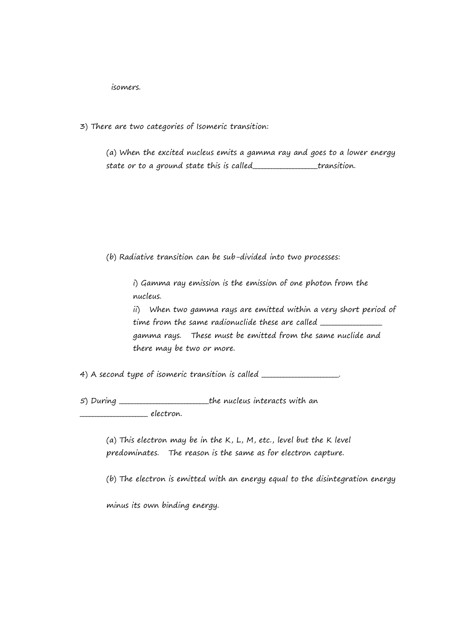isomers.

3) There are two categories of Isomeric transition:

(a) When the excited nucleus emits a gamma ray and goes to a lower energy state or to a ground state this is called\_\_\_\_\_\_\_\_\_\_\_\_\_\_\_\_\_\_\_\_\_transition.

(b) Radiative transition can be sub-divided into two processes:

i) Gamma ray emission is the emission of one photon from the nucleus.

ii) When two gamma rays are emitted within a very short period of time from the same radionuclide these are called \_\_\_\_\_\_\_\_\_\_\_\_\_\_\_\_\_\_\_\_\_\_\_\_\_\_\_\_\_\_\_ gamma rays. These must be emitted from the same nuclide and there may be two or more.

4) A second type of isomeric transition is called \_\_\_\_\_\_\_\_\_\_\_\_\_\_\_\_\_\_\_\_\_\_\_\_\_\_\_\_\_\_

5) During \_\_\_\_\_\_\_\_\_\_\_\_\_\_\_\_\_\_\_\_\_\_\_\_\_\_\_\_\_the nucleus interacts with an electron.

> (a) This electron may be in the  $K, L, M$ , etc., level but the K level predominates. The reason is the same as for electron capture.

(b) The electron is emitted with an energy equal to the disintegration energy

minus its own binding energy.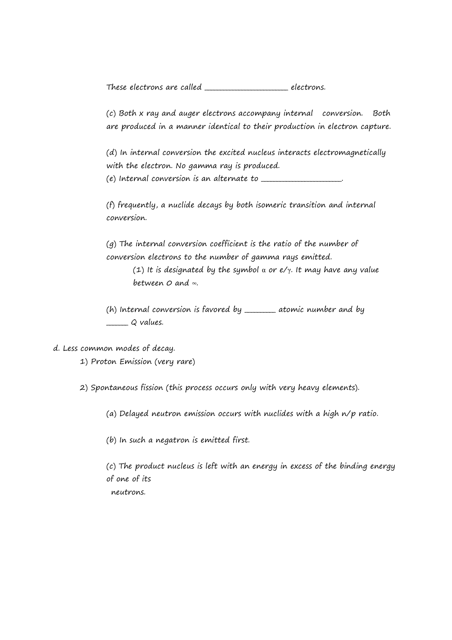These electrons are called \_\_\_\_\_\_\_\_\_\_\_\_\_\_\_\_\_\_\_\_\_\_\_\_\_\_\_ electrons.

(c) Both x ray and auger electrons accompany internal conversion. Both are produced in a manner identical to their production in electron capture.

(d) In internal conversion the excited nucleus interacts electromagnetically with the electron. No gamma ray is produced.

 $(e)$  Internal conversion is an alternate to  $\frac{1}{1-\frac{1}{1-\frac{1}{1-\frac{1}{1-\frac{1}{1-\frac{1}{1-\frac{1}{1-\frac{1}{1-\frac{1}{1-\frac{1}{1-\frac{1}{1-\frac{1}{1-\frac{1}{1-\frac{1}{1-\frac{1}{1-\frac{1}{1-\frac{1}{1-\frac{1}{1-\frac{1}{1-\frac{1}{1-\frac{1}{1-\frac{1}{1-\frac{1}{1-\frac{1}{1-\frac{1}{1-\frac{1}{1-\frac{1}{1-\frac{1}{1-\frac{1}{1-\frac$ 

(f) frequently, a nuclide decays by both isomeric transition and internal conversion.

(g) The internal conversion coefficient is the ratio of the number of conversion electrons to the number of gamma rays emitted.

> (1) It is designated by the symbol  $\alpha$  or e/ $\gamma$ . It may have any value between  $Q$  and  $\infty$ .

(h) Internal conversion is favored by  $\frac{1}{1-\epsilon}$  atomic number and by  $Q$  values.

d. Less common modes of decay.

1) Proton Emission (very rare)

2) Spontaneous fission (this process occurs only with very heavy elements).

(a) Delayed neutron emission occurs with nuclides with a high n/p ratio.

(b) In such a negatron is emitted first.

(c) The product nucleus is left with an energy in excess of the binding energy of one of its neutrons.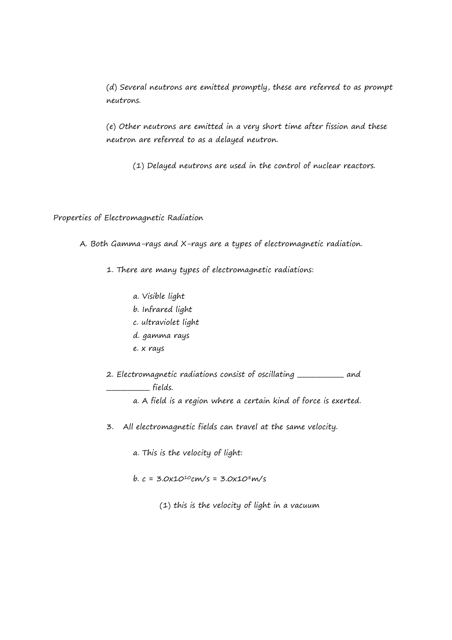(d) Several neutrons are emitted promptly, these are referred to as prompt neutrons.

(e) Other neutrons are emitted in a very short time after fission and these neutron are referred to as a delayed neutron.

(1) Delayed neutrons are used in the control of nuclear reactors.

Properties of Electromagnetic Radiation

A. Both Gamma-rays and X-rays are a types of electromagnetic radiation.

1. There are many types of electromagnetic radiations:

- a. Visible light
- b. Infrared light
- c. ultraviolet light
- d. gamma rays
- e. x rays

2. Electromagnetic radiations consist of oscillating \_\_\_\_\_\_\_\_\_\_\_\_\_\_\_ and  $\Box$  fields.

a. A field is a region where a certain kind of force is exerted.

3. All electromagnetic fields can travel at the same velocity.

a. This is the velocity of light:

 $b. c = 3.0x10^{10}cm/s = 3.0x10^{8}m/s$ 

(1) this is the velocity of light in a vacuum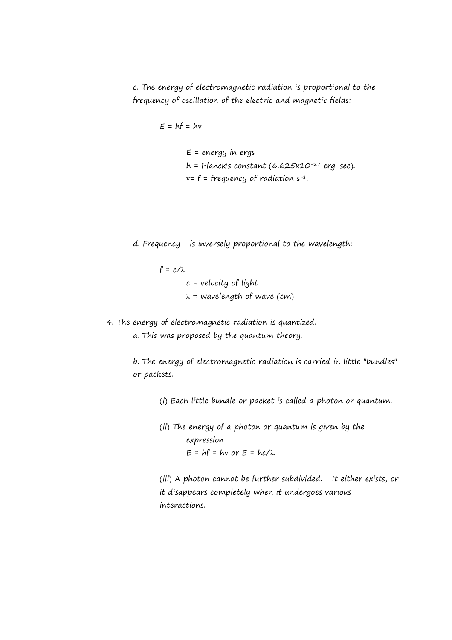c. The energy of electromagnetic radiation is proportional to the frequency of oscillation of the electric and magnetic fields:

$$
E = hf = hv
$$

 $E$  = energy in ergs  $h =$  Planck's constant (6.625x10<sup>-27</sup> erg-sec).  $v = f = frequency of radiation s^{-1}$ .

d. Frequency is inversely proportional to the wavelength:

 $f = c/\lambda$  $c$  = velocity of light  $\lambda$  = wavelength of wave (cm)

4. The energy of electromagnetic radiation is quantized.

a. This was proposed by the quantum theory.

b. The energy of electromagnetic radiation is carried in little "bundles" or packets.

(i) Each little bundle or packet is called a photon or quantum.

(ii) The energy of a photon or quantum is given by the expression  $E = hf = hv$  or  $E = hc/\lambda$ .

(iii) A photon cannot be further subdivided. It either exists, or it disappears completely when it undergoes various interactions.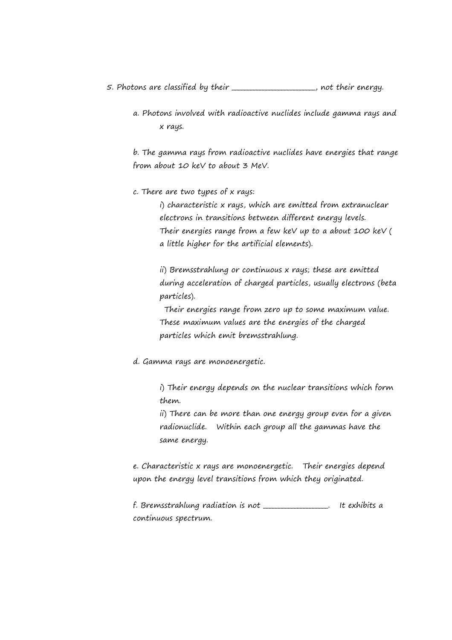5. Photons are classified by their **\_\_\_\_\_\_\_\_\_\_\_\_\_\_\_\_\_**, not their energy.

a. Photons involved with radioactive nuclides include gamma rays and x rays.

b. The gamma rays from radioactive nuclides have energies that range from about 10 keV to about 3 MeV.

c. There are two types of x rays:

i) characteristic x rays, which are emitted from extranuclear electrons in transitions between different energy levels. Their energies range from a few keV up to a about 100 keV ( a little higher for the artificial elements).

ii) Bremsstrahlung or continuous x rays; these are emitted during acceleration of charged particles, usually electrons (beta particles).

 Their energies range from zero up to some maximum value. These maximum values are the energies of the charged particles which emit bremsstrahlung.

d. Gamma rays are monoenergetic.

i) Their energy depends on the nuclear transitions which form them.

ii) There can be more than one energy group even for a given radionuclide. Within each group all the gammas have the same energy.

e. Characteristic x rays are monoenergetic. Their energies depend upon the energy level transitions from which they originated.

f. Bremsstrahlung radiation is not \_\_\_\_\_\_\_\_\_\_\_\_\_\_\_\_\_. It exhibits a continuous spectrum.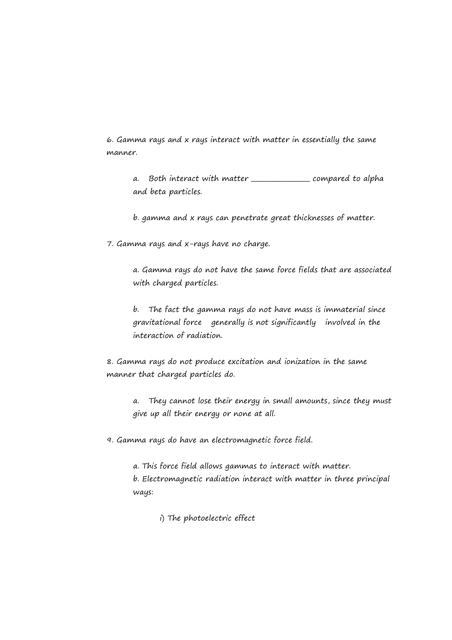6. Gamma rays and x rays interact with matter in essentially the same manner.

a. Both interact with matter \_\_\_\_\_\_\_\_\_\_\_\_\_\_\_\_\_\_\_ compared to alpha and beta particles.

b. gamma and x rays can penetrate great thicknesses of matter.

7. Gamma rays and x-rays have no charge.

a. Gamma rays do not have the same force fields that are associated with charged particles.

b. The fact the gamma rays do not have mass is immaterial since gravitational force generally is not significantly involved in the interaction of radiation.

8. Gamma rays do not produce excitation and ionization in the same manner that charged particles do.

a. They cannot lose their energy in small amounts, since they must give up all their energy or none at all.

9. Gamma rays do have an electromagnetic force field.

a. This force field allows gammas to interact with matter. b. Electromagnetic radiation interact with matter in three principal ways:

i) The photoelectric effect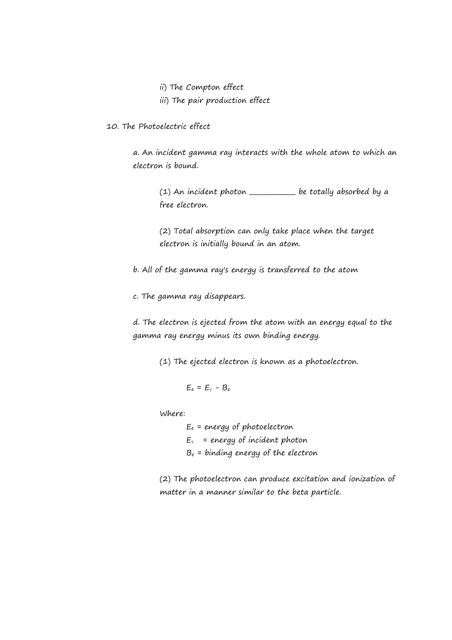- ii) The Compton effect
- iii) The pair production effect
- 10. The Photoelectric effect

a. An incident gamma ray interacts with the whole atom to which an electron is bound.

(1) An incident photon \_\_\_\_\_\_\_\_\_\_\_\_\_\_\_ be totally absorbed by a free electron.

(2) Total absorption can only take place when the target electron is initially bound in an atom.

b. All of the gamma ray's energy is transferred to the atom

c. The gamma ray disappears.

d. The electron is ejected from the atom with an energy equal to the gamma ray energy minus its own binding energy.

(1) The ejected electron is known as a photoelectron.

$$
E_e = E_\gamma - B_e
$$

Where:

 $E_e$  = energy of photoelectron  $E_{\gamma}$  = energy of incident photon  $B<sub>e</sub>$  = binding energy of the electron

(2) The photoelectron can produce excitation and ionization of matter in a manner similar to the beta particle.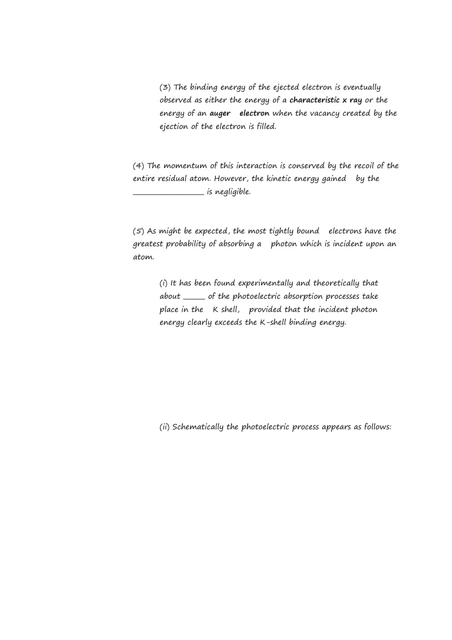(3) The binding energy of the ejected electron is eventually observed as either the energy of a **characteristic x ray** or the energy of an **auger electron** when the vacancy created by the ejection of the electron is filled.

(4) The momentum of this interaction is conserved by the recoil of the entire residual atom. However, the kinetic energy gained by the  $\overline{\phantom{a}}$  is negligible.

(5) As might be expected, the most tightly bound electrons have the greatest probability of absorbing a photon which is incident upon an atom.

(i) It has been found experimentally and theoretically that about \_\_\_\_\_\_\_ of the photoelectric absorption processes take place in the K shell, provided that the incident photon energy clearly exceeds the K-shell binding energy.

(ii) Schematically the photoelectric process appears as follows: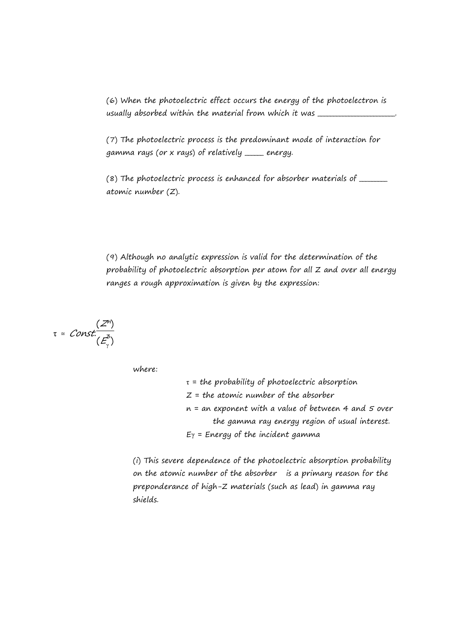(6) When the photoelectric effect occurs the energy of the photoelectron is usually absorbed within the material from which it was \_\_\_\_\_\_\_\_\_\_\_\_\_\_\_\_\_\_\_\_\_\_\_\_\_\_

(7) The photoelectric process is the predominant mode of interaction for gamma rays (or x rays) of relatively \_\_\_\_\_\_ energy.

 $(8)$  The photoelectric process is enhanced for absorber materials of  $\frac{1}{2}$ atomic number (Z).

(9) Although no analytic expression is valid for the determination of the probability of photoelectric absorption per atom for all Z and over all energy ranges a rough approximation is given by the expression:

$$
\tau = Const. \frac{(Z^n)}{(E_\gamma^3)}
$$

where:

 $\tau$  = the probability of photoelectric absorption  $Z =$  the atomic number of the absorber  $n = an$  exponent with a value of between 4 and 5 over the gamma ray energy region of usual interest.  $E_Y$  = Energy of the incident gamma

(i) This severe dependence of the photoelectric absorption probability on the atomic number of the absorber is a primary reason for the preponderance of high-Z materials (such as lead) in gamma ray shields.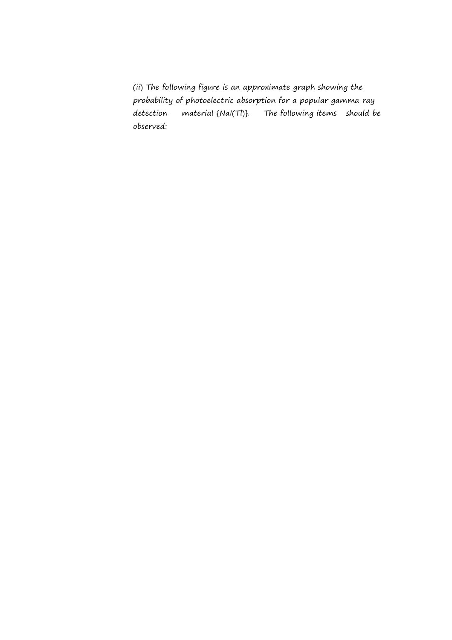(ii) The following figure is an approximate graph showing the probability of photoelectric absorption for a popular gamma ray detection material {NaI(TI)}. The following items should be observed: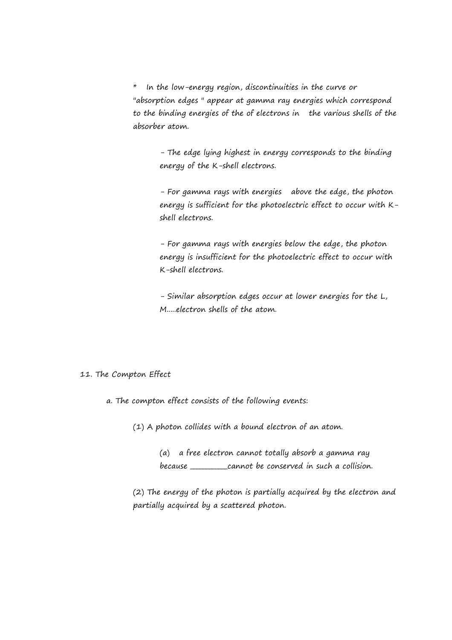\* In the low-energy region, discontinuities in the curve or "absorption edges " appear at gamma ray energies which correspond to the binding energies of the of electrons in the various shells of the absorber atom.

> - The edge lying highest in energy corresponds to the binding energy of the K-shell electrons.

- For gamma rays with energies above the edge, the photon energy is sufficient for the photoelectric effect to occur with Kshell electrons.

- For gamma rays with energies below the edge, the photon energy is insufficient for the photoelectric effect to occur with K-shell electrons.

- Similar absorption edges occur at lower energies for the L, M.....electron shells of the atom.

### 11. The Compton Effect

a. The compton effect consists of the following events:

(1) A photon collides with a bound electron of an atom.

(a) a free electron cannot totally absorb a gamma ray because \_\_\_\_\_\_\_\_\_\_\_\_cannot be conserved in such a collision.

(2) The energy of the photon is partially acquired by the electron and partially acquired by a scattered photon.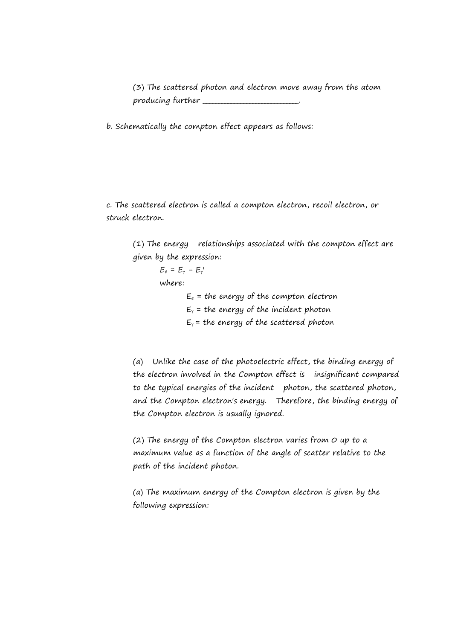(3) The scattered photon and electron move away from the atom producing further \_\_\_\_\_\_\_\_\_\_\_\_\_\_\_\_\_\_\_\_\_\_\_\_\_.

b. Schematically the compton effect appears as follows:

c. The scattered electron is called a compton electron, recoil electron, or struck electron.

(1) The energy relationships associated with the compton effect are given by the expression:

> $E_e = E_\gamma - E_\gamma'$ where:  $E_e$  = the energy of the compton electron  $E<sub>y</sub>$  = the energy of the incident photon  $E_{\gamma}$  = the energy of the scattered photon

(a) Unlike the case of the photoelectric effect, the binding energy of the electron involved in the Compton effect is insignificant compared to the typical energies of the incident photon, the scattered photon, and the Compton electron's energy. Therefore, the binding energy of the Compton electron is usually ignored.

(2) The energy of the Compton electron varies from 0 up to a maximum value as a function of the angle of scatter relative to the path of the incident photon.

(a) The maximum energy of the Compton electron is given by the following expression: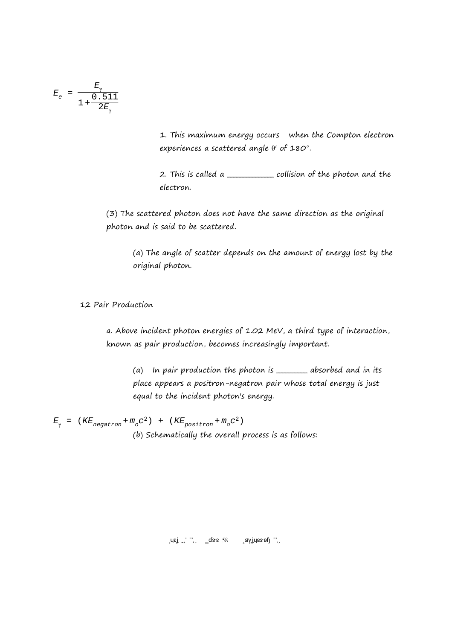$$
E_e = \frac{E_\gamma}{1 + \frac{0.511}{2E_\gamma}}
$$

1. This maximum energy occurs when the Compton electron experiences a scattered angle  $\theta'$  of 180°.

2. This is called a \_\_\_\_\_\_\_\_\_\_\_\_\_\_ collision of the photon and the electron.

(3) The scattered photon does not have the same direction as the original photon and is said to be scattered.

(a) The angle of scatter depends on the amount of energy lost by the original photon.

12 Pair Production

a. Above incident photon energies of 1.02 MeV, a third type of interaction, known as pair production, becomes increasingly important.

(a) In pair production the photon is \_\_\_\_\_\_\_\_\_\_ absorbed and in its place appears a positron-negatron pair whose total energy is just equal to the incident photon's energy.

 $E_{\gamma}$  =  $(KE_{\text{negatron}} + m_{\circ}C^2)$  +  $(KE_{\text{positron}} + m_{\circ}C^2)$ (b) Schematically the overall process is as follows:

 $\sigma$ uej  $\sigma'$   $\sigma'$   $\sigma'$   $\sigma'$   $\sigma'$   $\sigma'$   $\sigma'$   $\sigma'$   $\sigma'$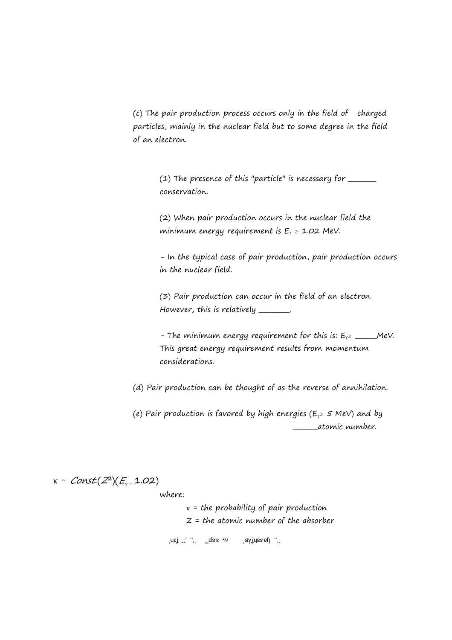(c) The pair production process occurs only in the field of charged particles, mainly in the nuclear field but to some degree in the field of an electron.

 $(1)$  The presence of this "particle" is necessary for  $\frac{1}{1}$ conservation.

(2) When pair production occurs in the nuclear field the minimum energy requirement is  $E_\gamma \ge 1.02$  MeV.

- In the typical case of pair production, pair production occurs in the nuclear field.

(3) Pair production can occur in the field of an electron. However, this is relatively \_\_\_\_\_\_\_.

- The minimum energy requirement for this is:  $E_{\gamma}$  and MeV. This great energy requirement results from momentum considerations.

(d) Pair production can be thought of as the reverse of annihilation.

(e) Pair production is favored by high energies ( $E_y \ge 5$  MeV) and by \_\_\_\_\_\_\_\_atomic number.

κ = Const.(Z<sup>2</sup>)(E<sub>γ-</sub>1.02) where:

> $\text{LMS}$   $\text{LMS}$   $\text{LMS}$   $\text{LMS}$   $\text{LMS}$   $\text{LMS}$  $\kappa$  = the probability of pair production  $Z =$  the atomic number of the absorber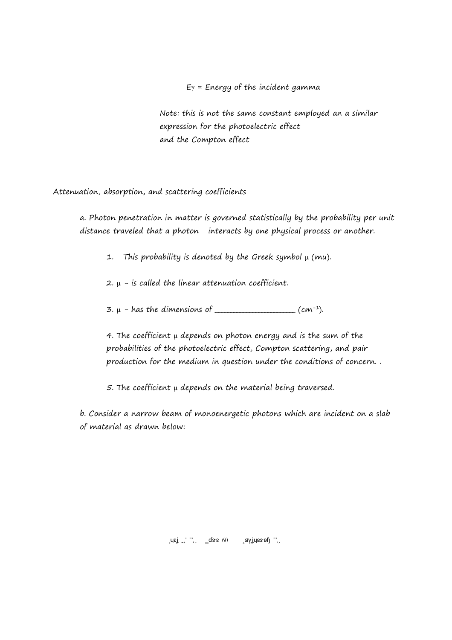$E_Y$  = Energy of the incident gamma

Note: this is not the same constant employed an a similar expression for the photoelectric effect and the Compton effect

Attenuation, absorption, and scattering coefficients

a. Photon penetration in matter is governed statistically by the probability per unit distance traveled that a photon interacts by one physical process or another.

1. This probability is denoted by the Greek symbol μ (mu).

 $2. \mu$  - is called the linear attenuation coefficient.

 $3. \mu$  - has the dimensions of \_\_\_\_\_\_\_\_\_\_\_\_\_\_\_\_\_\_\_\_\_\_\_\_\_ (cm<sup>-1</sup>).

4. The coefficient μ depends on photon energy and is the sum of the probabilities of the photoelectric effect, Compton scattering, and pair production for the medium in question under the conditions of concern. .

5. The coefficient μ depends on the material being traversed.

b. Consider a narrow beam of monoenergetic photons which are incident on a slab of material as drawn below:

 $\sigma_{\rm B}$   $\sigma_{\rm B}$   $\sigma_{\rm B}$   $\sigma_{\rm B}$   $\sigma_{\rm B}$   $\sigma_{\rm B}$   $\sigma_{\rm B}$   $\sigma_{\rm B}$   $\sigma_{\rm B}$   $\sigma_{\rm B}$   $\sigma_{\rm B}$   $\sigma_{\rm B}$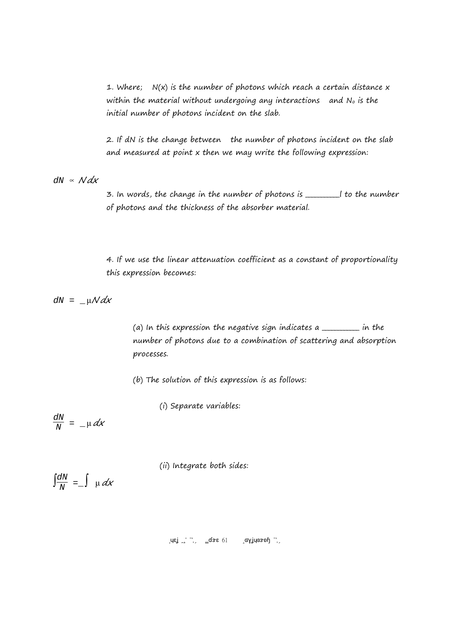1. Where;  $N(x)$  is the number of photons which reach a certain distance x within the material without undergoing any interactions and  $N<sub>o</sub>$  is the initial number of photons incident on the slab.

2. If dN is the change between the number of photons incident on the slab and measured at point x then we may write the following expression:

 $dN \propto N dx$ 

3. In words, the change in the number of photons is \_\_\_\_\_\_\_\_\_\_\_l to the number of photons and the thickness of the absorber material.

4. If we use the linear attenuation coefficient as a constant of proportionality this expression becomes:

 $dN = \mu \mathcal{N} dx$ 

(a) In this expression the negative sign indicates a  $\frac{1}{\sqrt{2\pi}}$  in the number of photons due to a combination of scattering and absorption processes.

(b) The solution of this expression is as follows:

(i) Separate variables:

$$
\frac{dN}{N} = -\mu \, dx
$$

(ii) Integrate both sides:

$$
\int \frac{dN}{N} = \int \mu \, d\mathbf{x}
$$

 $\sigma$ uej  $\sigma'$   $\sigma'$   $\sigma'$   $\sigma'$   $\sigma'$   $\sigma'$   $\sigma'$   $\sigma'$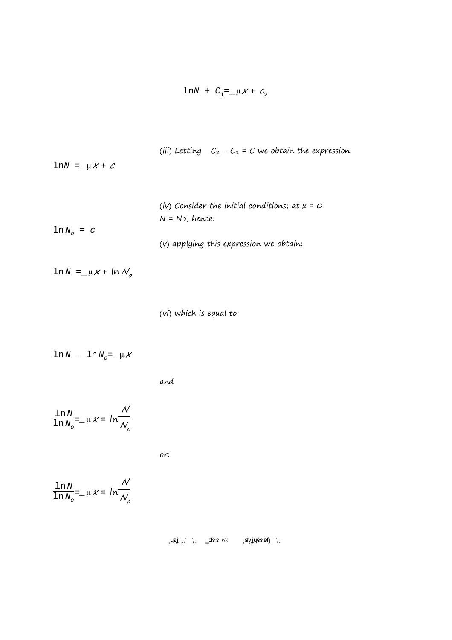$$
\ln N + C_1 = \mu \times + C_2
$$

(iii) Letting  $C_2 - C_1 = C$  we obtain the expression:

lnN =  $\mu X + c$ 

|                            | (iv) Consider the initial conditions; at $x = 0$ |
|----------------------------|--------------------------------------------------|
|                            | $N = No$ , hence:                                |
| $\ln N$ <sub>0</sub> = $c$ |                                                  |
|                            | (v) applying this expression we obtain:          |

 $ln N =$   $-\mu x + ln N_{o}$ 

(vi) which is equal to:

$$
\ln N = \ln N_{\circ} = \mu \times
$$

and

$$
\frac{\ln N}{\ln N_o} = -\mu \times = \ln \frac{N}{N_o}
$$

or:

$$
\frac{\ln N}{\ln N_o} = -\mu \times = \ln \frac{N}{N_o}
$$

 $\sup_{\mathbf{z}}$  Islamic 2017  $\mathbf{z}$  2017 Page 62 Copyright 2017 Page  $\mathbf{z}$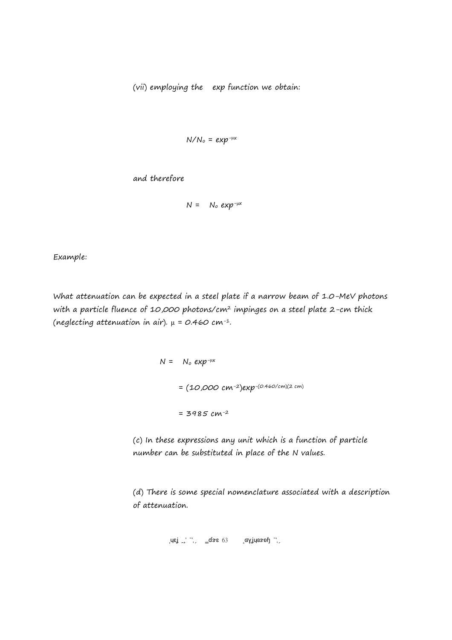(vii) employing the exp function we obtain:

$$
N/N_o = exp^{-\mu x}
$$

and therefore

$$
N = N_o exp^{-\mu x}
$$

Example:

What attenuation can be expected in a steel plate if a narrow beam of 1.0-MeV photons with a particle fluence of 10,000 photons/cm<sup>2</sup> impinges on a steel plate 2-cm thick (neglecting attenuation in air).  $\mu = 0.460$  cm<sup>-1</sup>.

> $N = N_o exp^{-\mu x}$  $= (10,000 \text{ cm}^{-2})$ exp-(0.460/cm)(2 cm)  $= 3985$  cm<sup>-2</sup>

(c) In these expressions any unit which is a function of particle number can be substituted in place of the N values.

(d) There is some special nomenclature associated with a description of attenuation.

 $\mu$ is ISU 2017 Page 63 Copyright 2017 Page 14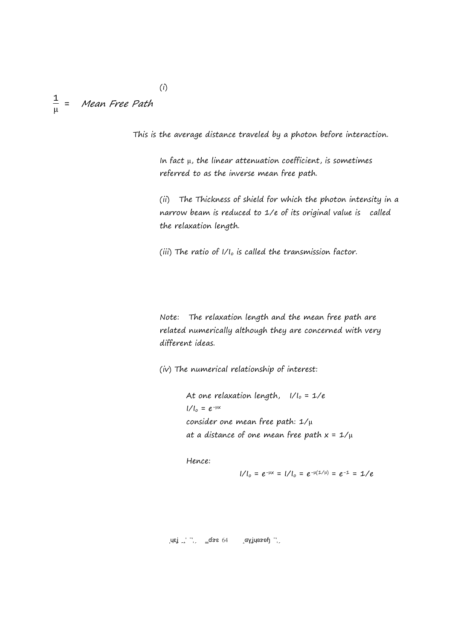#### 1 μ Mean Free Path

This is the average distance traveled by a photon before interaction.

In fact μ, the linear attenuation coefficient, is sometimes referred to as the inverse mean free path.

(ii) The Thickness of shield for which the photon intensity in a narrow beam is reduced to 1/e of its original value is called the relaxation length.

(iii) The ratio of  $1/I_0$  is called the transmission factor.

Note: The relaxation length and the mean free path are related numerically although they are concerned with very different ideas.

(iv) The numerical relationship of interest:

At one relaxation length,  $1/I_0 = 1/e$  $I/I_0 = e^{-\mu x}$ consider one mean free path: 1/μ at a distance of one mean free path  $x = 1/\mu$ 

Hence:

 $1/1_{0} = e^{-\mu x} = 1/1_{0} = e^{-\mu(1/\mu)} = e^{-1} = 1/e$ 

Brey ISU 2017 Page 64 Copyright 2017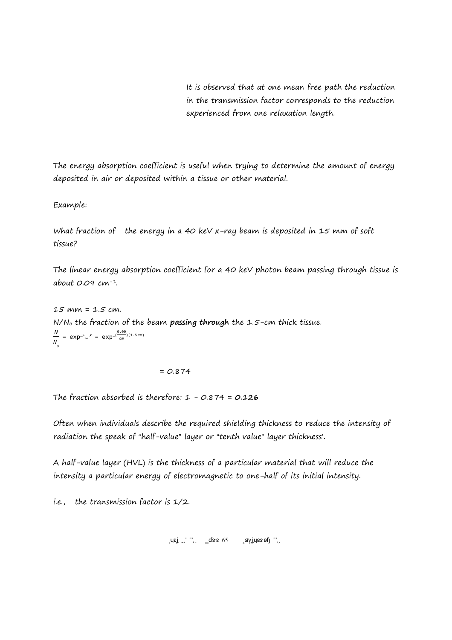It is observed that at one mean free path the reduction in the transmission factor corresponds to the reduction experienced from one relaxation length.

The energy absorption coefficient is useful when trying to determine the amount of energy deposited in air or deposited within a tissue or other material.

Example:

What fraction of the energy in a 40 keV x-ray beam is deposited in 15 mm of soft tissue?

The linear energy absorption coefficient for a 40 keV photon beam passing through tissue is about 0.09 cm-1.

15 mm = 1.5 cm. N/No the fraction of the beam **passing through** the 1.5-cm thick tissue. N  $\frac{N}{N}$  =  $\exp^{-\mu}$ <sub>en</sub>  $\frac{N}{N}$  =  $\exp^{-\frac{(0.09)}{cm}}$ o cm )(1.5 cm)

 $= 0.874$ 

The fraction absorbed is therefore: 1 - 0.874 = **0.126**

Often when individuals describe the required shielding thickness to reduce the intensity of radiation the speak of "half-value" layer or "tenth value" layer thickness'.

A half-value layer (HVL) is the thickness of a particular material that will reduce the intensity a particular energy of electromagnetic to one-half of its initial intensity.

i.e., the transmission factor is 1/2.

 $\sigma_{\rm eff}$  ISU  $\sigma_{\rm eff}$  2017 Page 65 Copyright 2017 Page 1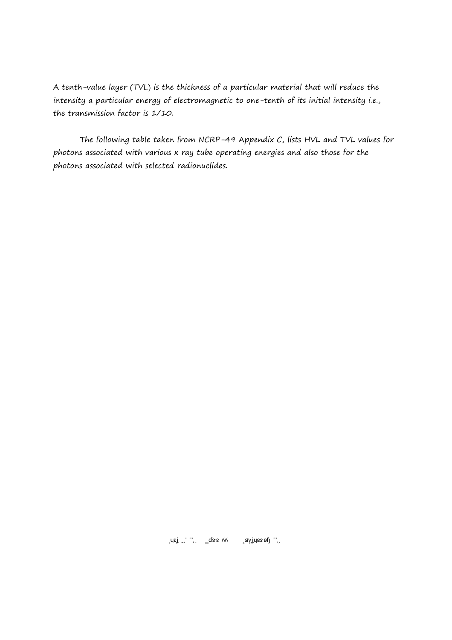A tenth-value layer (TVL) is the thickness of a particular material that will reduce the intensity a particular energy of electromagnetic to one-tenth of its initial intensity i.e., the transmission factor is 1/10.

The following table taken from NCRP-49 Appendix C, lists HVL and TVL values for photons associated with various x ray tube operating energies and also those for the photons associated with selected radionuclides.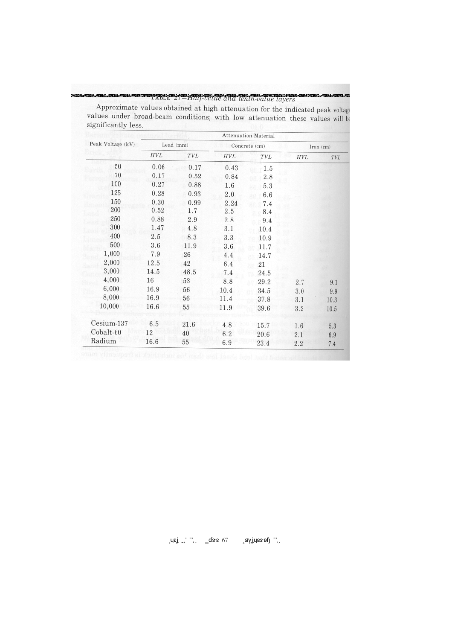# mente a l'astro 21 – Half-value and tenth-value layers

**MESHA** 

| Peak Voltage (kV) | <b>Attenuation Material</b> |            |               |            |           |         |  |  |
|-------------------|-----------------------------|------------|---------------|------------|-----------|---------|--|--|
|                   | Lead (mm)                   |            | Concrete (cm) |            | Iron (cm) |         |  |  |
|                   | <b>HVL</b>                  | <b>TVL</b> | <b>HVL</b>    | <b>TVL</b> | HVL       | TVL     |  |  |
| 50                | 0.06                        | 0.17       | 0.43          | 1.5        |           |         |  |  |
| 70                | 0.17                        | 0.52       | 0.84          | 2.8        |           |         |  |  |
| 100               | 0.27                        | 0.88       | 1.6           | 5.3        |           |         |  |  |
| 125               | 0.28                        | 0.93       | 2.0           | 6.6        |           |         |  |  |
| 150               | 0.30                        | 0.99       | 2.24          | 7.4        |           |         |  |  |
| 200               | 0.52                        | 1.7        | 2.5           | 8.4        |           |         |  |  |
| 250               | 0.88                        | 2.9        | 2.8           | 9.4        |           |         |  |  |
| 300               | 1.47                        | 4.8        | 3.1           | 10.4       |           |         |  |  |
| 400               | 2.5                         | 8.3        | 3.3           | 10.9       |           |         |  |  |
| 500               | 3.6                         | 11.9       | 3.6           | 11.7       |           |         |  |  |
| 1,000             | 7.9                         | 26         | 4.4           | 14.7       |           |         |  |  |
| 2,000             | 12.5                        | 42         | 6.4           | 21         |           |         |  |  |
| 3,000             | 14.5                        | 48.5       | 7.4           | 24.5       |           |         |  |  |
| 4,000             | 16                          | 53         | 8.8           | 29.2       | 2.7       | 9.1     |  |  |
| 6,000             | 16.9                        | 56         | 10.4          | 34.5       | 3.0       | 9.9     |  |  |
| 8,000             | 16.9                        | 56         | 11.4          | 37.8       | 3.1       | 10.3    |  |  |
| 10,000            | 16.6                        | 55         | 11.9          | 39.6       | 3.2       | 10.5    |  |  |
| Cesium-137        | 6.5                         | 21.6       | 4.8           | 15.7       | 1.6       | $5.3\,$ |  |  |
| Cobalt-60         | 12                          | 40         | 6.2           | 20.6       | 2.1       | 6.9     |  |  |
| Radium            | 16.6                        | 55         | 6.9           | 23.4       | 2.2       | 7.4     |  |  |

Approximate values obtained at high attenuation for the indicated peak voltage values under broad-beam conditions; with low attenuation these values will be

24329

l uεj , dæ 67 <sub>\_</sub>σγίμα ερή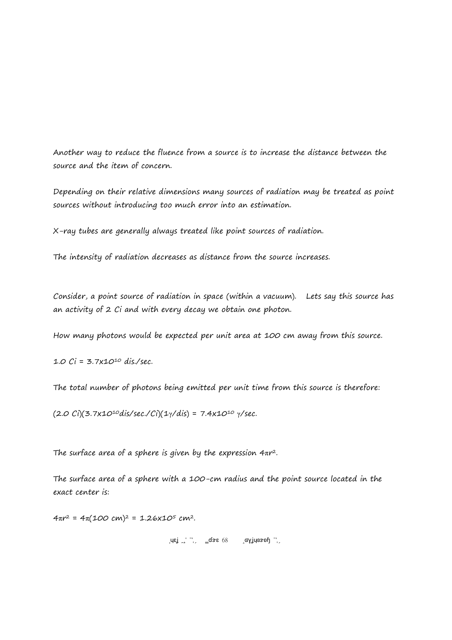Another way to reduce the fluence from a source is to increase the distance between the source and the item of concern.

Depending on their relative dimensions many sources of radiation may be treated as point sources without introducing too much error into an estimation.

X-ray tubes are generally always treated like point sources of radiation.

The intensity of radiation decreases as distance from the source increases.

Consider, a point source of radiation in space (within a vacuum). Lets say this source has an activity of 2 Ci and with every decay we obtain one photon.

How many photons would be expected per unit area at 100 cm away from this source.

1.0  $Ci = 3.7x10^{10}$  dis./sec.

The total number of photons being emitted per unit time from this source is therefore:

(2.0 Ci)(3.7x10<sup>10</sup>dis/sec./Ci)(1y/dis) = 7.4x10<sup>10</sup> y/sec.

The surface area of a sphere is given by the expression 4πr <sup>2</sup>.

The surface area of a sphere with a 100-cm radius and the point source located in the exact center is:

4πr 2 = 4π(100 cm)2 = 1.26x105 cm2.

 $\text{Re}$   $\text{Im}$   $\text{Im}$   $\text{Im}$   $\text{Im}$   $\text{Im}$   $\text{Im}$   $\text{Im}$   $\text{Im}$   $\text{Im}$   $\text{Im}$   $\text{Im}$   $\text{Im}$   $\text{Im}$   $\text{Im}$   $\text{Im}$   $\text{Im}$   $\text{Im}$   $\text{Im}$   $\text{Im}$   $\text{Im}$   $\text{Im}$   $\text{Im}$   $\text{Im}$   $\text{Im}$   $\text{Im}$   $\text{Im}$   $\text{Im$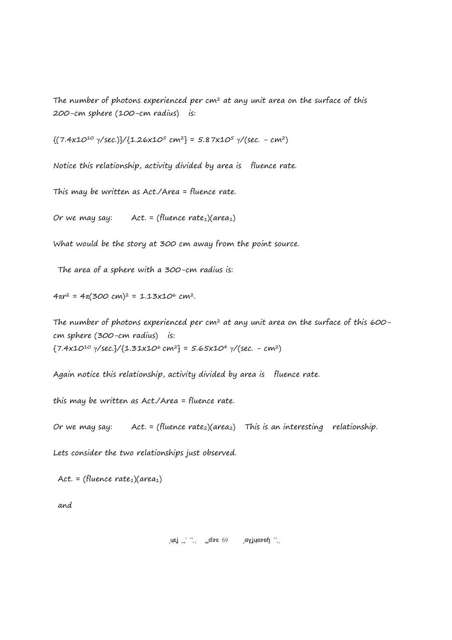The number of photons experienced per  $cm<sup>2</sup>$  at any unit area on the surface of this 200-cm sphere (100-cm radius) is:

 $\{(7.4x10^{10} \text{ y/sec.})\}/[1.26x10^5 \text{ cm}^2] = 5.87x10^5 \text{ y/(sec. - cm^2)}$ 

Notice this relationship, activity divided by area is fluence rate.

This may be written as Act./Area = fluence rate.

Or we may say: Act. = (fluence rate<sub>1</sub>)(area<sub>1</sub>)

What would be the story at 300 cm away from the point source.

The area of a sphere with a 300-cm radius is:

4πr <sup>2</sup> = 4π(300 cm)<sup>2</sup> = 1.13x10<sup>6</sup> cm<sup>2</sup>.

The number of photons experienced per  $cm<sup>2</sup>$  at any unit area on the surface of this 600cm sphere (300-cm radius) is:  ${7.4x10^{10} \gamma/sec.}/{1.31x10^6 cm^2} = 5.65x10^4 \gamma/(sec. - cm^2)$ 

Again notice this relationship, activity divided by area is fluence rate.

this may be written as Act./Area = fluence rate.

Or we may say: Act. = (fluence rate<sub>2</sub>)(area<sub>2</sub>) This is an interesting relationship.

Lets consider the two relationships just observed.

Act. = (fluence rate<sub>1</sub>)(area<sub>1</sub>)

and

$$
\text{arg} \quad \text{arg} \quad \text{arg} \quad \text{arg} \quad \text{arg} \quad \text{arg} \quad \text{arg} \quad \text{arg} \quad \text{arg} \quad \text{arg} \quad \text{arg} \quad \text{arg} \quad \text{arg} \quad \text{arg} \quad \text{arg} \quad \text{arg} \quad \text{arg} \quad \text{arg} \quad \text{arg} \quad \text{arg} \quad \text{arg} \quad \text{arg} \quad \text{arg} \quad \text{arg} \quad \text{arg} \quad \text{arg} \quad \text{arg} \quad \text{arg} \quad \text{arg} \quad \text{arg} \quad \text{arg} \quad \text{arg} \quad \text{arg} \quad \text{arg} \quad \text{arg} \quad \text{arg} \quad \text{arg} \quad \text{arg} \quad \text{arg} \quad \text{arg} \quad \text{arg} \quad \text{arg} \quad \text{arg} \quad \text{arg} \quad \text{arg} \quad \text{arg} \quad \text{arg} \quad \text{arg} \quad \text{arg} \quad \text{arg} \quad \text{arg} \quad \text{arg} \quad \text{arg} \quad \text{arg} \quad \text{arg} \quad \text{arg} \quad \text{arg} \quad \text{arg} \quad \text{arg} \quad \text{arg} \quad \text{arg} \quad \text{arg} \quad \text{arg} \quad \text{arg} \quad \text{arg} \quad \text{arg} \quad \text{arg} \quad \text{arg} \quad \text{arg} \quad \text{arg} \quad \text{arg} \quad \text{arg} \quad \text{arg} \quad \text{arg} \quad \text{arg} \quad \text{arg} \quad \text{arg} \quad \text{arg} \quad \text{arg} \quad \text{arg} \quad \text{arg} \quad \text{arg} \quad \text{arg} \quad \text{arg} \quad \text{arg} \quad \text{arg} \quad \text{arg} \quad \text{arg} \quad \text{arg} \quad \text{arg} \quad \text{arg} \quad \text{arg} \quad \text{arg} \quad \text{arg} \quad \text{arg} \quad \text{arg} \quad \text{arg} \quad \text{arg} \quad \text{arg} \quad \text{arg} \quad \text{arg} \quad \text{arg} \quad \text{arg} \quad \text{arg} \quad \text{arg} \quad \text{arg} \quad \text{arg} \quad \text{arg} \quad \text{arg
$$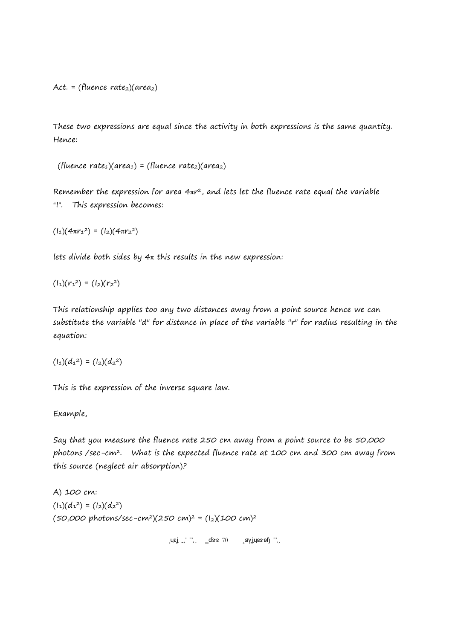Act. = (fluence rate<sub>2</sub>)( $area<sub>2</sub>$ )

These two expressions are equal since the activity in both expressions is the same quantity. Hence:

(fluence rate<sub>1</sub>)(area<sub>1</sub>) = (fluence rate<sub>2</sub>)(area<sub>2</sub>)

Remember the expression for area 4 $\pi r^2$ , and lets let the fluence rate equal the variable "I". This expression becomes:

 $(l_1)(4\pi r_1^2) = (l_2)(4\pi r_2^2)$ 

lets divide both sides by  $4\pi$  this results in the new expression:

 $(l_1)(r_1^2) = (l_2)(r_2^2)$ 

This relationship applies too any two distances away from a point source hence we can substitute the variable "d" for distance in place of the variable "r" for radius resulting in the equation:

$$
(l_1)(d_1^2) = (l_2)(d_2^2)
$$

This is the expression of the inverse square law.

Example,

Say that you measure the fluence rate 250 cm away from a point source to be 50,000 photons /sec-cm<sup>2</sup>. What is the expected fluence rate at 100 cm and 300 cm away from this source (neglect air absorption)?

A) 100 cm:  $(l_1)(d_1^2) = (l_2)(d_2^2)$  $(50,000 \text{ photons/sec}-cm^2)(250 \text{ cm})^2 = (1_2)(100 \text{ cm})^2$ 

 $\text{Re} \left( \text{Re} \left( \text{Re} \left( \text{Im} \left( \text{Im} \left( \text{Im} \left( \text{Im} \left( \text{Im} \left( \text{Im} \left( \text{Im} \left( \text{Im} \left( \text{Im} \left( \text{Im} \left( \text{Im} \left( \text{Im} \left( \text{Im} \left( \text{Im} \left( \text{Im} \left( \text{Im} \left( \text{Im} \left( \text{Im} \left( \text{Im} \left( \text{Im} \left( \text{Im} \left( \text{Im} \left( \text{Im} \left( \text{Im} \left( \text{Im$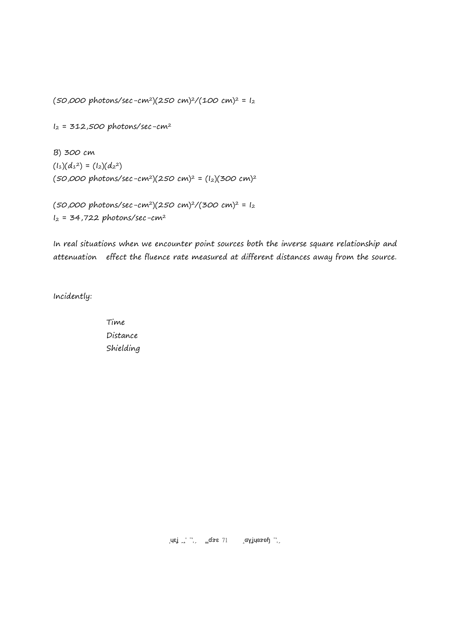(50,000 photons/sec-cm<sup>2</sup>)(250 cm)<sup>2</sup>/(100 cm)<sup>2</sup> =  $I_2$ 

 $I_2$  = 312,500 photons/sec-cm<sup>2</sup>

B) 300 cm  $(l_1)(d_1^2) = (l_2)(d_2^2)$  $(50,000 \text{ photons/sec}-cm^2)(250 \text{ cm})^2 = (I_2)(300 \text{ cm})^2$ 

 $(50,000 \text{ photons/sec}-cm^2)(250 \text{ cm})^2/(300 \text{ cm})^2 = I_2$  $I_2$  = 34,722 photons/sec-cm<sup>2</sup>

In real situations when we encounter point sources both the inverse square relationship and attenuation effect the fluence rate measured at different distances away from the source.

Incidently:

Time Distance Shielding

 $\left[\mathsf{u}\mathsf{e}\right] \begin{bmatrix} 1 \\ 2 \end{bmatrix}$   $\left[\mathsf{g}\mathsf{g}\right]$   $\left[\mathsf{g}\right]$   $\left[\mathsf{g}\right]$   $\left[\mathsf{g}\right]$   $\left[\mathsf{g}\right]$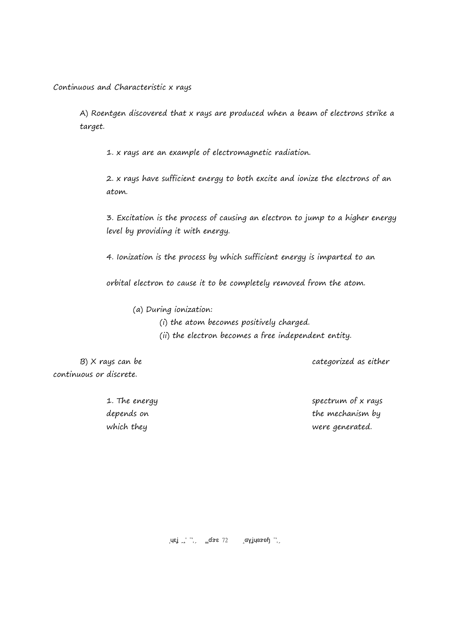Continuous and Characteristic x rays

A) Roentgen discovered that x rays are produced when a beam of electrons strike a target.

1. x rays are an example of electromagnetic radiation.

2. x rays have sufficient energy to both excite and ionize the electrons of an atom.

3. Excitation is the process of causing an electron to jump to a higher energy level by providing it with energy.

4. Ionization is the process by which sufficient energy is imparted to an

orbital electron to cause it to be completely removed from the atom.

(a) During ionization:

- (i) the atom becomes positively charged.
- (ii) the electron becomes a free independent entity.

continuous or discrete.

B) X rays can be categorized as either

1. The energy spectrum of x rays depends on the mechanism by which they were generated.

Brey ISU 2017 Page 72 Copyright 2017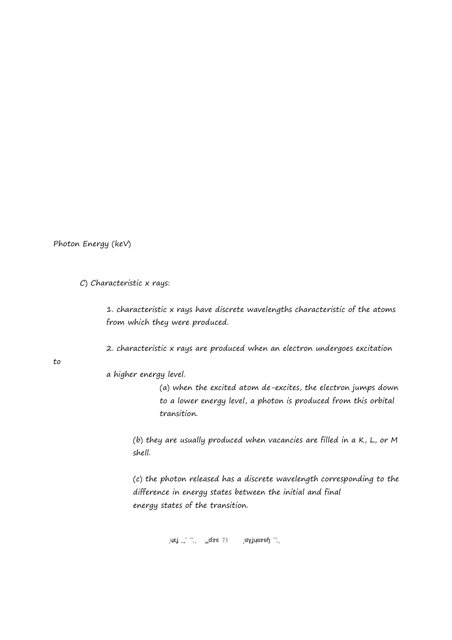Photon Energy (keV)

C) Characteristic x rays:

1. characteristic x rays have discrete wavelengths characteristic of the atoms from which they were produced.

2. characteristic x rays are produced when an electron undergoes excitation

to

a higher energy level.

(a) when the excited atom de-excites, the electron jumps down to a lower energy level, a photon is produced from this orbital transition.

(b) they are usually produced when vacancies are filled in a K, L, or M shell.

(c) the photon released has a discrete wavelength corresponding to the difference in energy states between the initial and final energy states of the transition.

 $\text{Lips}$   $\frac{1}{2}$   $\frac{1}{2}$   $\frac{1}{2}$   $\frac{1}{2}$   $\frac{1}{2}$   $\frac{1}{2}$   $\frac{1}{2}$   $\frac{1}{2}$   $\frac{1}{2}$   $\frac{1}{2}$   $\frac{1}{2}$   $\frac{1}{2}$   $\frac{1}{2}$   $\frac{1}{2}$   $\frac{1}{2}$   $\frac{1}{2}$   $\frac{1}{2}$   $\frac{1}{2}$   $\frac{1}{2}$   $\frac{1}{2}$   $\frac{1}{2}$   $\$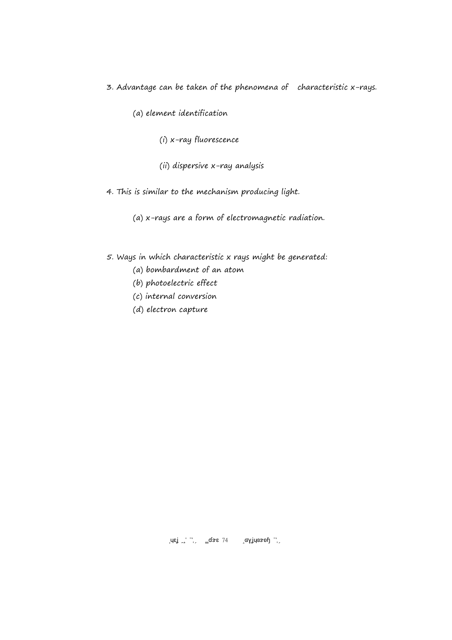- 3. Advantage can be taken of the phenomena of characteristic x-rays.
	- (a) element identification
		- (i) x-ray fluorescence
		- (ii) dispersive x-ray analysis
- 4. This is similar to the mechanism producing light.
	- (a) x-rays are a form of electromagnetic radiation.
- 5. Ways in which characteristic x rays might be generated:
	- (a) bombardment of an atom
	- (b) photoelectric effect
	- (c) internal conversion
	- (d) electron capture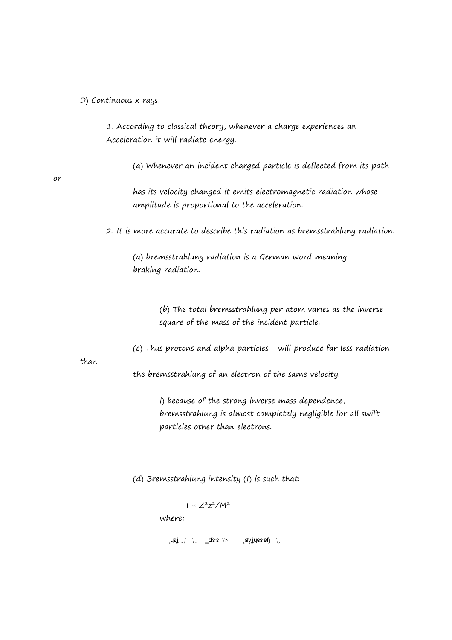D) Continuous x rays:

1. According to classical theory, whenever a charge experiences an Acceleration it will radiate energy.

(a) Whenever an incident charged particle is deflected from its path

or

has its velocity changed it emits electromagnetic radiation whose amplitude is proportional to the acceleration.

2. It is more accurate to describe this radiation as bremsstrahlung radiation.

(a) bremsstrahlung radiation is a German word meaning: braking radiation.

> (b) The total bremsstrahlung per atom varies as the inverse square of the mass of the incident particle.

(c) Thus protons and alpha particles will produce far less radiation

than

the bremsstrahlung of an electron of the same velocity.

i) because of the strong inverse mass dependence, bremsstrahlung is almost completely negligible for all swift particles other than electrons.

(d) Bremsstrahlung intensity (I) is such that:

 $I \propto Z^2 Z^2 / M^2$ where:

 $\text{Lips}$   $\frac{1}{2}$   $\frac{1}{2}$   $\frac{1}{2}$   $\frac{1}{2}$   $\frac{1}{2}$   $\frac{1}{2}$   $\frac{1}{2}$   $\frac{1}{2}$   $\frac{1}{2}$   $\frac{1}{2}$   $\frac{1}{2}$   $\frac{1}{2}$   $\frac{1}{2}$   $\frac{1}{2}$   $\frac{1}{2}$   $\frac{1}{2}$   $\frac{1}{2}$   $\frac{1}{2}$   $\frac{1}{2}$   $\frac{1}{2}$   $\frac{1}{2}$   $\$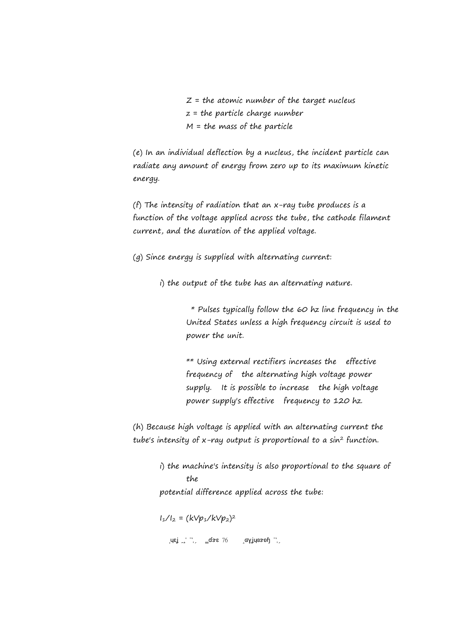$Z =$  the atomic number of the target nucleus  $z =$  the particle charge number  $M =$  the mass of the particle

(e) In an individual deflection by a nucleus, the incident particle can radiate any amount of energy from zero up to its maximum kinetic energy.

(f) The intensity of radiation that an x-ray tube produces is a function of the voltage applied across the tube, the cathode filament current, and the duration of the applied voltage.

(g) Since energy is supplied with alternating current:

i) the output of the tube has an alternating nature.

 \* Pulses typically follow the 60 hz line frequency in the United States unless a high frequency circuit is used to power the unit.

\*\* Using external rectifiers increases the effective frequency of the alternating high voltage power supply. It is possible to increase the high voltage power supply's effective frequency to 120 hz.

(h) Because high voltage is applied with an alternating current the tube's intensity of  $x$ -ray output is proportional to a sin<sup>2</sup> function.

> i) the machine's intensity is also proportional to the square of the potential difference applied across the tube:

I1/I2 = (kVp1/kVp2) 2

 $\text{Re} \left( \frac{1}{2} \right)$   $\text{Re} \left( \frac{1}{2} \right)$   $\text{Re} \left( \frac{1}{2} \right)$   $\text{Re} \left( \frac{1}{2} \right)$   $\text{Re} \left( \frac{1}{2} \right)$   $\text{Im} \left( \frac{1}{2} \right)$   $\text{Im} \left( \frac{1}{2} \right)$   $\text{Im} \left( \frac{1}{2} \right)$   $\text{Im} \left( \frac{1}{2} \right)$   $\text{Im} \left( \frac{1}{2} \right)$   $\text{Im} \left( \frac$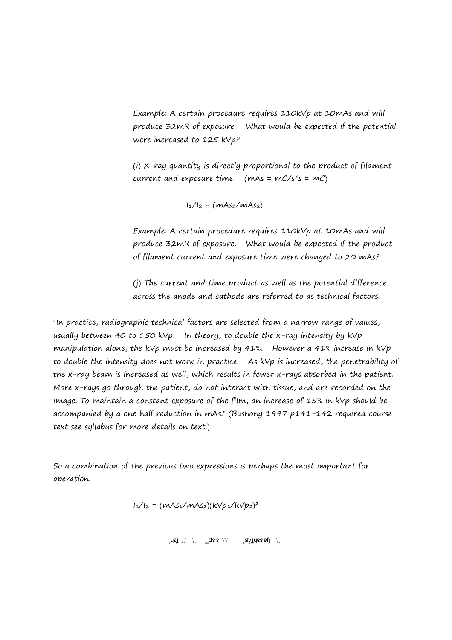Example: A certain procedure requires 110kVp at 10mAs and will produce 32mR of exposure. What would be expected if the potential were increased to 125 kVp?

(i) X-ray quantity is directly proportional to the product of filament current and exposure time. (mAs =  $mC/s*s = mC$ )

 $I_1/I_2 = (mAs_1/mAs_2)$ 

Example: A certain procedure requires 110kVp at 10mAs and will produce 32mR of exposure. What would be expected if the product of filament current and exposure time were changed to 20 mAs?

(j) The current and time product as well as the potential difference across the anode and cathode are referred to as technical factors.

"In practice, radiographic technical factors are selected from a narrow range of values, usually between 40 to 150 kVp. In theory, to double the x-ray intensity by kVp manipulation alone, the kVp must be increased by 41%. However a 41% increase in kVp to double the intensity does not work in practice. As kVp is increased, the penetrability of the x-ray beam is increased as well, which results in fewer x-rays absorbed in the patient. More x-rays go through the patient, do not interact with tissue, and are recorded on the image. To maintain a constant exposure of the film, an increase of 15% in kVp should be accompanied by a one half reduction in mAs." (Bushong 1997 p141-142 required course text see syllabus for more details on text.)

So a combination of the previous two expressions is perhaps the most important for operation:

$$
1_{1}/1_{2} = (mAs_{1}/mAs_{2})(kVp_{1}/kVp_{2})^{2}
$$

 $\begin{bmatrix} \mathsf{L} \mathsf{L} \mathsf{L} \mathsf{L} \mathsf{L} \mathsf{L} \mathsf{L} \mathsf{L} \end{bmatrix} = \begin{bmatrix} \mathsf{L} \mathsf{L} \mathsf{L} \mathsf{L} \mathsf{L} \mathsf{L} \mathsf{L} \mathsf{L} \mathsf{L} \mathsf{L} \mathsf{L} \mathsf{L} \mathsf{L} \mathsf{L} \mathsf{L} \mathsf{L} \mathsf{L} \mathsf{L} \mathsf{L} \mathsf{L} \mathsf{L} \mathsf{L} \mathsf{L} \mathsf{L} \mathsf{L} \mathsf$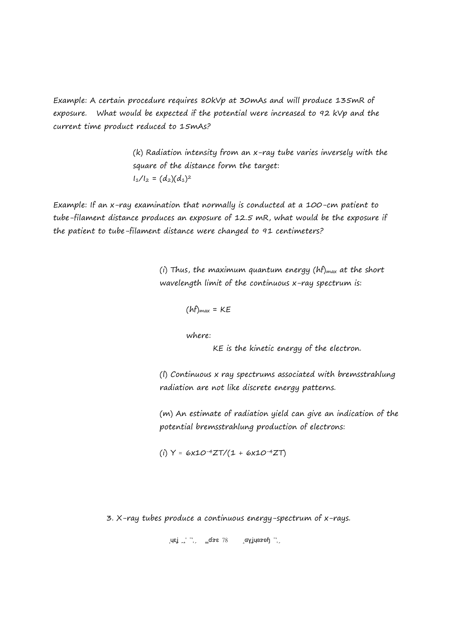Example: A certain procedure requires 80kVp at 30mAs and will produce 135mR of exposure. What would be expected if the potential were increased to 92 kVp and the current time product reduced to 15mAs?

> (k) Radiation intensity from an x-ray tube varies inversely with the square of the distance form the target:  $I_1/I_2 = (d_2)(d_1)^2$

Example: If an x-ray examination that normally is conducted at a 100-cm patient to tube-filament distance produces an exposure of 12.5 mR, what would be the exposure if the patient to tube-filament distance were changed to 91 centimeters?

> (i) Thus, the maximum quantum energy ( $hf$ )<sub>max</sub> at the short wavelength limit of the continuous x-ray spectrum is:

$$
(hf)_{max} = KE
$$

where:

KE is the kinetic energy of the electron.

(l) Continuous x ray spectrums associated with bremsstrahlung radiation are not like discrete energy patterns.

(m) An estimate of radiation yield can give an indication of the potential bremsstrahlung production of electrons:

(i)  $Y \approx 6x10^{-4}ZT/(1 + 6x10^{-4}ZT)$ 

3. X-ray tubes produce a continuous energy-spectrum of x-rays.

$$
\text{arg} \ \text{arg} \ \text{arg} \ \text{arg} \ \text{arg} \ \text{arg} \ \text{arg} \ \text{arg} \ \text{arg} \ \text{arg} \ \text{arg} \ \text{arg} \ \text{arg} \ \text{arg} \ \text{arg} \ \text{arg} \ \text{arg} \ \text{arg} \ \text{arg} \ \text{arg} \ \text{arg} \ \text{arg} \ \text{arg} \ \text{arg} \ \text{arg} \ \text{arg} \ \text{arg} \ \text{arg} \ \text{arg} \ \text{arg} \ \text{arg} \ \text{arg} \ \text{arg} \ \text{arg} \ \text{arg} \ \text{arg} \ \text{arg} \ \text{arg} \ \text{arg} \ \text{arg} \ \text{arg} \ \text{arg} \ \text{arg} \ \text{arg} \ \text{arg} \ \text{arg} \ \text{arg} \ \text{arg} \ \text{arg} \ \text{arg} \ \text{arg} \ \text{arg} \ \text{arg} \ \text{arg} \ \text{arg} \ \text{arg} \ \text{arg} \ \text{arg} \ \text{arg} \ \text{arg} \ \text{arg} \ \text{arg} \ \text{arg} \ \text{arg} \ \text{arg} \ \text{arg} \ \text{arg} \ \text{arg} \ \text{arg} \ \text{arg} \ \text{arg} \ \text{arg} \ \text{arg} \ \text{arg} \ \text{arg} \ \text{arg} \ \text{arg} \ \text{arg} \ \text{arg} \ \text{arg} \ \text{arg} \ \text{arg} \ \text{arg} \ \text{arg} \ \text{arg} \ \text{arg} \ \text{arg} \ \text{arg} \ \text{arg} \ \text{arg} \ \text{arg} \ \text{arg} \ \text{arg} \ \text{arg} \ \text{arg} \ \text{arg} \ \text{arg} \ \text{arg} \ \text{arg} \ \text{arg} \ \text{arg} \ \text{arg} \ \text{arg} \ \text{arg} \ \text{arg} \ \text{arg} \ \text{arg} \ \text{arg} \ \text{arg} \ \text{arg} \ \text{arg} \ \text{arg} \ \text{arg} \ \text{arg} \ \text{arg} \ \text{arg} \ \text{arg} \ \text{arg} \ \text{arg} \ \text{arg} \ \text{arg} \ \text{arg} \ \text{arg} \ \text{arg} \ \text{arg} \ \text{arg} \ \text{arg
$$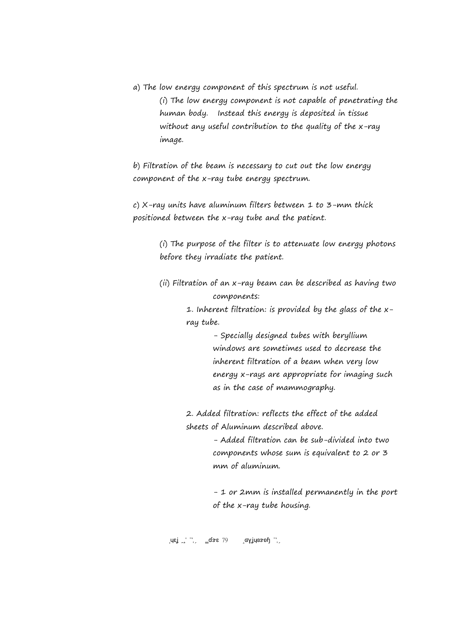a) The low energy component of this spectrum is not useful. (i) The low energy component is not capable of penetrating the human body. Instead this energy is deposited in tissue without any useful contribution to the quality of the x-ray image.

b) Filtration of the beam is necessary to cut out the low energy component of the x-ray tube energy spectrum.

c)  $X$ -ray units have aluminum filters between  $1$  to  $3$ -mm thick positioned between the x-ray tube and the patient.

> (i) The purpose of the filter is to attenuate low energy photons before they irradiate the patient.

> (ii) Filtration of an x-ray beam can be described as having two components:

> > 1. Inherent filtration: is provided by the glass of the xray tube.

> > > - Specially designed tubes with beryllium windows are sometimes used to decrease the inherent filtration of a beam when very low energy x-rays are appropriate for imaging such as in the case of mammography.

2. Added filtration: reflects the effect of the added sheets of Aluminum described above.

> - Added filtration can be sub-divided into two components whose sum is equivalent to 2 or 3 mm of aluminum.

- 1 or 2mm is installed permanently in the port of the x-ray tube housing.

 $\begin{bmatrix} \n\sqrt{2} & \sqrt{2} & \sqrt{2} \\
\sqrt{2} & \sqrt{2} & \sqrt{2} & \sqrt{2} \\
\sqrt{2} & \sqrt{2} & \sqrt{2} & \sqrt{2} \\
\sqrt{2} & \sqrt{2} & \sqrt{2} & \sqrt{2} \\
\sqrt{2} & \sqrt{2} & \sqrt{2} & \sqrt{2} \\
\sqrt{2} & \sqrt{2} & \sqrt{2} & \sqrt{2} \\
\sqrt{2} & \sqrt{2} & \sqrt{2} & \sqrt{2} \\
\sqrt{2} & \sqrt{2} & \sqrt{2} & \sqrt{2} \\
\sqrt{2} & \sqrt{2} & \sqrt{2} & \sqrt{2} \\
\sqrt$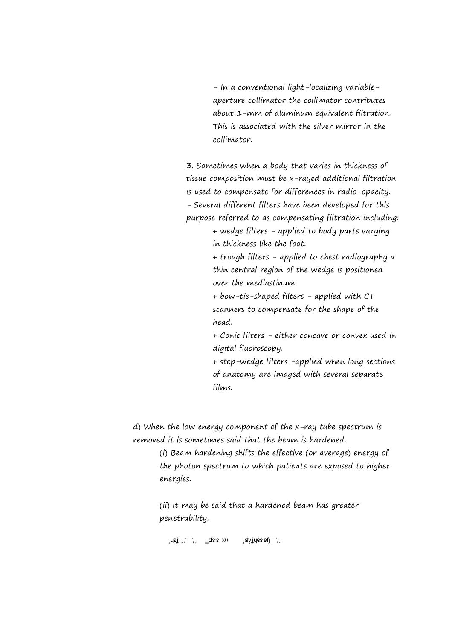- In a conventional light-localizing variableaperture collimator the collimator contributes about 1-mm of aluminum equivalent filtration. This is associated with the silver mirror in the collimator.

3. Sometimes when a body that varies in thickness of tissue composition must be x-rayed additional filtration is used to compensate for differences in radio-opacity. - Several different filters have been developed for this purpose referred to as compensating filtration including:

> + wedge filters - applied to body parts varying in thickness like the foot.

> + trough filters - applied to chest radiography a thin central region of the wedge is positioned over the mediastinum.

+ bow-tie-shaped filters - applied with CT scanners to compensate for the shape of the head.

+ Conic filters - either concave or convex used in digital fluoroscopy.

+ step-wedge filters -applied when long sections of anatomy are imaged with several separate films.

d) When the low energy component of the x-ray tube spectrum is removed it is sometimes said that the beam is hardened.

> (i) Beam hardening shifts the effective (or average) energy of the photon spectrum to which patients are exposed to higher energies.

(ii) It may be said that a hardened beam has greater penetrability.

Brey ISU 2017 Page 80 Copyright 2017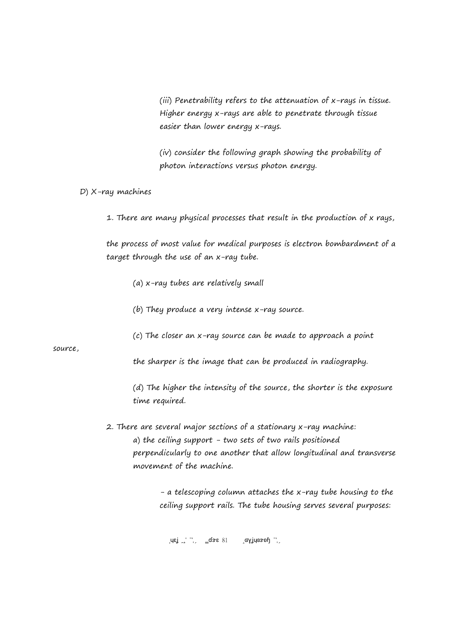(iii) Penetrability refers to the attenuation of x-rays in tissue. Higher energy x-rays are able to penetrate through tissue easier than lower energy x-rays.

(iv) consider the following graph showing the probability of photon interactions versus photon energy.

D) X-ray machines

1. There are many physical processes that result in the production of x rays,

the process of most value for medical purposes is electron bombardment of a target through the use of an x-ray tube.

- (a) x-ray tubes are relatively small
- (b) They produce a very intense x-ray source.
- (c) The closer an x-ray source can be made to approach a point

source,

the sharper is the image that can be produced in radiography.

(d) The higher the intensity of the source, the shorter is the exposure time required.

2. There are several major sections of a stationary x-ray machine: a) the ceiling support - two sets of two rails positioned perpendicularly to one another that allow longitudinal and transverse movement of the machine.

> - a telescoping column attaches the x-ray tube housing to the ceiling support rails. The tube housing serves several purposes:

 $\begin{bmatrix} \mathsf{L} \mathsf{B} \mathsf{B} \end{bmatrix}$   $\begin{bmatrix} \mathsf{L} \mathsf{B} \end{bmatrix}$   $\begin{bmatrix} \mathsf{L} \mathsf{B} \end{bmatrix}$   $\begin{bmatrix} \mathsf{L} \mathsf{B} \end{bmatrix}$   $\begin{bmatrix} \mathsf{L} \mathsf{B} \end{bmatrix}$   $\begin{bmatrix} \mathsf{L} \mathsf{B} \end{bmatrix}$   $\begin{bmatrix} \mathsf{L} \mathsf{B} \end{bmatrix}$   $\begin{bmatrix} \mathsf{L} \mathsf{B} \end{bmatrix}$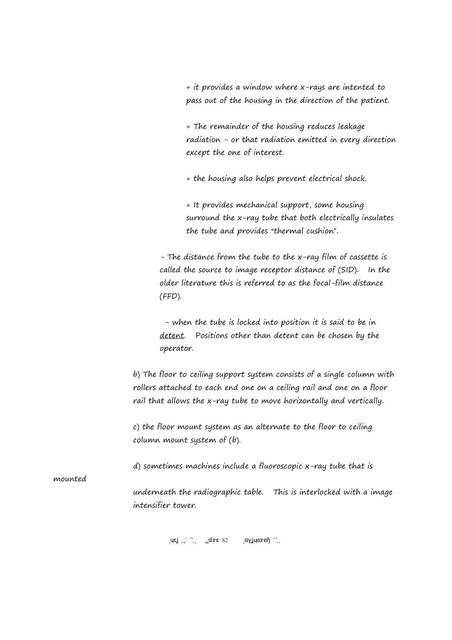+ it provides a window where x-rays are intented to pass out of the housing in the direction of the patient.

+ The remainder of the housing reduces leakage radiation - or that radiation emitted in every direction except the one of interest.

+ the housing also helps prevent electrical shock.

+ It provides mechanical support, some housing surround the x-ray tube that both electrically insulates the tube and provides "thermal cushion".

- The distance from the tube to the x-ray film of cassette is called the source to image receptor distance of (SID). In the older literature this is referred to as the focal-film distance (FFD).

 - when the tube is locked into position it is said to be in detent. Positions other than detent can be chosen by the operator.

b) The floor to ceiling support system consists of a single column with rollers attached to each end one on a ceiling rail and one on a floor rail that allows the x-ray tube to move horizontally and vertically.

c) the floor mount system as an alternate to the floor to ceiling column mount system of (b).

d) sometimes machines include a fluoroscopic x-ray tube that is

mounted

underneath the radiographic table. This is interlocked with a image intensifier tower.

 $\sigma$ uej  $\sigma'$   $\sigma'$   $\sigma'$   $\sigma'$   $\sigma'$   $\sigma'$   $\sigma'$   $\sigma'$   $\sigma'$   $\sigma'$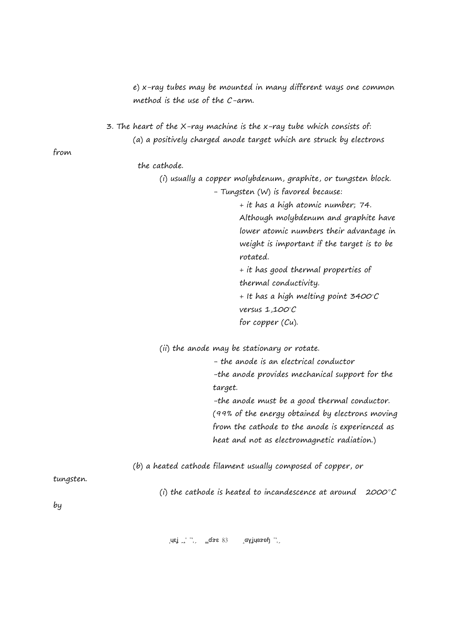e) x-ray tubes may be mounted in many different ways one common method is the use of the C-arm.

3. The heart of the X-ray machine is the x-ray tube which consists of: (a) a positively charged anode target which are struck by electrons

from

the cathode.

(i) usually a copper molybdenum, graphite, or tungsten block. - Tungsten (W) is favored because:

> + it has a high atomic number; 74. Although molybdenum and graphite have lower atomic numbers their advantage in weight is important if the target is to be rotated.

+ it has good thermal properties of thermal conductivity.

+ It has a high melting point  $3400^{\circ}$ C versus  $1,100^{\circ}$ C for copper (Cu).

(ii) the anode may be stationary or rotate.

- the anode is an electrical conductor -the anode provides mechanical support for the target.

-the anode must be a good thermal conductor. (99% of the energy obtained by electrons moving from the cathode to the anode is experienced as heat and not as electromagnetic radiation.)

(b) a heated cathode filament usually composed of copper, or

tungsten.

(i) the cathode is heated to incandescence at around  $2000^{\circ}C$ 

by

 $\mu$ ej <sup>1</sup>,  $\frac{1}{2}$   $\sigma$ se 83  $\sigma$  (syjugs of  $\frac{1}{2}$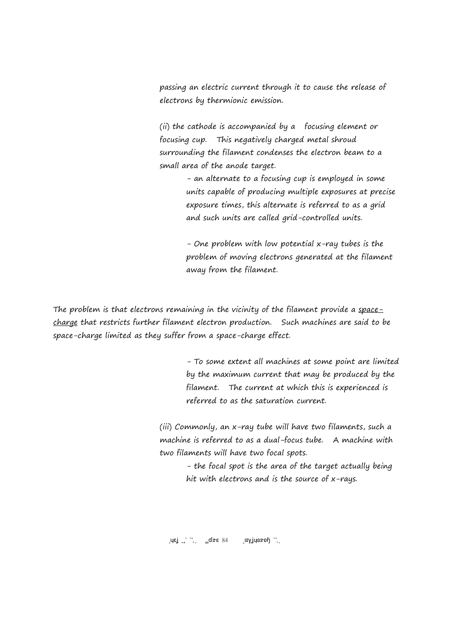passing an electric current through it to cause the release of electrons by thermionic emission.

(ii) the cathode is accompanied by a focusing element or focusing cup. This negatively charged metal shroud surrounding the filament condenses the electron beam to a small area of the anode target.

> - an alternate to a focusing cup is employed in some units capable of producing multiple exposures at precise exposure times, this alternate is referred to as a grid and such units are called grid-controlled units.

- One problem with low potential x-ray tubes is the problem of moving electrons generated at the filament away from the filament.

The problem is that electrons remaining in the vicinity of the filament provide a spacecharge that restricts further filament electron production. Such machines are said to be space-charge limited as they suffer from a space-charge effect.

> - To some extent all machines at some point are limited by the maximum current that may be produced by the filament. The current at which this is experienced is referred to as the saturation current.

(iii) Commonly, an x-ray tube will have two filaments, such a machine is referred to as a dual-focus tube. A machine with two filaments will have two focal spots.

> - the focal spot is the area of the target actually being hit with electrons and is the source of x-rays.

 $\text{Lqs}_{\text{B}}$   $\text{L}$   $\text{L}$   $\text{L}$   $\text{L}$   $\text{L}$   $\text{L}$   $\text{L}$   $\text{L}$   $\text{L}$   $\text{L}$   $\text{L}$   $\text{L}$   $\text{L}$   $\text{L}$   $\text{L}$   $\text{L}$   $\text{L}$   $\text{L}$   $\text{L}$   $\text{L}$   $\text{L}$   $\text{L}$   $\text{L}$   $\text{L}$   $\text{L}$   $\text{L}$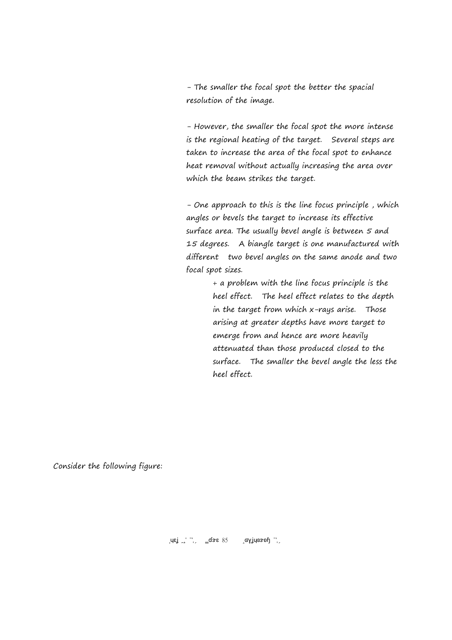- The smaller the focal spot the better the spacial resolution of the image.

- However, the smaller the focal spot the more intense is the regional heating of the target. Several steps are taken to increase the area of the focal spot to enhance heat removal without actually increasing the area over which the beam strikes the target.

- One approach to this is the line focus principle , which angles or bevels the target to increase its effective surface area. The usually bevel angle is between 5 and 15 degrees. A biangle target is one manufactured with different two bevel angles on the same anode and two focal spot sizes.

> + a problem with the line focus principle is the heel effect. The heel effect relates to the depth in the target from which x-rays arise. Those arising at greater depths have more target to emerge from and hence are more heavily attenuated than those produced closed to the surface. The smaller the bevel angle the less the heel effect.

Consider the following figure: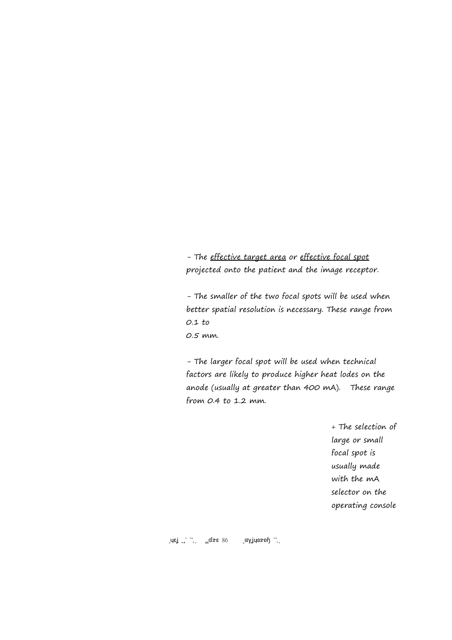- The effective target area or effective focal spot projected onto the patient and the image receptor.

- The smaller of the two focal spots will be used when better spatial resolution is necessary. These range from 0.1 to 0.5 mm.

- The larger focal spot will be used when technical factors are likely to produce higher heat lodes on the anode (usually at greater than 400 mA). These range from 0.4 to 1.2 mm.

> + The selection of large or small focal spot is usually made with the mA selector on the operating console

 $\sigma$ usi  $\sigma$  2018  $\sigma$  2018 Page 11, is  $\sigma$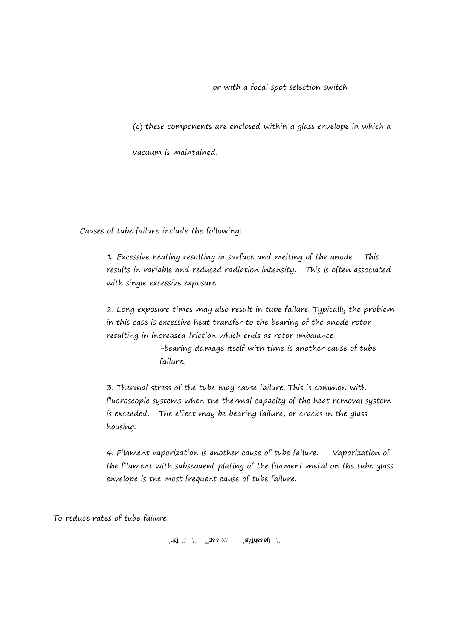or with a focal spot selection switch.

(c) these components are enclosed within a glass envelope in which a

vacuum is maintained.

Causes of tube failure include the following:

1. Excessive heating resulting in surface and melting of the anode. This results in variable and reduced radiation intensity. This is often associated with single excessive exposure.

2. Long exposure times may also result in tube failure. Typically the problem in this case is excessive heat transfer to the bearing of the anode rotor resulting in increased friction which ends as rotor imbalance.

> -bearing damage itself with time is another cause of tube failure.

3. Thermal stress of the tube may cause failure. This is common with fluoroscopic systems when the thermal capacity of the heat removal system is exceeded. The effect may be bearing failure, or cracks in the glass housing.

4. Filament vaporization is another cause of tube failure. Vaporization of the filament with subsequent plating of the filament metal on the tube glass envelope is the most frequent cause of tube failure.

To reduce rates of tube failure:

 $\mathcal{L}$  Is  $\mathcal{L}$   $\mathcal{L}$   $\mathcal{L}$   $\mathcal{L}$   $\mathcal{L}$   $\mathcal{L}$   $\mathcal{L}$   $\mathcal{L}$   $\mathcal{L}$   $\mathcal{L}$   $\mathcal{L}$   $\mathcal{L}$   $\mathcal{L}$   $\mathcal{L}$   $\mathcal{L}$   $\mathcal{L}$   $\mathcal{L}$   $\mathcal{L}$   $\mathcal{L}$   $\mathcal{L}$   $\mathcal{L}$   $\mathcal{L}$   $\mathcal{L}$   $\$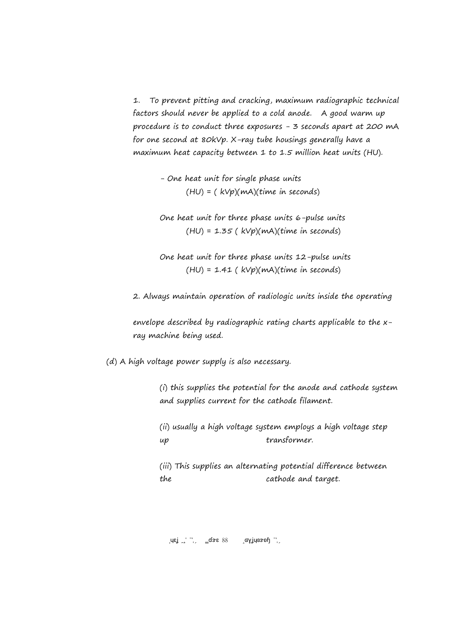1. To prevent pitting and cracking, maximum radiographic technical factors should never be applied to a cold anode. A good warm up procedure is to conduct three exposures - 3 seconds apart at 200 mA for one second at 80kVp. X-ray tube housings generally have a maximum heat capacity between 1 to 1.5 million heat units (HU).

> - One heat unit for single phase units  $(HU) = (kVp)(mA)(time in seconds)$

One heat unit for three phase units 6-pulse units  $(HU) = 1.35$  ( $kVp$ )(mA)(time in seconds)

One heat unit for three phase units 12-pulse units  $(HU) = 1.41$  (  $kVp$ )(mA)(time in seconds)

2. Always maintain operation of radiologic units inside the operating

envelope described by radiographic rating charts applicable to the xray machine being used.

(d) A high voltage power supply is also necessary.

(i) this supplies the potential for the anode and cathode system and supplies current for the cathode filament.

(ii) usually a high voltage system employs a high voltage step up transformer.

(iii) This supplies an alternating potential difference between the cathode and target.

 $\sigma_{\rm B}$   $\sigma_{\rm B}$   $\sigma_{\rm B}$   $\sigma_{\rm B}$   $\sigma_{\rm B}$   $\sigma_{\rm B}$   $\sigma_{\rm B}$   $\sigma_{\rm B}$   $\sigma_{\rm B}$   $\sigma_{\rm B}$   $\sigma_{\rm B}$   $\sigma_{\rm B}$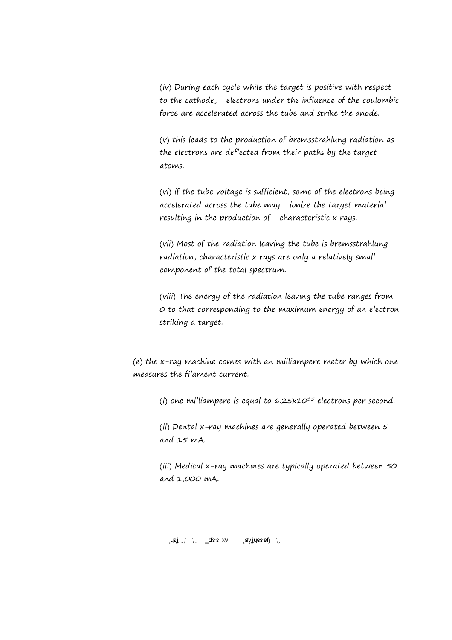(iv) During each cycle while the target is positive with respect to the cathode, electrons under the influence of the coulombic force are accelerated across the tube and strike the anode.

(v) this leads to the production of bremsstrahlung radiation as the electrons are deflected from their paths by the target atoms.

(vi) if the tube voltage is sufficient, some of the electrons being accelerated across the tube may ionize the target material resulting in the production of characteristic x rays.

(vii) Most of the radiation leaving the tube is bremsstrahlung radiation, characteristic x rays are only a relatively small component of the total spectrum.

(viii) The energy of the radiation leaving the tube ranges from 0 to that corresponding to the maximum energy of an electron striking a target.

(e) the x-ray machine comes with an milliampere meter by which one measures the filament current.

(i) one milliampere is equal to  $6.25x10^{15}$  electrons per second.

(ii) Dental x-ray machines are generally operated between 5 and 15 mA.

(iii) Medical x-ray machines are typically operated between 50 and 1,000 mA.

 $\sigma_{\rm B}$   $\sigma_{\rm B}$   $\sigma_{\rm B}$   $\sigma_{\rm B}$   $\sigma_{\rm B}$   $\sigma_{\rm B}$   $\sigma_{\rm B}$   $\sigma_{\rm B}$   $\sigma_{\rm B}$   $\sigma_{\rm B}$   $\sigma_{\rm B}$   $\sigma_{\rm B}$   $\sigma_{\rm B}$   $\sigma_{\rm B}$   $\sigma_{\rm B}$   $\sigma_{\rm B}$   $\sigma_{\rm B}$   $\sigma_{\rm B}$   $\sigma_{\rm B}$   $\sigma_{\rm B}$   $\sigma_{\rm B}$   $\sigma_{\rm B}$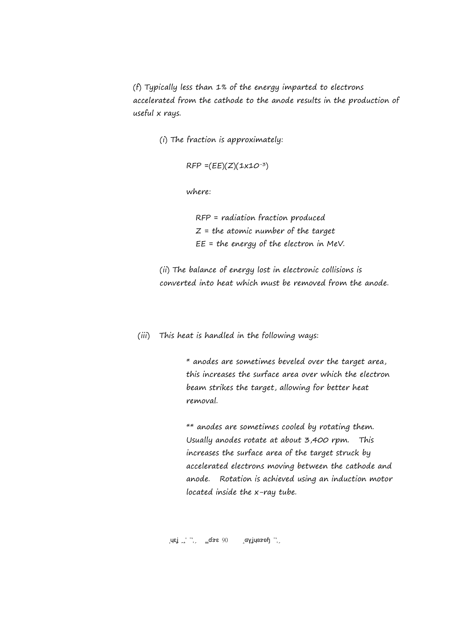(f) Typically less than 1% of the energy imparted to electrons accelerated from the cathode to the anode results in the production of useful x rays.

(i) The fraction is approximately:

 $RFP = (EE)(Z)(1x10^{-3})$ 

where:

 RFP = radiation fraction produced  $Z =$  the atomic number of the target  $EE =$  the energy of the electron in MeV.

(ii) The balance of energy lost in electronic collisions is converted into heat which must be removed from the anode.

(iii) This heat is handled in the following ways:

\* anodes are sometimes beveled over the target area, this increases the surface area over which the electron beam strikes the target, allowing for better heat removal.

\*\* anodes are sometimes cooled by rotating them. Usually anodes rotate at about 3,400 rpm. This increases the surface area of the target struck by accelerated electrons moving between the cathode and anode. Rotation is achieved using an induction motor located inside the x-ray tube.

 $\sigma$ uej  $\sigma'$   $\sigma'$   $\sigma'$   $\sigma'$   $\sigma'$   $\sigma'$   $\sigma'$   $\sigma'$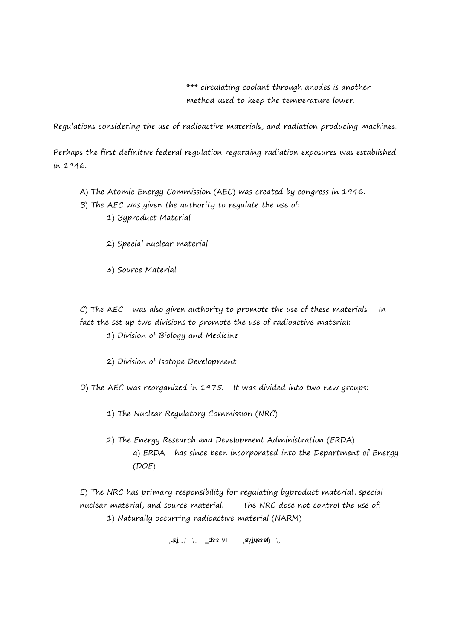\*\*\* circulating coolant through anodes is another method used to keep the temperature lower.

Regulations considering the use of radioactive materials, and radiation producing machines.

Perhaps the first definitive federal regulation regarding radiation exposures was established in 1946.

- A) The Atomic Energy Commission (AEC) was created by congress in 1946.
- B) The AEC was given the authority to regulate the use of:
	- 1) Byproduct Material
	- 2) Special nuclear material
	- 3) Source Material

C) The AEC was also given authority to promote the use of these materials. In fact the set up two divisions to promote the use of radioactive material:

- 1) Division of Biology and Medicine
- 2) Division of Isotope Development
- D) The AEC was reorganized in 1975. It was divided into two new groups:
	- 1) The Nuclear Regulatory Commission (NRC)
	- 2) The Energy Research and Development Administration (ERDA) a) ERDA has since been incorporated into the Department of Energy (DOE)

E) The NRC has primary responsibility for regulating byproduct material, special nuclear material, and source material. The NRC dose not control the use of: 1) Naturally occurring radioactive material (NARM)

 $\mu$ ej <sup>1</sup>,  $\Delta$  2017 Page 91 Page 91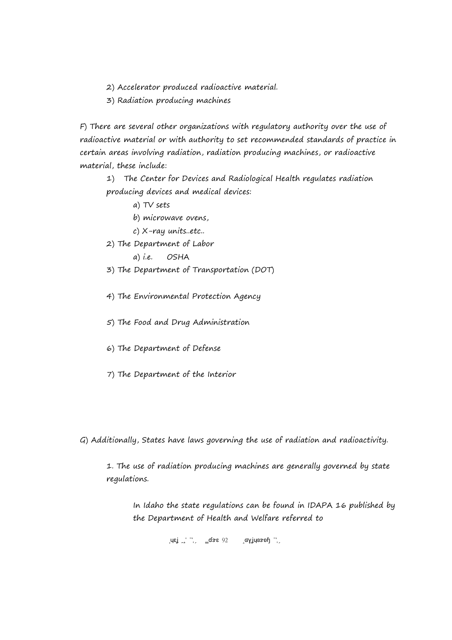2) Accelerator produced radioactive material.

3) Radiation producing machines

F) There are several other organizations with regulatory authority over the use of radioactive material or with authority to set recommended standards of practice in certain areas involving radiation, radiation producing machines, or radioactive material, these include:

1) The Center for Devices and Radiological Health regulates radiation producing devices and medical devices:

a) TV sets

b) microwave ovens,

c) X-ray units..etc..

2) The Department of Labor

a) i.e. OSHA

- 3) The Department of Transportation (DOT)
- 4) The Environmental Protection Agency
- 5) The Food and Drug Administration
- 6) The Department of Defense
- 7) The Department of the Interior

G) Additionally, States have laws governing the use of radiation and radioactivity.

1. The use of radiation producing machines are generally governed by state regulations.

In Idaho the state regulations can be found in IDAPA 16 published by the Department of Health and Welfare referred to

 $\text{LMS}$   $\text{LMS}$   $\text{LMS}$   $\text{LMS}$   $\text{LMS}$   $\text{LMS}$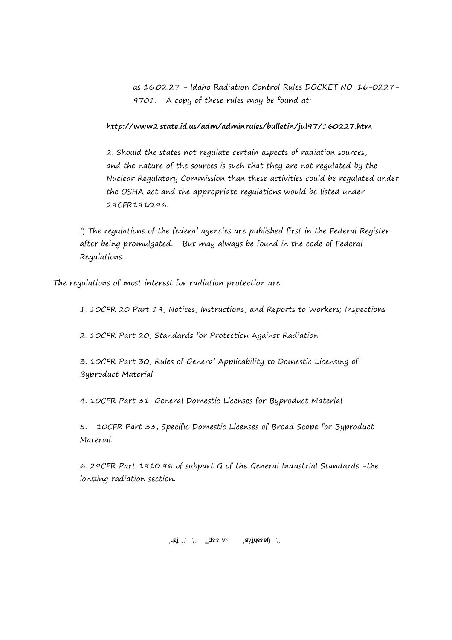as 16.02.27 - Idaho Radiation Control Rules DOCKET NO. 16-0227- 9701. A copy of these rules may be found at:

## **http://www2.state.id.us/adm/adminrules/bulletin/jul97/160227.htm**

2. Should the states not regulate certain aspects of radiation sources, and the nature of the sources is such that they are not regulated by the Nuclear Regulatory Commission than these activities could be regulated under the OSHA act and the appropriate regulations would be listed under 29CFR1910.96.

I) The regulations of the federal agencies are published first in the Federal Register after being promulgated. But may always be found in the code of Federal Regulations.

The regulations of most interest for radiation protection are:

1. 10CFR 20 Part 19, Notices, Instructions, and Reports to Workers; Inspections

2. 10CFR Part 20, Standards for Protection Against Radiation

3. 10CFR Part 30, Rules of General Applicability to Domestic Licensing of Byproduct Material

4. 10CFR Part 31, General Domestic Licenses for Byproduct Material

5. 10CFR Part 33, Specific Domestic Licenses of Broad Scope for Byproduct Material.

6. 29CFR Part 1910.96 of subpart G of the General Industrial Standards -the ionizing radiation section.

Brey ISU 2017 Page 93 Copyright 2017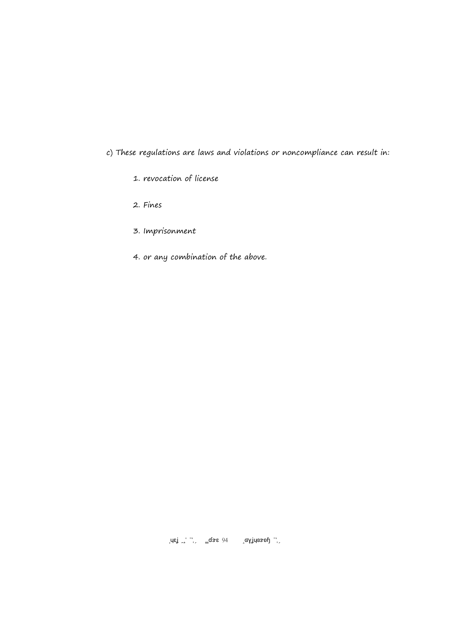c) These regulations are laws and violations or noncompliance can result in:

- 1. revocation of license
- 2. Fines
- 3. Imprisonment
- 4. or any combination of the above.

 $\mathcal{L}$ i 2018 Page 94 Copyright 2017 Page 14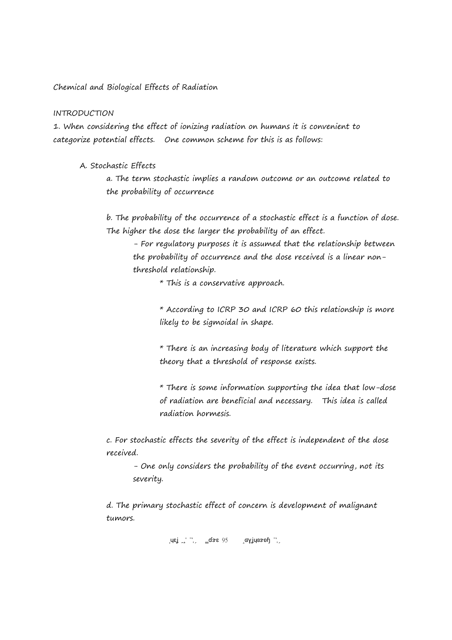Chemical and Biological Effects of Radiation

#### INTRODUCTION

1. When considering the effect of ionizing radiation on humans it is convenient to categorize potential effects. One common scheme for this is as follows:

A. Stochastic Effects

a. The term stochastic implies a random outcome or an outcome related to the probability of occurrence

b. The probability of the occurrence of a stochastic effect is a function of dose. The higher the dose the larger the probability of an effect.

- For regulatory purposes it is assumed that the relationship between the probability of occurrence and the dose received is a linear nonthreshold relationship.

\* This is a conservative approach.

\* According to ICRP 30 and ICRP 60 this relationship is more likely to be sigmoidal in shape.

\* There is an increasing body of literature which support the theory that a threshold of response exists.

\* There is some information supporting the idea that low-dose of radiation are beneficial and necessary. This idea is called radiation hormesis.

c. For stochastic effects the severity of the effect is independent of the dose received.

- One only considers the probability of the event occurring, not its severity.

d. The primary stochastic effect of concern is development of malignant tumors.

 $\mu$ ej <sup>1</sup>,  $\frac{1}{2}$ dse 95  $\frac{1}{2}$ gyjucsoh 2017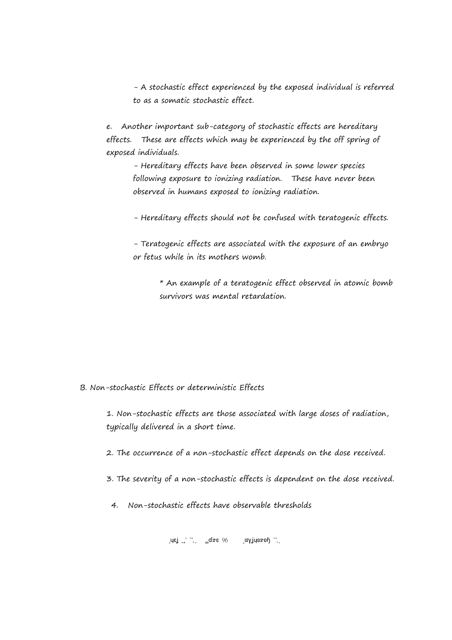- A stochastic effect experienced by the exposed individual is referred to as a somatic stochastic effect.

e. Another important sub-category of stochastic effects are hereditary effects. These are effects which may be experienced by the off spring of exposed individuals.

- Hereditary effects have been observed in some lower species following exposure to ionizing radiation. These have never been observed in humans exposed to ionizing radiation.

- Hereditary effects should not be confused with teratogenic effects.

- Teratogenic effects are associated with the exposure of an embryo or fetus while in its mothers womb.

> \* An example of a teratogenic effect observed in atomic bomb survivors was mental retardation.

# B. Non-stochastic Effects or deterministic Effects

1. Non-stochastic effects are those associated with large doses of radiation, typically delivered in a short time.

2. The occurrence of a non-stochastic effect depends on the dose received.

3. The severity of a non-stochastic effects is dependent on the dose received.

4. Non-stochastic effects have observable thresholds

 $\sigma$ uej  $\sigma'$   $\sigma'$   $\sigma'$   $\sigma'$   $\sigma'$   $\sigma'$   $\sigma'$   $\sigma'$   $\sigma'$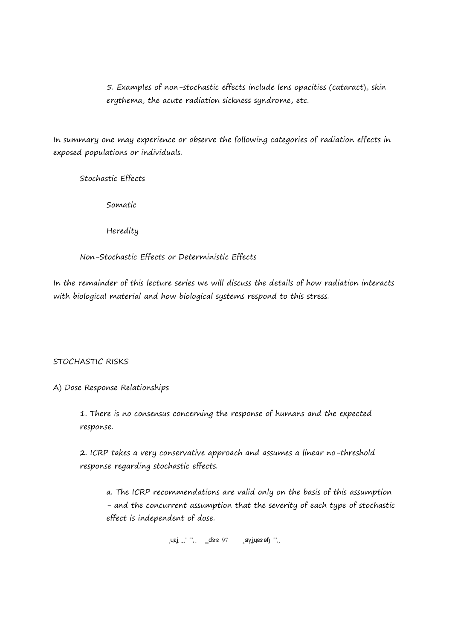5. Examples of non-stochastic effects include lens opacities (cataract), skin erythema, the acute radiation sickness syndrome, etc.

In summary one may experience or observe the following categories of radiation effects in exposed populations or individuals.

Stochastic Effects

Somatic

Heredity

Non-Stochastic Effects or Deterministic Effects

In the remainder of this lecture series we will discuss the details of how radiation interacts with biological material and how biological systems respond to this stress.

# STOCHASTIC RISKS

# A) Dose Response Relationships

1. There is no consensus concerning the response of humans and the expected response.

2. ICRP takes a very conservative approach and assumes a linear no-threshold response regarding stochastic effects.

a. The ICRP recommendations are valid only on the basis of this assumption - and the concurrent assumption that the severity of each type of stochastic effect is independent of dose.

 $\text{Lqs}_{\text{max}}$   $\frac{1}{2}$   $\frac{1}{2}$   $\frac{1}{2}$   $\frac{1}{2}$   $\frac{1}{2}$   $\frac{1}{2}$   $\frac{1}{2}$   $\frac{1}{2}$   $\frac{1}{2}$   $\frac{1}{2}$   $\frac{1}{2}$   $\frac{1}{2}$   $\frac{1}{2}$   $\frac{1}{2}$   $\frac{1}{2}$   $\frac{1}{2}$   $\frac{1}{2}$   $\frac{1}{2}$   $\frac{1}{2}$   $\frac{1}{2}$   $\frac{1}{2$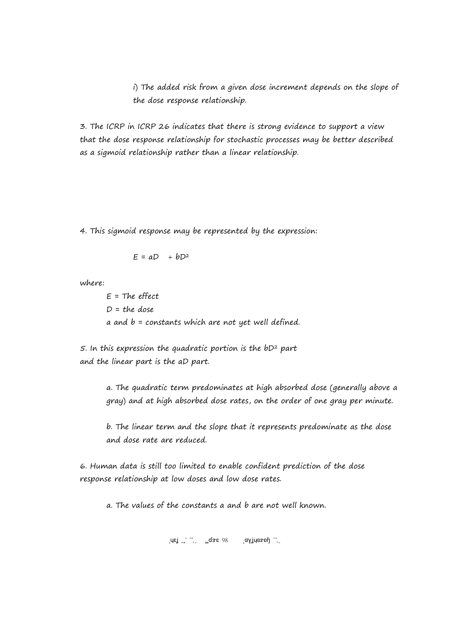i) The added risk from a given dose increment depends on the slope of the dose response relationship.

3. The ICRP in ICRP 26 indicates that there is strong evidence to support a view that the dose response relationship for stochastic processes may be better described as a sigmoid relationship rather than a linear relationship.

4. This sigmoid response may be represented by the expression:

$$
E = aD + bD^2
$$

where:

 $E = The effect$  $D = the$  dose a and  $b =$  constants which are not yet well defined.

 $5.$  In this expression the quadratic portion is the  $bD<sup>2</sup>$  part and the linear part is the aD part.

> a. The quadratic term predominates at high absorbed dose (generally above a gray) and at high absorbed dose rates, on the order of one gray per minute.

b. The linear term and the slope that it represents predominate as the dose and dose rate are reduced.

6. Human data is still too limited to enable confident prediction of the dose response relationship at low doses and low dose rates.

a. The values of the constants a and b are not well known.

 $\mathcal{L}$  Islamic 2018 Page 2018 Page 12018 Page 2018 Page 2018 Page 2018 Page 2018 Page 2018 Page 2017 Page 2018 Page 2017 Page 2018 Page 2018 Page 2018 Page 2018 Page 2018 Page 2018 Page 2018 Page 2018 Page 2018 Page 201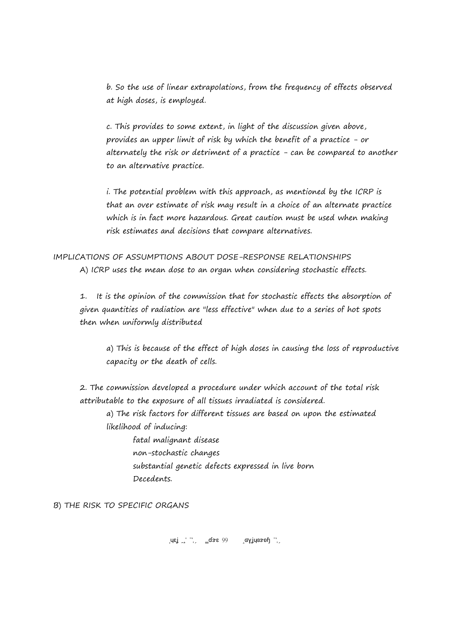b. So the use of linear extrapolations, from the frequency of effects observed at high doses, is employed.

c. This provides to some extent, in light of the discussion given above, provides an upper limit of risk by which the benefit of a practice - or alternately the risk or detriment of a practice - can be compared to another to an alternative practice.

i. The potential problem with this approach, as mentioned by the ICRP is that an over estimate of risk may result in a choice of an alternate practice which is in fact more hazardous. Great caution must be used when making risk estimates and decisions that compare alternatives.

IMPLICATIONS OF ASSUMPTIONS ABOUT DOSE-RESPONSE RELATIONSHIPS A) ICRP uses the mean dose to an organ when considering stochastic effects.

1. It is the opinion of the commission that for stochastic effects the absorption of given quantities of radiation are "less effective" when due to a series of hot spots then when uniformly distributed

a) This is because of the effect of high doses in causing the loss of reproductive capacity or the death of cells.

2. The commission developed a procedure under which account of the total risk attributable to the exposure of all tissues irradiated is considered.

a) The risk factors for different tissues are based on upon the estimated likelihood of inducing:

fatal malignant disease non-stochastic changes substantial genetic defects expressed in live born Decedents.

B) THE RISK TO SPECIFIC ORGANS

 $\text{Lqs}_{\text{B}}$   $\text{L}$   $\text{L}$   $\text{L}$   $\text{L}$   $\text{L}$   $\text{L}$   $\text{L}$   $\text{L}$   $\text{L}$   $\text{L}$   $\text{L}$   $\text{L}$   $\text{L}$   $\text{L}$   $\text{L}$   $\text{L}$   $\text{L}$   $\text{L}$   $\text{L}$   $\text{L}$   $\text{L}$   $\text{L}$   $\text{L}$   $\text{L}$   $\text{L}$   $\text{L}$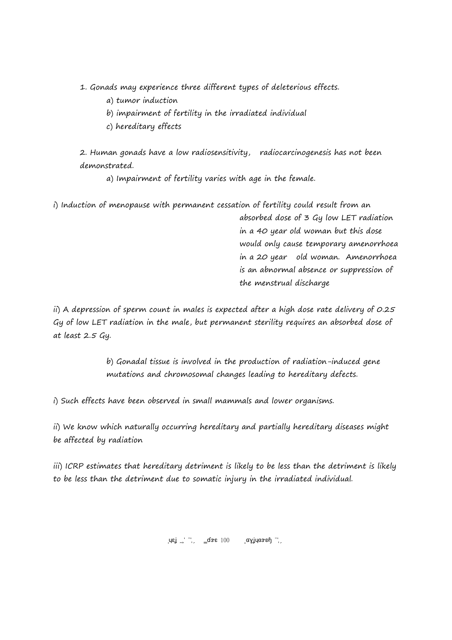- 1. Gonads may experience three different types of deleterious effects.
	- a) tumor induction
	- b) impairment of fertility in the irradiated individual
	- c) hereditary effects

2. Human gonads have a low radiosensitivity, radiocarcinogenesis has not been demonstrated.

a) Impairment of fertility varies with age in the female.

i) Induction of menopause with permanent cessation of fertility could result from an

absorbed dose of 3 Gy low LET radiation in a 40 year old woman but this dose would only cause temporary amenorrhoea in a 20 year old woman. Amenorrhoea is an abnormal absence or suppression of the menstrual discharge

ii) A depression of sperm count in males is expected after a high dose rate delivery of 0.25 Gy of low LET radiation in the male, but permanent sterility requires an absorbed dose of at least 2.5 Gy.

> b) Gonadal tissue is involved in the production of radiation-induced gene mutations and chromosomal changes leading to hereditary defects.

i) Such effects have been observed in small mammals and lower organisms.

ii) We know which naturally occurring hereditary and partially hereditary diseases might be affected by radiation

iii) ICRP estimates that hereditary detriment is likely to be less than the detriment is likely to be less than the detriment due to somatic injury in the irradiated individual.

 $\text{Lqs}_{\text{L}}$   $\text{L}$   $\text{L}$   $\text{L}$   $\text{L}$   $\text{L}$   $\text{L}$   $\text{L}$   $\text{L}$   $\text{L}$   $\text{L}$   $\text{L}$   $\text{L}$   $\text{L}$   $\text{L}$   $\text{L}$   $\text{L}$   $\text{L}$   $\text{L}$   $\text{L}$   $\text{L}$   $\text{L}$   $\text{L}$   $\text{L}$   $\text{L}$   $\text{L}$   $\text{L}$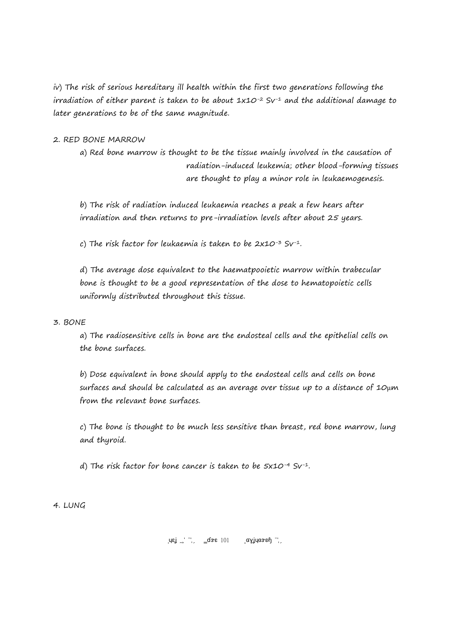iv) The risk of serious hereditary ill health within the first two generations following the irradiation of either parent is taken to be about  $1x10^{-2}$  Sv<sup>-1</sup> and the additional damage to later generations to be of the same magnitude.

## 2. RED BONE MARROW

a) Red bone marrow is thought to be the tissue mainly involved in the causation of radiation-induced leukemia; other blood-forming tissues are thought to play a minor role in leukaemogenesis.

b) The risk of radiation induced leukaemia reaches a peak a few hears after irradiation and then returns to pre-irradiation levels after about 25 years.

c) The risk factor for leukaemia is taken to be 2x10-3 Sv-1.

d) The average dose equivalent to the haematpooietic marrow within trabecular bone is thought to be a good representation of the dose to hematopoietic cells uniformly distributed throughout this tissue.

## 3. BONE

a) The radiosensitive cells in bone are the endosteal cells and the epithelial cells on the bone surfaces.

b) Dose equivalent in bone should apply to the endosteal cells and cells on bone surfaces and should be calculated as an average over tissue up to a distance of 10μm from the relevant bone surfaces.

c) The bone is thought to be much less sensitive than breast, red bone marrow, lung and thyroid.

d) The risk factor for bone cancer is taken to be 5x10-4 Sv-1.

4. LUNG

 $\left[\mathsf{u}\mathsf{g}\right]^{-1}$   $\left[\mathsf{g}\right]$   $\left[\mathsf{g}\right]$   $\left[\mathsf{g}\right]$   $\left[\mathsf{g}\right]$   $\left[\mathsf{g}\right]$   $\left[\mathsf{g}\right]$   $\left[\mathsf{g}\right]$   $\left[\mathsf{g}\right]$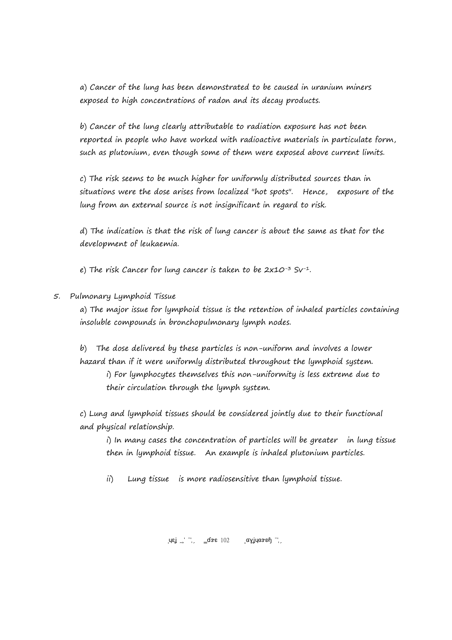a) Cancer of the lung has been demonstrated to be caused in uranium miners exposed to high concentrations of radon and its decay products.

b) Cancer of the lung clearly attributable to radiation exposure has not been reported in people who have worked with radioactive materials in particulate form, such as plutonium, even though some of them were exposed above current limits.

c) The risk seems to be much higher for uniformly distributed sources than in situations were the dose arises from localized "hot spots". Hence, exposure of the lung from an external source is not insignificant in regard to risk.

d) The indication is that the risk of lung cancer is about the same as that for the development of leukaemia.

e) The risk Cancer for lung cancer is taken to be  $2x10^{-3}$  Sv<sup>-1</sup>.

5. Pulmonary Lymphoid Tissue

a) The major issue for lymphoid tissue is the retention of inhaled particles containing insoluble compounds in bronchopulmonary lymph nodes.

b) The dose delivered by these particles is non-uniform and involves a lower hazard than if it were uniformly distributed throughout the lymphoid system. i) For lymphocytes themselves this non-uniformity is less extreme due to

their circulation through the lymph system.

c) Lung and lymphoid tissues should be considered jointly due to their functional and physical relationship.

i) In many cases the concentration of particles will be greater in lung tissue then in lymphoid tissue. An example is inhaled plutonium particles.

ii) Lung tissue is more radiosensitive than lymphoid tissue.

 $\text{Lqs}_{\text{L}}$   $\text{L}$   $\text{L}$   $\text{L}$   $\text{L}$   $\text{L}$   $\text{L}$   $\text{L}$   $\text{L}$   $\text{L}$   $\text{L}$   $\text{L}$   $\text{L}$   $\text{L}$   $\text{L}$   $\text{L}$   $\text{L}$   $\text{L}$   $\text{L}$   $\text{L}$   $\text{L}$   $\text{L}$   $\text{L}$   $\text{L}$   $\text{L}$   $\text{L}$   $\text{L}$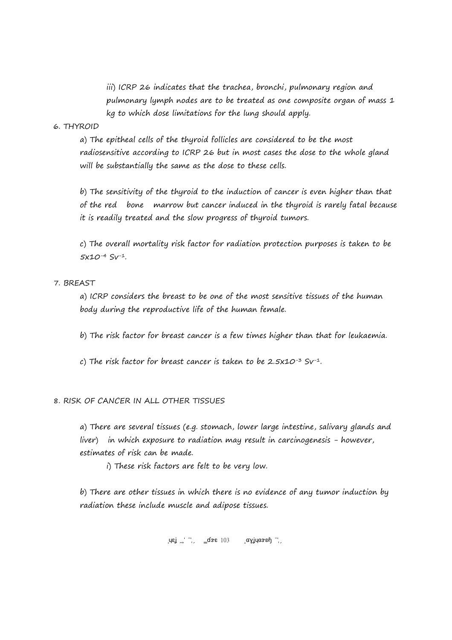iii) ICRP 26 indicates that the trachea, bronchi, pulmonary region and pulmonary lymph nodes are to be treated as one composite organ of mass 1 kg to which dose limitations for the lung should apply.

#### 6. THYROID

a) The epitheal cells of the thyroid follicles are considered to be the most radiosensitive according to ICRP 26 but in most cases the dose to the whole gland will be substantially the same as the dose to these cells.

b) The sensitivity of the thyroid to the induction of cancer is even higher than that of the red bone marrow but cancer induced in the thyroid is rarely fatal because it is readily treated and the slow progress of thyroid tumors.

c) The overall mortality risk factor for radiation protection purposes is taken to be 5x10-4 Sv-1.

#### 7. BREAST

a) ICRP considers the breast to be one of the most sensitive tissues of the human body during the reproductive life of the human female.

b) The risk factor for breast cancer is a few times higher than that for leukaemia.

c) The risk factor for breast cancer is taken to be  $2.5x10^{-3}$  Sv<sup>-1</sup>.

#### 8. RISK OF CANCER IN ALL OTHER TISSUES

a) There are several tissues (e.g. stomach, lower large intestine, salivary glands and liver) in which exposure to radiation may result in carcinogenesis - however, estimates of risk can be made.

i) These risk factors are felt to be very low.

b) There are other tissues in which there is no evidence of any tumor induction by radiation these include muscle and adipose tissues.

 $\text{LMS} = \frac{1}{2} \int \frac{1}{2} \cos^2 2 \cos^2 2 \cos^2 2 \cos^2 2 \cos^2 2 \cos^2 2 \cos^2 2 \cos^2 2 \cos^2 2 \cos^2 2 \cos^2 2 \cos^2 2 \cos^2 2 \cos^2 2 \cos^2 2 \cos^2 2 \cos^2 2 \cos^2 2 \cos^2 2 \cos^2 2 \cos^2 2 \cos^2 2 \cos^2 2 \cos^2 2 \cos^2 2 \cos^2 2 \cos^2 2 \cos^2 2 \cos^2 2 \cos^2 2 \cos^2 2 \cos^2 2 \cos^2$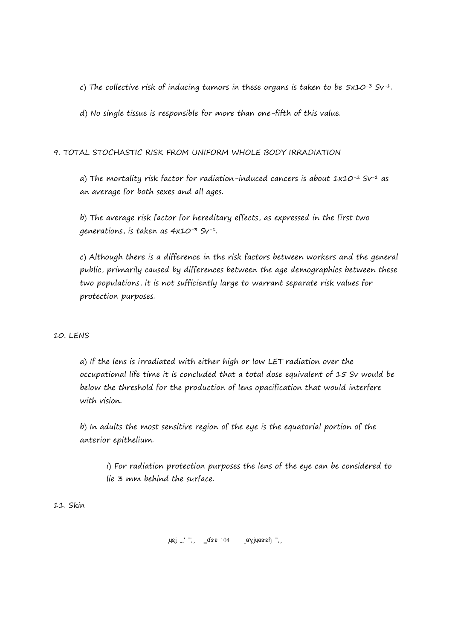c) The collective risk of inducing tumors in these organs is taken to be  $5x10^{-3}$  Sv-1.

d) No single tissue is responsible for more than one-fifth of this value.

## 9. TOTAL STOCHASTIC RISK FROM UNIFORM WHOLE BODY IRRADIATION

a) The mortality risk factor for radiation-induced cancers is about  $1 \times 10^{-2}$  Sv<sup>-1</sup> as an average for both sexes and all ages.

b) The average risk factor for hereditary effects, as expressed in the first two generations, is taken as 4x10-3 Sv-1.

c) Although there is a difference in the risk factors between workers and the general public, primarily caused by differences between the age demographics between these two populations, it is not sufficiently large to warrant separate risk values for protection purposes.

### 10. LENS

a) If the lens is irradiated with either high or low LET radiation over the occupational life time it is concluded that a total dose equivalent of 15 Sv would be below the threshold for the production of lens opacification that would interfere with vision.

b) In adults the most sensitive region of the eye is the equatorial portion of the anterior epithelium.

i) For radiation protection purposes the lens of the eye can be considered to lie 3 mm behind the surface.

11. Skin

 $\left[\begin{array}{ccc} \text{I} & \text{I} & \text{I} \\ \text{I} & \text{I} & \text{I} \end{array}\right]$   $\left[\begin{array}{ccc} \text{I} & \text{I} & \text{I} & \text{I} \\ \text{I} & \text{I} & \text{I} \end{array}\right]$   $\left[\begin{array}{ccc} \text{I} & \text{I} & \text{I} \\ \text{I} & \text{I} & \text{I} \end{array}\right]$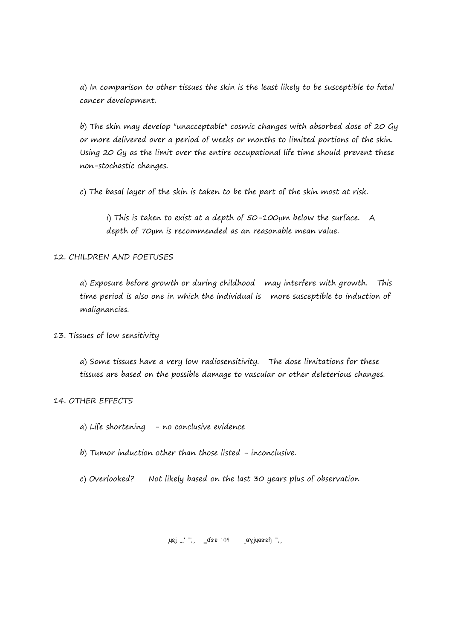a) In comparison to other tissues the skin is the least likely to be susceptible to fatal cancer development.

b) The skin may develop "unacceptable" cosmic changes with absorbed dose of 20 Gy or more delivered over a period of weeks or months to limited portions of the skin. Using 20 Gy as the limit over the entire occupational life time should prevent these non-stochastic changes.

c) The basal layer of the skin is taken to be the part of the skin most at risk.

i) This is taken to exist at a depth of  $50$ -100 $\mu$ m below the surface. A depth of 70μm is recommended as an reasonable mean value.

## 12. CHILDREN AND FOETUSES

a) Exposure before growth or during childhood may interfere with growth. This time period is also one in which the individual is more susceptible to induction of malignancies.

### 13. Tissues of low sensitivity

a) Some tissues have a very low radiosensitivity. The dose limitations for these tissues are based on the possible damage to vascular or other deleterious changes.

### 14. OTHER EFFECTS

- a) Life shortening  $-$  no conclusive evidence
- b) Tumor induction other than those listed inconclusive.
- c) Overlooked? Not likely based on the last 30 years plus of observation

 $\mu$ ej 2017 Page 105 Copyright 2017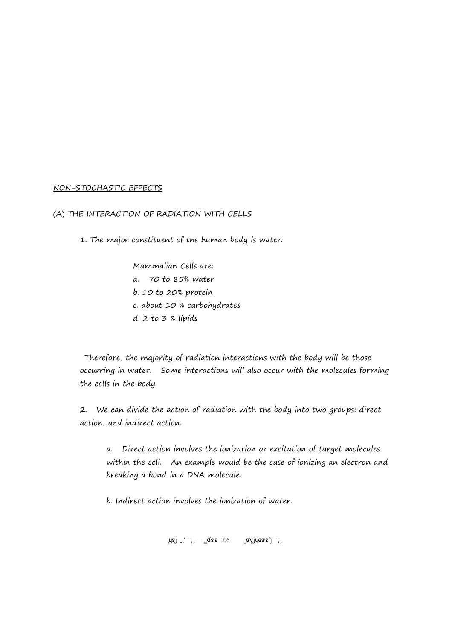#### NON-STOCHASTIC EFFECTS

(A) THE INTERACTION OF RADIATION WITH CELLS

1. The major constituent of the human body is water.

Mammalian Cells are: a. 70 to 85% water b. 10 to 20% protein c. about 10 % carbohydrates d. 2 to 3 % lipids

 Therefore, the majority of radiation interactions with the body will be those occurring in water. Some interactions will also occur with the molecules forming the cells in the body.

2. We can divide the action of radiation with the body into two groups: direct action, and indirect action.

a. Direct action involves the ionization or excitation of target molecules within the cell. An example would be the case of ionizing an electron and breaking a bond in a DNA molecule.

b. Indirect action involves the ionization of water.

 $\text{Re} \left( \text{Re} \left( \text{Im} \left( \text{Im} \left( \text{Im} \left( \text{Im} \left( \text{Im} \left( \text{Im} \left( \text{Im} \left( \text{Im} \left( \text{Im} \left( \text{Im} \left( \text{Im} \left( \text{Im} \left( \text{Im} \left( \text{Im} \left( \text{Im} \left( \text{Im} \left( \text{Im} \left( \text{Im} \left( \text{Im} \left( \text{Im} \left( \text{Im} \left( \text{Im} \left( \text{Im} \left( \text{Im} \left( \text{Im} \left( \text{Im$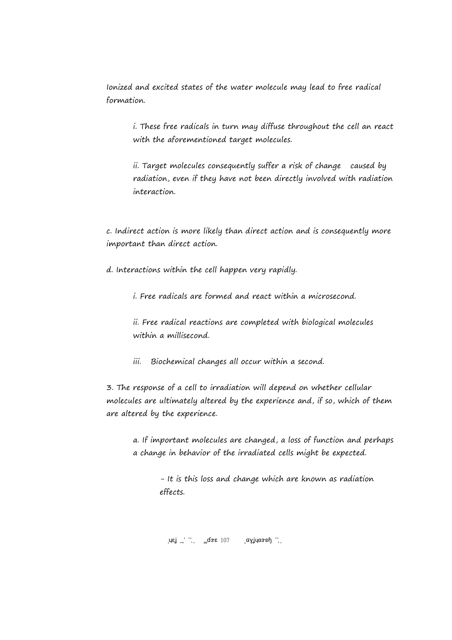Ionized and excited states of the water molecule may lead to free radical formation.

i. These free radicals in turn may diffuse throughout the cell an react with the aforementioned target molecules.

ii. Target molecules consequently suffer a risk of change caused by radiation, even if they have not been directly involved with radiation interaction.

c. Indirect action is more likely than direct action and is consequently more important than direct action.

d. Interactions within the cell happen very rapidly.

i. Free radicals are formed and react within a microsecond.

ii. Free radical reactions are completed with biological molecules within a millisecond.

iii. Biochemical changes all occur within a second.

3. The response of a cell to irradiation will depend on whether cellular molecules are ultimately altered by the experience and, if so, which of them are altered by the experience.

a. If important molecules are changed, a loss of function and perhaps a change in behavior of the irradiated cells might be expected.

> - It is this loss and change which are known as radiation effects.

 $\text{L}_2$   $\text{L}_2$   $\text{L}_3$   $\text{L}_2$   $\text{L}_3$   $\text{L}_4$   $\text{L}_2$   $\text{L}_3$   $\text{L}_4$   $\text{L}_2$   $\text{L}_3$   $\text{L}_4$   $\text{L}_2$   $\text{L}_3$   $\text{L}_4$   $\text{L}_2$   $\text{L}_3$   $\text{L}_4$   $\text{L}_2$   $\text{L}_3$   $\text{L}_4$   $\text{L}_2$   $\text{L}_3$   $\text{L}_4$   $\text{L$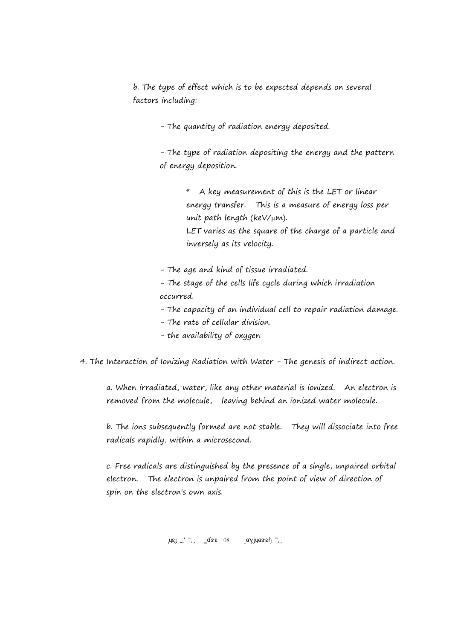b. The type of effect which is to be expected depends on several factors including:

- The quantity of radiation energy deposited.

- The type of radiation depositing the energy and the pattern of energy deposition.

> \* A key measurement of this is the LET or linear energy transfer. This is a measure of energy loss per unit path length (keV/μm). LET varies as the square of the charge of a particle and inversely as its velocity.

- The age and kind of tissue irradiated.

- The stage of the cells life cycle during which irradiation occurred.

- The capacity of an individual cell to repair radiation damage.

- The rate of cellular division.
- the availability of oxygen

4. The Interaction of Ionizing Radiation with Water - The genesis of indirect action.

a. When irradiated, water, like any other material is ionized. An electron is removed from the molecule, leaving behind an ionized water molecule.

b. The ions subsequently formed are not stable. They will dissociate into free radicals rapidly, within a microsecond.

c. Free radicals are distinguished by the presence of a single, unpaired orbital electron. The electron is unpaired from the point of view of direction of spin on the electron's own axis.

 $\text{Lqs}_{\text{L}}$   $\text{L}$   $\text{L}$   $\text{L}$   $\text{L}$   $\text{L}$   $\text{L}$   $\text{L}$   $\text{L}$   $\text{L}$   $\text{L}$   $\text{L}$   $\text{L}$   $\text{L}$   $\text{L}$   $\text{L}$   $\text{L}$   $\text{L}$   $\text{L}$   $\text{L}$   $\text{L}$   $\text{L}$   $\text{L}$   $\text{L}$   $\text{L}$   $\text{L}$   $\text{L}$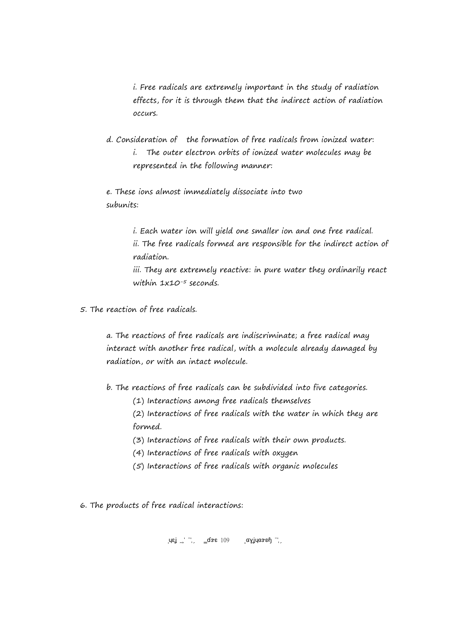i. Free radicals are extremely important in the study of radiation effects, for it is through them that the indirect action of radiation occurs.

d. Consideration of the formation of free radicals from ionized water: i. The outer electron orbits of ionized water molecules may be represented in the following manner:

e. These ions almost immediately dissociate into two subunits:

> i. Each water ion will yield one smaller ion and one free radical. ii. The free radicals formed are responsible for the indirect action of radiation. iii. They are extremely reactive: in pure water they ordinarily react

5. The reaction of free radicals.

within  $1x10^{-5}$  seconds.

a. The reactions of free radicals are indiscriminate; a free radical may interact with another free radical, with a molecule already damaged by radiation, or with an intact molecule.

- b. The reactions of free radicals can be subdivided into five categories.
	- (1) Interactions among free radicals themselves
	- (2) Interactions of free radicals with the water in which they are formed.
	- (3) Interactions of free radicals with their own products.
	- (4) Interactions of free radicals with oxygen
	- (5) Interactions of free radicals with organic molecules
- 6. The products of free radical interactions:

 $\text{Lqs}_{\text{L}}$   $\text{L}$   $\text{L}$   $\text{L}$   $\text{L}$   $\text{L}$   $\text{L}$   $\text{L}$   $\text{L}$   $\text{L}$   $\text{L}$   $\text{L}$   $\text{L}$   $\text{L}$   $\text{L}$   $\text{L}$   $\text{L}$   $\text{L}$   $\text{L}$   $\text{L}$   $\text{L}$   $\text{L}$   $\text{L}$   $\text{L}$   $\text{L}$   $\text{L}$   $\text{L}$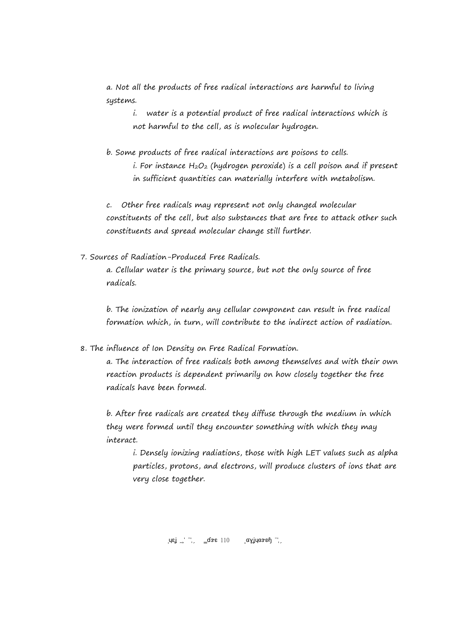a. Not all the products of free radical interactions are harmful to living systems.

i. water is a potential product of free radical interactions which is not harmful to the cell, as is molecular hydrogen.

b. Some products of free radical interactions are poisons to cells. i. For instance  $H_2O_2$  (hydrogen peroxide) is a cell poison and if present in sufficient quantities can materially interfere with metabolism.

c. Other free radicals may represent not only changed molecular constituents of the cell, but also substances that are free to attack other such constituents and spread molecular change still further.

7. Sources of Radiation-Produced Free Radicals.

a. Cellular water is the primary source, but not the only source of free radicals.

b. The ionization of nearly any cellular component can result in free radical formation which, in turn, will contribute to the indirect action of radiation.

8. The influence of Ion Density on Free Radical Formation.

a. The interaction of free radicals both among themselves and with their own reaction products is dependent primarily on how closely together the free radicals have been formed.

b. After free radicals are created they diffuse through the medium in which they were formed until they encounter something with which they may interact.

i. Densely ionizing radiations, those with high LET values such as alpha particles, protons, and electrons, will produce clusters of ions that are very close together.

 $\left[\mathsf{u}\mathsf{g}\right]^{-1}$   $\left[\mathsf{g}\right]$   $\left[\mathsf{g}\right]$   $\left[\mathsf{g}\right]$   $\left[\mathsf{g}\right]$   $\left[\mathsf{g}\right]$   $\left[\mathsf{g}\right]$   $\left[\mathsf{g}\right]$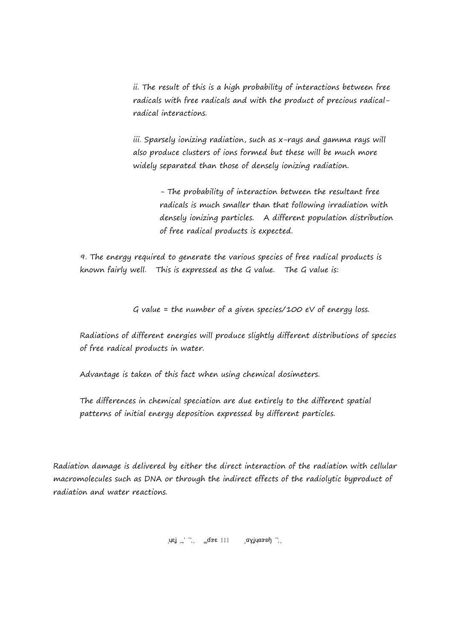ii. The result of this is a high probability of interactions between free radicals with free radicals and with the product of precious radicalradical interactions.

iii. Sparsely ionizing radiation, such as x-rays and gamma rays will also produce clusters of ions formed but these will be much more widely separated than those of densely ionizing radiation.

> - The probability of interaction between the resultant free radicals is much smaller than that following irradiation with densely ionizing particles. A different population distribution of free radical products is expected.

9. The energy required to generate the various species of free radical products is known fairly well. This is expressed as the G value. The G value is:

G value = the number of a given species/100 eV of energy loss.

Radiations of different energies will produce slightly different distributions of species of free radical products in water.

Advantage is taken of this fact when using chemical dosimeters.

The differences in chemical speciation are due entirely to the different spatial patterns of initial energy deposition expressed by different particles.

Radiation damage is delivered by either the direct interaction of the radiation with cellular macromolecules such as DNA or through the indirect effects of the radiolytic byproduct of radiation and water reactions.

 $\mu$ εί 2017 Φε $\mu$  2017 Page 111 Φετερνίκον 2017 Page 111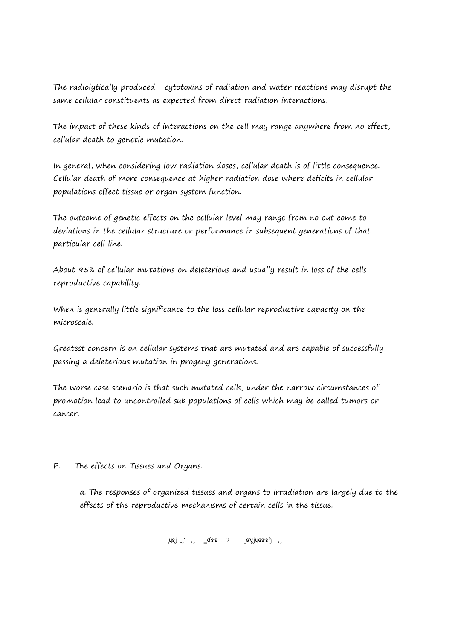The radiolytically produced cytotoxins of radiation and water reactions may disrupt the same cellular constituents as expected from direct radiation interactions.

The impact of these kinds of interactions on the cell may range anywhere from no effect, cellular death to genetic mutation.

In general, when considering low radiation doses, cellular death is of little consequence. Cellular death of more consequence at higher radiation dose where deficits in cellular populations effect tissue or organ system function.

The outcome of genetic effects on the cellular level may range from no out come to deviations in the cellular structure or performance in subsequent generations of that particular cell line.

About 95% of cellular mutations on deleterious and usually result in loss of the cells reproductive capability.

When is generally little significance to the loss cellular reproductive capacity on the microscale.

Greatest concern is on cellular systems that are mutated and are capable of successfully passing a deleterious mutation in progeny generations.

The worse case scenario is that such mutated cells, under the narrow circumstances of promotion lead to uncontrolled sub populations of cells which may be called tumors or cancer.

P. The effects on Tissues and Organs.

a. The responses of organized tissues and organs to irradiation are largely due to the effects of the reproductive mechanisms of certain cells in the tissue.

 $\left[\begin{array}{ccc} \text{I} & \text{I} & \text{I} \\ \text{I} & \text{I} & \text{I} \end{array}\right]$   $\left[\begin{array}{ccc} \text{I} & \text{I} & \text{I} & \text{I} \\ \text{I} & \text{I} & \text{I} \end{array}\right]$   $\left[\begin{array}{ccc} \text{I} & \text{I} & \text{I} \\ \text{I} & \text{I} & \text{I} \end{array}\right]$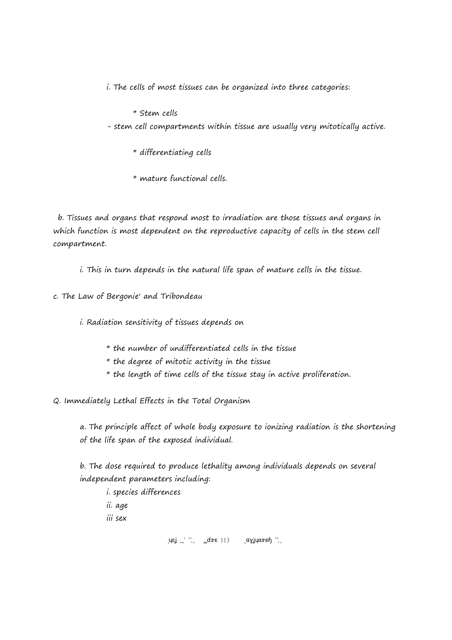i. The cells of most tissues can be organized into three categories:

\* Stem cells

- stem cell compartments within tissue are usually very mitotically active.

\* differentiating cells

\* mature functional cells.

 b. Tissues and organs that respond most to irradiation are those tissues and organs in which function is most dependent on the reproductive capacity of cells in the stem cell compartment.

i. This in turn depends in the natural life span of mature cells in the tissue.

c. The Law of Bergonie' and Tribondeau

i. Radiation sensitivity of tissues depends on

\* the number of undifferentiated cells in the tissue

 $*$  the degree of mitotic activity in the tissue

\* the length of time cells of the tissue stay in active proliferation.

Q. Immediately Lethal Effects in the Total Organism

a. The principle affect of whole body exposure to ionizing radiation is the shortening of the life span of the exposed individual.

b. The dose required to produce lethality among individuals depends on several independent parameters including:

i. species differences ii. age iii sex

 $\left\{ \mathsf{u}\mathsf{u}\right\} \cong \left\{ \mathsf{u}\right\}$   $\left\{ \mathsf{u}\right\}$   $\left\{ \mathsf{u}\right\}$   $\left\{ \mathsf{u}\right\}$   $\left\{ \mathsf{u}\right\}$   $\left\{ \mathsf{u}\right\}$   $\left\{ \mathsf{u}\right\}$   $\left\{ \mathsf{u}\right\}$   $\left\{ \mathsf{u}\right\}$   $\left\{ \mathsf{u}\right\}$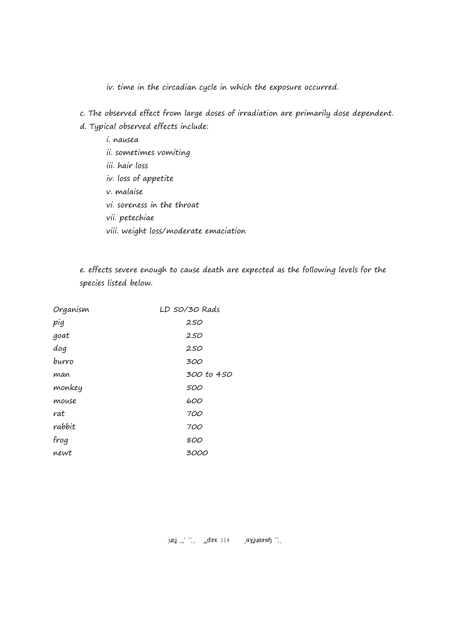iv. time in the circadian cycle in which the exposure occurred.

- c. The observed effect from large doses of irradiation are primarily dose dependent. d. Typical observed effects include:
	- i. nausea ii. sometimes vomiting iii. hair loss iv. loss of appetite v. malaise vi. soreness in the throat vii. petechiae viii. weight loss/moderate emaciation

e. effects severe enough to cause death are expected as the following levels for the species listed below.

| Organism | LD 50/30 Rads |
|----------|---------------|
| pig      | 250           |
| goat     | 250           |
| dog      | 250           |
| burro    | 300           |
| man      | 300 to 450    |
| monkey   | 500           |
| mouse    | 600           |
| rat      | 700           |
| rabbit   | 700           |
| frog     | 800           |
| newt     | <i>3000</i>   |

 $\sigma_{\rm eff}$   $\sigma_{\rm s}$   $\sigma_{\rm s}$   $\sigma_{\rm s}$   $\sigma_{\rm s}$   $\sigma_{\rm s}$   $\sigma_{\rm s}$   $\sigma_{\rm s}$   $\sigma_{\rm s}$   $\sigma_{\rm s}$   $\sigma_{\rm s}$   $\sigma_{\rm s}$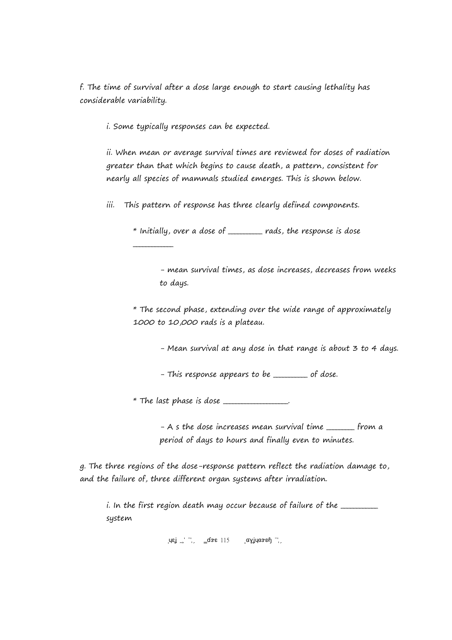f. The time of survival after a dose large enough to start causing lethality has considerable variability.

i. Some typically responses can be expected.

\_\_\_\_\_\_\_\_\_\_\_\_\_

ii. When mean or average survival times are reviewed for doses of radiation greater than that which begins to cause death, a pattern, consistent for nearly all species of mammals studied emerges. This is shown below.

iii. This pattern of response has three clearly defined components.

\* Initially, over a dose of \_\_\_\_\_\_\_\_\_\_\_ rads, the response is dose

- mean survival times, as dose increases, decreases from weeks to days.

\* The second phase, extending over the wide range of approximately 1000 to 10,000 rads is a plateau.

- Mean survival at any dose in that range is about 3 to 4 days.

- This response appears to be \_\_\_\_\_\_\_\_ of dose.

 $*$  The last phase is dose  $\_\_$ 

- A s the dose increases mean survival time \_\_\_\_\_\_\_\_ from a period of days to hours and finally even to minutes.

g. The three regions of the dose-response pattern reflect the radiation damage to, and the failure of, three different organ systems after irradiation.

i. In the first region death may occur because of failure of the \_\_\_\_\_\_\_\_\_\_\_\_\_\_\_ system

 $\left[ \mathsf{u}\mathsf{u}\right]$   $\left[ \mathsf{u}\right]$   $\left[ \mathsf{u}\right]$   $\left[ \mathsf{u}\right]$   $\left[ \mathsf{u}\right]$   $\left[ \mathsf{u}\right]$   $\left[ \mathsf{u}\right]$   $\left[ \mathsf{u}\right]$   $\left[ \mathsf{u}\right]$   $\left[ \mathsf{u}\right]$   $\left[ \mathsf{u}\right]$   $\left[ \mathsf{u}\right]$   $\left[ \mathsf{u}\right]$   $\left[ \mathsf{u}\right]$   $\left[ \mathsf{u}\right]$   $\left[ \$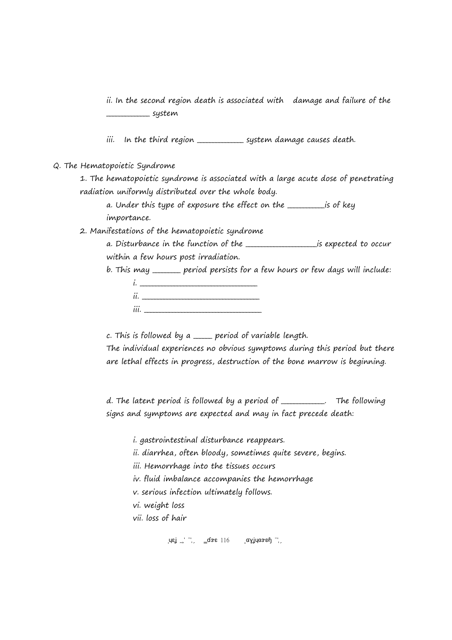ii. In the second region death is associated with damage and failure of the \_\_\_\_\_\_\_\_\_\_\_\_\_\_ system

iii. In the third region <u>\_\_\_\_\_\_\_\_\_\_\_\_\_</u> system damage causes death.

#### Q. The Hematopoietic Syndrome

1. The hematopoietic syndrome is associated with a large acute dose of penetrating radiation uniformly distributed over the whole body.

a. Under this type of exposure the effect on the **window** is of key importance.

2. Manifestations of the hematopoietic syndrome

a. Disturbance in the function of the **\_\_\_\_\_\_\_\_\_\_\_\_\_\_\_\_\_\_\_\_\_** is expected to occur within a few hours post irradiation.

b. This may \_\_\_\_\_\_\_\_\_ period persists for a few hours or few days will include:

| ii.  |  |
|------|--|
| iii. |  |

c. This is followed by a \_\_\_\_\_\_ period of variable length.

The individual experiences no obvious symptoms during this period but there are lethal effects in progress, destruction of the bone marrow is beginning.

d. The latent period is followed by a period of \_\_\_\_\_\_\_\_\_\_\_\_\_\_. The following signs and symptoms are expected and may in fact precede death:

i. gastrointestinal disturbance reappears.

ii. diarrhea, often bloody, sometimes quite severe, begins.

iii. Hemorrhage into the tissues occurs

iv. fluid imbalance accompanies the hemorrhage

v. serious infection ultimately follows.

vi. weight loss

vii. loss of hair

 $\sigma_{\rm eff}$   $\sigma_{\rm s}$   $\sigma_{\rm s}$   $\sigma_{\rm s}$   $\sigma_{\rm s}$   $\sigma_{\rm s}$   $\sigma_{\rm s}$   $\sigma_{\rm s}$   $\sigma_{\rm s}$   $\sigma_{\rm s}$   $\sigma_{\rm s}$   $\sigma_{\rm s}$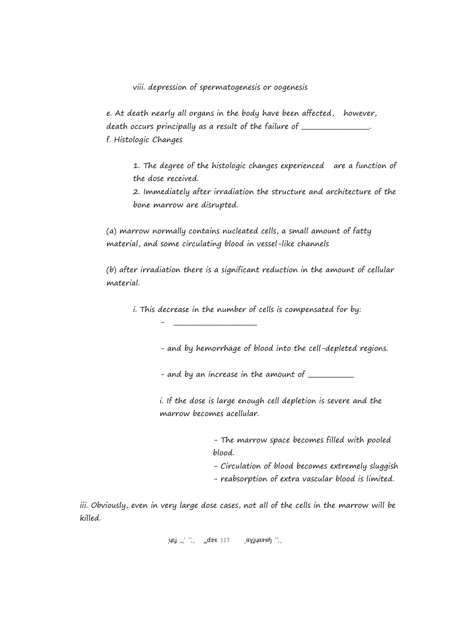viii. depression of spermatogenesis or oogenesis

e. At death nearly all organs in the body have been affected, however, death occurs principally as a result of the failure of \_\_\_\_\_\_\_\_\_\_\_\_\_\_\_\_\_\_\_\_\_\_\_\_\_ f. Histologic Changes

1. The degree of the histologic changes experienced are a function of the dose received.

2. Immediately after irradiation the structure and architecture of the bone marrow are disrupted.

(a) marrow normally contains nucleated cells, a small amount of fatty material, and some circulating blood in vessel-like channels

(b) after irradiation there is a significant reduction in the amount of cellular material.

i. This decrease in the number of cells is compensated for by:

- \_\_\_\_\_\_\_\_\_\_\_\_\_\_\_\_\_\_\_\_\_\_\_\_\_\_\_

- and by hemorrhage of blood into the cell-depleted regions.

- and by an increase in the amount of  $\frac{1}{1}$ 

i. If the dose is large enough cell depletion is severe and the marrow becomes acellular.

> - The marrow space becomes filled with pooled blood.

- Circulation of blood becomes extremely sluggish

- reabsorption of extra vascular blood is limited.

iii. Obviously, even in very large dose cases, not all of the cells in the marrow will be killed.

 $\left[\begin{array}{ccc} \text{I} & -1 \\ \text{I} & \text{I} \end{array}\right]$   $\left[\begin{array}{ccc} \text{I} & \text{I} & \text{I} & \text{I} \end{array}\right]$   $\left[\begin{array}{ccc} \text{I} & \text{I} & \text{I} \end{array}\right]$   $\left[\begin{array}{ccc} \text{I} & \text{I} & \text{I} \end{array}\right]$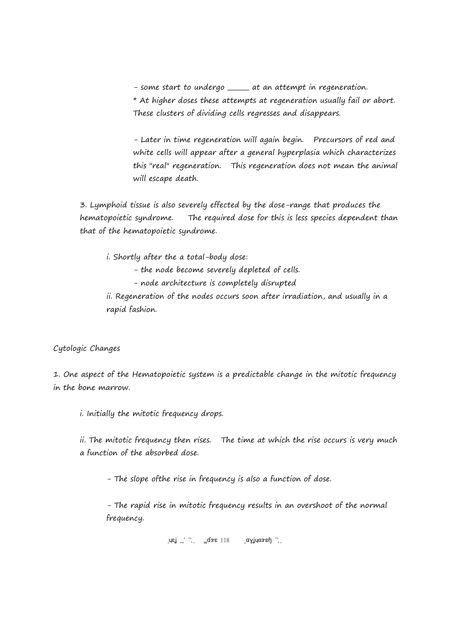- some start to undergo \_\_\_\_\_\_ at an attempt in regeneration.

\* At higher doses these attempts at regeneration usually fail or abort. These clusters of dividing cells regresses and disappears.

- Later in time regeneration will again begin. Precursors of red and white cells will appear after a general hyperplasia which characterizes this "real" regeneration. This regeneration does not mean the animal will escape death.

3. Lymphoid tissue is also severely effected by the dose-range that produces the hematopoietic syndrome. The required dose for this is less species dependent than that of the hematopoietic syndrome.

i. Shortly after the a total-body dose:

- the node become severely depleted of cells.

- node architecture is completely disrupted

ii. Regeneration of the nodes occurs soon after irradiation, and usually in a rapid fashion.

Cytologic Changes

1. One aspect of the Hematopoietic system is a predictable change in the mitotic frequency in the bone marrow.

i. Initially the mitotic frequency drops.

ii. The mitotic frequency then rises. The time at which the rise occurs is very much a function of the absorbed dose.

- The slope ofthe rise in frequency is also a function of dose.

- The rapid rise in mitotic frequency results in an overshoot of the normal frequency.

 $\left[ \begin{matrix} \mathsf{u} \mathsf{v} \mathsf{u} & \mathsf{v} \end{matrix} \right]$  =  $\left[ \begin{matrix} \mathsf{u} \mathsf{v} & \mathsf{v} \end{matrix} \right]$   $\left[ \begin{matrix} \mathsf{u} \mathsf{v} \mathsf{v} & \mathsf{v} \end{matrix} \right]$   $\left[ \begin{matrix} \mathsf{u} \mathsf{v} \mathsf{v} & \mathsf{v} \end{matrix} \right]$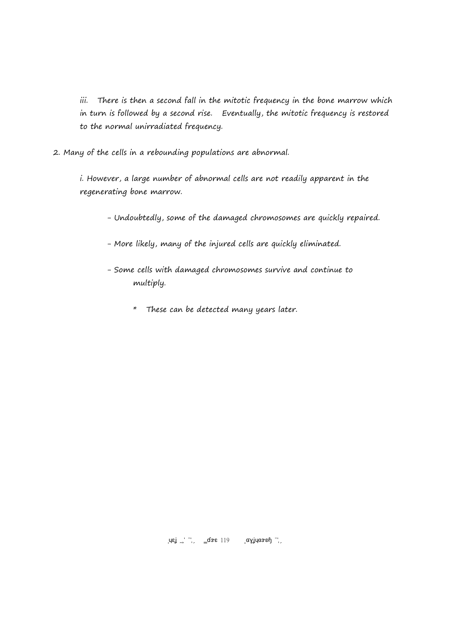iii. There is then a second fall in the mitotic frequency in the bone marrow which in turn is followed by a second rise. Eventually, the mitotic frequency is restored to the normal unirradiated frequency.

2. Many of the cells in a rebounding populations are abnormal.

i. However, a large number of abnormal cells are not readily apparent in the regenerating bone marrow.

- Undoubtedly, some of the damaged chromosomes are quickly repaired.
- More likely, many of the injured cells are quickly eliminated.
- Some cells with damaged chromosomes survive and continue to multiply.
	- \* These can be detected many years later.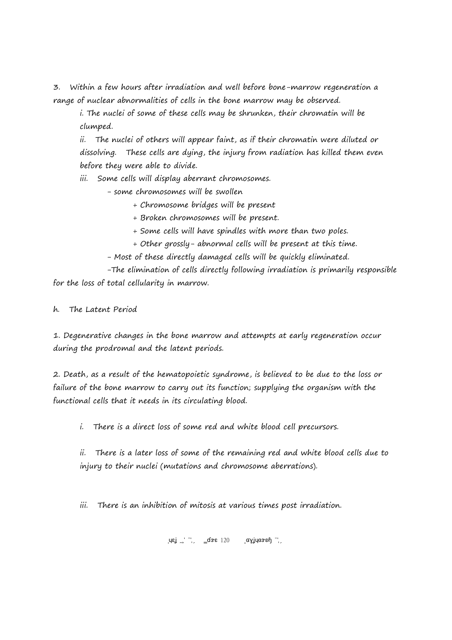3. Within a few hours after irradiation and well before bone-marrow regeneration a range of nuclear abnormalities of cells in the bone marrow may be observed.

i. The nuclei of some of these cells may be shrunken, their chromatin will be clumped.

ii. The nuclei of others will appear faint, as if their chromatin were diluted or dissolving. These cells are dying, the injury from radiation has killed them even before they were able to divide.

iii. Some cells will display aberrant chromosomes.

- some chromosomes will be swollen

+ Chromosome bridges will be present

+ Broken chromosomes will be present.

+ Some cells will have spindles with more than two poles.

+ Other grossly- abnormal cells will be present at this time.

- Most of these directly damaged cells will be quickly eliminated.

-The elimination of cells directly following irradiation is primarily responsible for the loss of total cellularity in marrow.

h. The Latent Period

1. Degenerative changes in the bone marrow and attempts at early regeneration occur during the prodromal and the latent periods.

2. Death, as a result of the hematopoietic syndrome, is believed to be due to the loss or failure of the bone marrow to carry out its function; supplying the organism with the functional cells that it needs in its circulating blood.

i. There is a direct loss of some red and white blood cell precursors.

ii. There is a later loss of some of the remaining red and white blood cells due to injury to their nuclei (mutations and chromosome aberrations).

iii. There is an inhibition of mitosis at various times post irradiation.

 $\left[\begin{array}{ccc} \text{I} & \text{I} & \text{I} \\ \text{I} & \text{I} & \text{I} \end{array}\right]$   $\left[\begin{array}{ccc} \text{I} & \text{I} & \text{I} \\ \text{I} & \text{I} & \text{I} \end{array}\right]$   $\left[\begin{array}{ccc} \text{I} & \text{I} & \text{I} \\ \text{I} & \text{I} & \text{I} \end{array}\right]$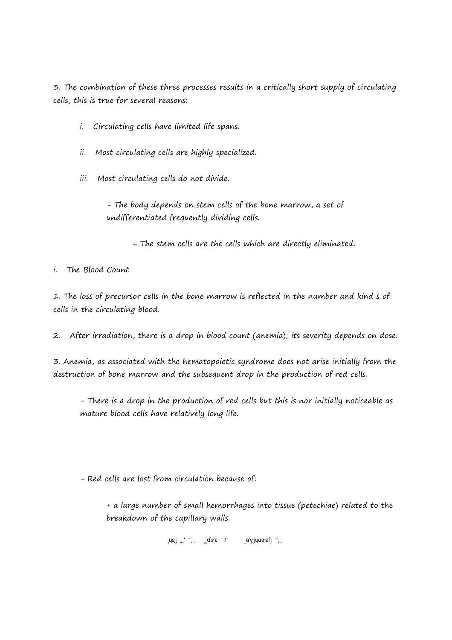3. The combination of these three processes results in a critically short supply of circulating cells, this is true for several reasons:

- i. Circulating cells have limited life spans.
- ii. Most circulating cells are highly specialized.
- iii. Most circulating cells do not divide.

- The body depends on stem cells of the bone marrow, a set of undifferentiated frequently dividing cells.

+ The stem cells are the cells which are directly eliminated.

i. The Blood Count

1. The loss of precursor cells in the bone marrow is reflected in the number and kind s of cells in the circulating blood.

2. After irradiation, there is a drop in blood count (anemia); its severity depends on dose.

3. Anemia, as associated with the hematopoietic syndrome does not arise initially from the destruction of bone marrow and the subsequent drop in the production of red cells.

- There is a drop in the production of red cells but this is nor initially noticeable as mature blood cells have relatively long life.

- Red cells are lost from circulation because of:

+ a large number of small hemorrhages into tissue (petechiae) related to the breakdown of the capillary walls.

 $\mu$ εί 21 Δενε 121 Δεν μαγίνει 2017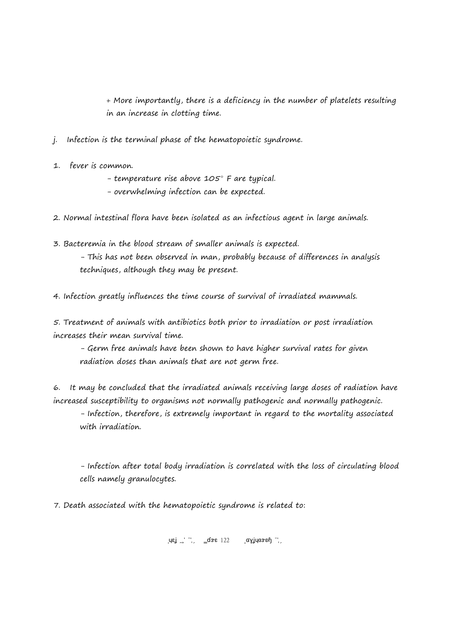+ More importantly, there is a deficiency in the number of platelets resulting in an increase in clotting time.

- j. Infection is the terminal phase of the hematopoietic syndrome.
- 1. fever is common.
	- temperature rise above  $105^\circ$  F are typical.
	- overwhelming infection can be expected.
- 2. Normal intestinal flora have been isolated as an infectious agent in large animals.
- 3. Bacteremia in the blood stream of smaller animals is expected. - This has not been observed in man, probably because of differences in analysis techniques, although they may be present.

4. Infection greatly influences the time course of survival of irradiated mammals.

5. Treatment of animals with antibiotics both prior to irradiation or post irradiation increases their mean survival time.

- Germ free animals have been shown to have higher survival rates for given radiation doses than animals that are not germ free.

6. It may be concluded that the irradiated animals receiving large doses of radiation have increased susceptibility to organisms not normally pathogenic and normally pathogenic.

- Infection, therefore, is extremely important in regard to the mortality associated with irradiation.

- Infection after total body irradiation is correlated with the loss of circulating blood cells namely granulocytes.

7. Death associated with the hematopoietic syndrome is related to:

 $\left[\begin{array}{ccc} \text{I} & -1 \\ \text{I} & \text{I} \end{array}\right]$   $\left[\begin{array}{ccc} \text{I} & \text{I} & 22 \\ \text{I} & \text{I} & \text{I} & \text{I} \end{array}\right]$   $\left[\begin{array}{ccc} \text{I} & \text{I} & \text{I} & \text{I} \end{array}\right]$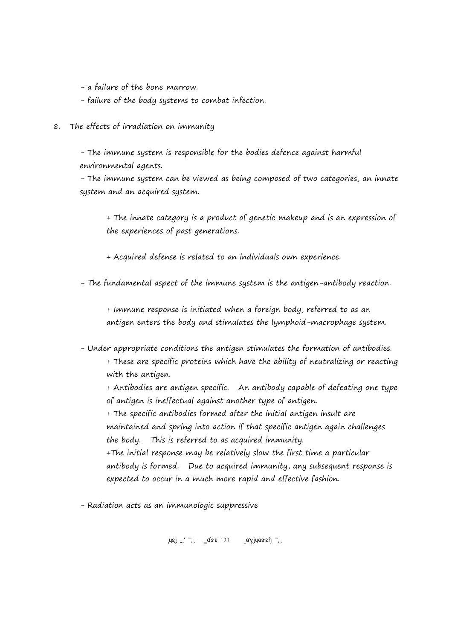- a failure of the bone marrow.

- failure of the body systems to combat infection.

8. The effects of irradiation on immunity

- The immune system is responsible for the bodies defence against harmful environmental agents.

- The immune system can be viewed as being composed of two categories, an innate system and an acquired system.

+ The innate category is a product of genetic makeup and is an expression of the experiences of past generations.

+ Acquired defense is related to an individuals own experience.

- The fundamental aspect of the immune system is the antigen-antibody reaction.

+ Immune response is initiated when a foreign body, referred to as an antigen enters the body and stimulates the lymphoid-macrophage system.

- Under appropriate conditions the antigen stimulates the formation of antibodies.

+ These are specific proteins which have the ability of neutralizing or reacting with the antigen.

+ Antibodies are antigen specific. An antibody capable of defeating one type of antigen is ineffectual against another type of antigen.

+ The specific antibodies formed after the initial antigen insult are maintained and spring into action if that specific antigen again challenges the body. This is referred to as acquired immunity.

+The initial response may be relatively slow the first time a particular antibody is formed. Due to acquired immunity, any subsequent response is expected to occur in a much more rapid and effective fashion.

- Radiation acts as an immunologic suppressive

 $\mu$ ej 2017 Page 123 Copyright 2017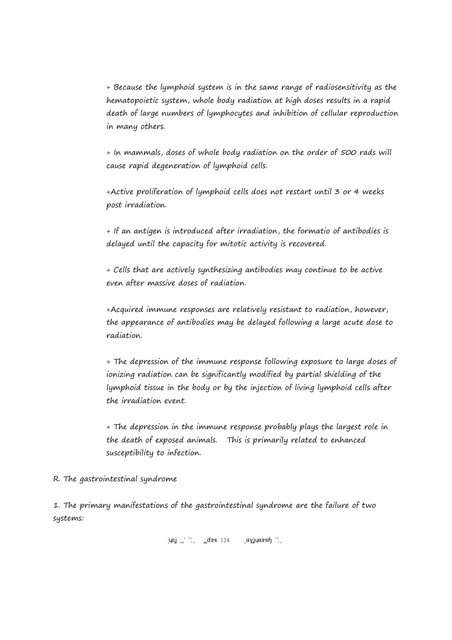+ Because the lymphoid system is in the same range of radiosensitivity as the hematopoietic system, whole body radiation at high doses results in a rapid death of large numbers of lymphocytes and inhibition of cellular reproduction in many others.

+ In mammals, doses of whole body radiation on the order of 500 rads will cause rapid degeneration of lymphoid cells.

+Active proliferation of lymphoid cells does not restart until 3 or 4 weeks post irradiation.

+ If an antigen is introduced after irradiation, the formatio of antibodies is delayed until the capacity for mitotic activity is recovered.

+ Cells that are actively synthesizing antibodies may continue to be active even after massive doses of radiation.

+Acquired immune responses are relatively resistant to radiation, however, the appearance of antibodies may be delayed following a large acute dose to radiation.

+ The depression of the immune response following exposure to large doses of ionizing radiation can be significantly modified by partial shielding of the lymphoid tissue in the body or by the injection of living lymphoid cells after the irradiation event.

+ The depression in the immune response probably plays the largest role in the death of exposed animals. This is primarily related to enhanced susceptibility to infection.

R. The gastrointestinal syndrome

1. The primary manifestations of the gastrointestinal syndrome are the failure of two systems:

 $\left[\mathsf{u}\mathsf{g}\right]$   $\left[\mathsf{u}\right]$   $\left[\mathsf{g}\right]$   $\left[\mathsf{g}\right]$   $\left[\mathsf{g}\right]$   $\left[\mathsf{g}\right]$   $\left[\mathsf{g}\right]$   $\left[\mathsf{g}\right]$   $\left[\mathsf{g}\right]$   $\left[\mathsf{g}\right]$   $\left[\mathsf{g}\right]$   $\left[\mathsf{g}\right]$   $\left[\mathsf{g}\right]$   $\left[\mathsf{g}\right]$   $\left[\mathsf{g}\right]$   $\left[\mathsf{g}\right]$   $\left[\mathsf{g$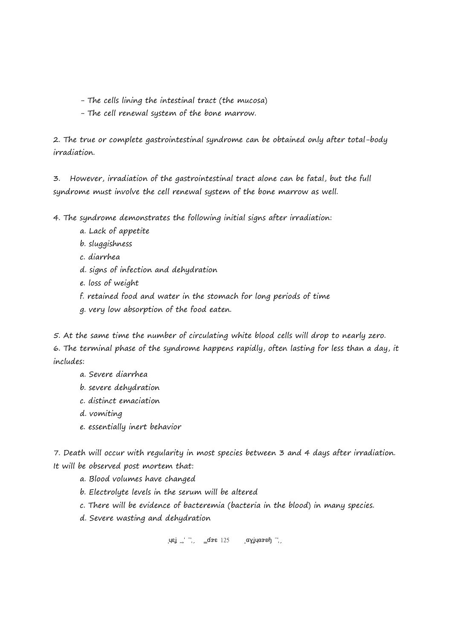- The cells lining the intestinal tract (the mucosa)
- The cell renewal system of the bone marrow.

2. The true or complete gastrointestinal syndrome can be obtained only after total-body irradiation.

3. However, irradiation of the gastrointestinal tract alone can be fatal, but the full syndrome must involve the cell renewal system of the bone marrow as well.

4. The syndrome demonstrates the following initial signs after irradiation:

- a. Lack of appetite
- b. sluggishness
- c. diarrhea
- d. signs of infection and dehydration
- e. loss of weight
- f. retained food and water in the stomach for long periods of time
- g. very low absorption of the food eaten.

5. At the same time the number of circulating white blood cells will drop to nearly zero.

6. The terminal phase of the syndrome happens rapidly, often lasting for less than a day, it includes:

# a. Severe diarrhea

- b. severe dehydration
- c. distinct emaciation
- d. vomiting
- e. essentially inert behavior

7. Death will occur with regularity in most species between 3 and 4 days after irradiation. It will be observed post mortem that:

- a. Blood volumes have changed
- b. Electrolyte levels in the serum will be altered
- c. There will be evidence of bacteremia (bacteria in the blood) in many species.
- d. Severe wasting and dehydration

 $\mu$ ej 2017 Page 125 Copyright 2017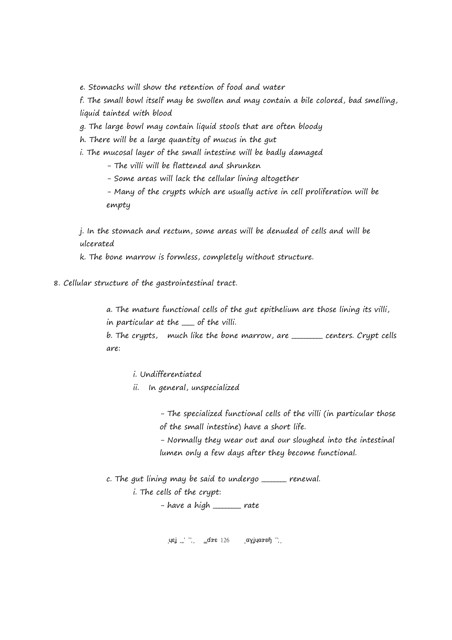e. Stomachs will show the retention of food and water

f. The small bowl itself may be swollen and may contain a bile colored, bad smelling, liquid tainted with blood

g. The large bowl may contain liquid stools that are often bloody

h. There will be a large quantity of mucus in the gut

i. The mucosal layer of the small intestine will be badly damaged

- The villi will be flattened and shrunken

- Some areas will lack the cellular lining altogether

- Many of the crypts which are usually active in cell proliferation will be empty

j. In the stomach and rectum, some areas will be denuded of cells and will be ulcerated

k. The bone marrow is formless, completely without structure.

8. Cellular structure of the gastrointestinal tract.

a. The mature functional cells of the gut epithelium are those lining its villi, in particular at the <u>search of</u> the villi.

b. The crypts, much like the bone marrow, are <u>electores.</u> Crypt cells are:

i. Undifferentiated

ii. In general, unspecialized

- The specialized functional cells of the villi (in particular those of the small intestine) have a short life.

- Normally they wear out and our sloughed into the intestinal lumen only a few days after they become functional.

c. The gut lining may be said to undergo \_\_\_\_\_\_\_\_ renewal.

i. The cells of the crypt:

 $-$  have a high  $\frac{1}{\sqrt{1-\frac{1}{n}}}\$  rate

 $\mu$ εί 2017 Φε $\mu$ αγίνια 2017 Ραγένια 2017 Ραγένια 2017 Ραγένια 2017 Ραγένια 2017 Ραγένια 2017 Ραγένια 2017 Ραγένια 2017 Ραγένια 2017 Ραγένια 2017 Ραγένια 2017 Ραγένια 2017 Ραγένια 2017 Ραγένια 2017 Ραγένια 2017 Ραγένια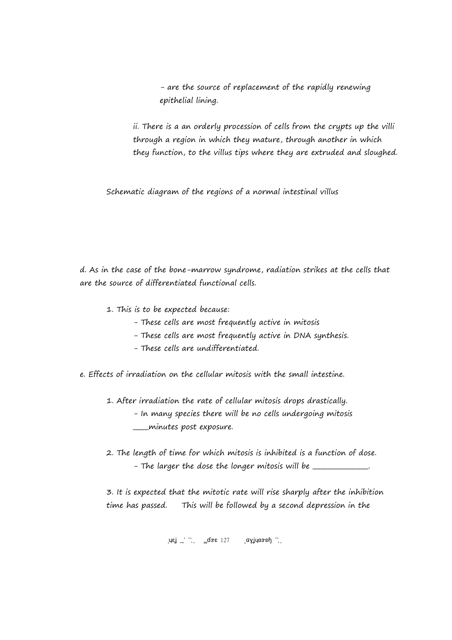- are the source of replacement of the rapidly renewing epithelial lining.

ii. There is a an orderly procession of cells from the crypts up the villi through a region in which they mature, through another in which they function, to the villus tips where they are extruded and sloughed.

Schematic diagram of the regions of a normal intestinal villus

d. As in the case of the bone-marrow syndrome, radiation strikes at the cells that are the source of differentiated functional cells.

- 1. This is to be expected because:
	- These cells are most frequently active in mitosis
	- These cells are most frequently active in DNA synthesis.
	- These cells are undifferentiated.
- e. Effects of irradiation on the cellular mitosis with the small intestine.
	- 1. After irradiation the rate of cellular mitosis drops drastically. - In many species there will be no cells undergoing mitosis \_\_\_\_\_minutes post exposure.
	- 2. The length of time for which mitosis is inhibited is a function of dose. - The larger the dose the longer mitosis will be \_\_\_\_\_\_\_\_\_\_\_\_\_.

3. It is expected that the mitotic rate will rise sharply after the inhibition time has passed. This will be followed by a second depression in the

 $\left[\begin{array}{ccc} \text{I} & -1 \\ \text{I} & \text{I} \end{array}\right]$   $\left[\begin{array}{ccc} \text{I} & \text{I} & \text{I} \\ \text{I} & \text{I} & \text{I} \end{array}\right]$   $\left[\begin{array}{ccc} \text{I} & \text{I} & \text{I} \\ \text{I} & \text{I} & \text{I} \end{array}\right]$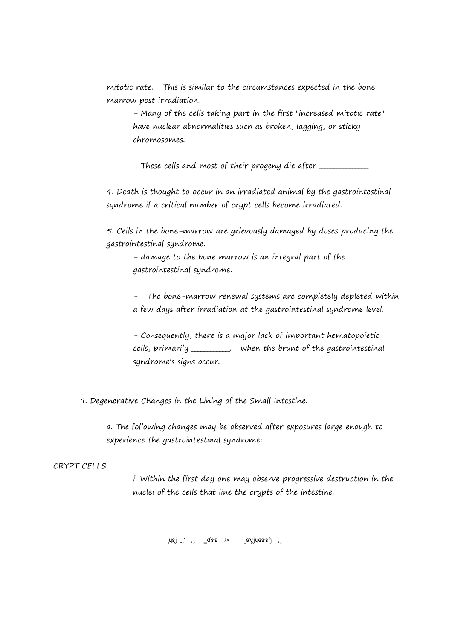mitotic rate. This is similar to the circumstances expected in the bone marrow post irradiation.

- Many of the cells taking part in the first "increased mitotic rate" have nuclear abnormalities such as broken, lagging, or sticky chromosomes.

- These cells and most of their progeny die after \_\_\_\_\_\_\_\_\_\_\_\_\_\_\_\_\_\_\_\_\_\_\_\_\_\_\_\_\_\_\_

4. Death is thought to occur in an irradiated animal by the gastrointestinal syndrome if a critical number of crypt cells become irradiated.

5. Cells in the bone-marrow are grievously damaged by doses producing the gastrointestinal syndrome.

- damage to the bone marrow is an integral part of the gastrointestinal syndrome.

- The bone-marrow renewal systems are completely depleted within a few days after irradiation at the gastrointestinal syndrome level.

- Consequently, there is a major lack of important hematopoietic cells, primarily \_\_\_\_\_\_\_\_\_\_\_\_, when the brunt of the gastrointestinal syndrome's signs occur.

9. Degenerative Changes in the Lining of the Small Intestine.

a. The following changes may be observed after exposures large enough to experience the gastrointestinal syndrome:

## CRYPT CELLS

i. Within the first day one may observe progressive destruction in the nuclei of the cells that line the crypts of the intestine.

 $\mu$ ej 2017 Page 128 Copyright 2017 Page 128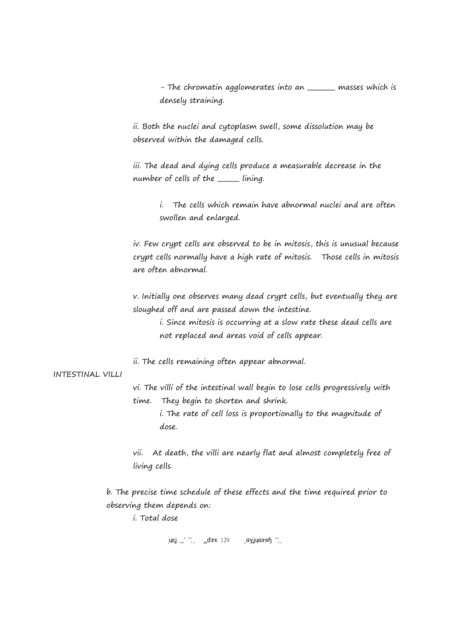- The chromatin agglomerates into an \_\_\_\_\_\_\_ masses which is densely straining.

ii. Both the nuclei and cytoplasm swell, some dissolution may be observed within the damaged cells.

iii. The dead and dying cells produce a measurable decrease in the number of cells of the \_\_\_\_\_\_\_ lining.

> i. The cells which remain have abnormal nuclei and are often swollen and enlarged.

iv. Few crypt cells are observed to be in mitosis, this is unusual because crypt cells normally have a high rate of mitosis. Those cells in mitosis are often abnormal.

v. Initially one observes many dead crypt cells, but eventually they are sloughed off and are passed down the intestine.

i. Since mitosis is occurring at a slow rate these dead cells are not replaced and areas void of cells appear.

ii. The cells remaining often appear abnormal.

#### INTESTINAL VILLI

vi. The villi of the intestinal wall begin to lose cells progressively with time. They begin to shorten and shrink.

i. The rate of cell loss is proportionally to the magnitude of dose.

vii. At death, the villi are nearly flat and almost completely free of living cells.

b. The precise time schedule of these effects and the time required prior to observing them depends on:

i. Total dose

 $\text{Re} \int \text{Re} \int \text{Im} \int \text{Im} \mathbf{E}$  129  $\text{Im} \int \text{Im} \mathbf{E}$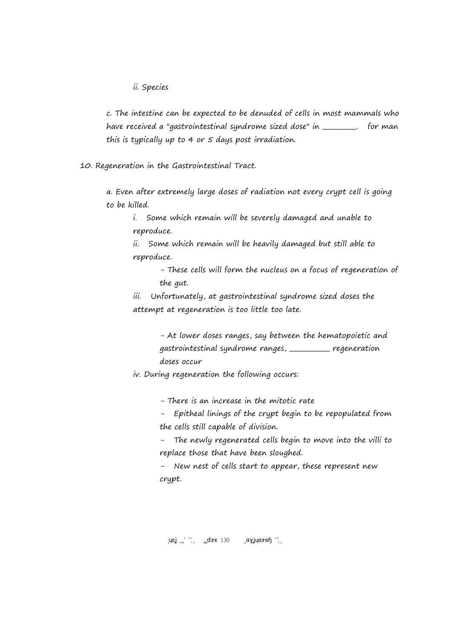ii. Species

c. The intestine can be expected to be denuded of cells in most mammals who have received a "gastrointestinal syndrome sized dose" in \_\_\_\_\_\_\_\_. for man this is typically up to 4 or 5 days post irradiation.

10. Regeneration in the Gastrointestinal Tract.

a. Even after extremely large doses of radiation not every crypt cell is going to be killed.

i. Some which remain will be severely damaged and unable to reproduce.

 ii. Some which remain will be heavily damaged but still able to reproduce.

> - These cells will form the nucleus on a focus of regeneration of the gut.

iii. Unfortunately, at gastrointestinal syndrome sized doses the attempt at regeneration is too little too late.

> - At lower doses ranges, say between the hematopoietic and gastrointestinal syndrome ranges, \_\_\_\_\_\_\_\_\_\_\_\_\_ regeneration doses occur

iv. During regeneration the following occurs:

- There is an increase in the mitotic rate

Epitheal linings of the crypt begin to be repopulated from the cells still capable of division.

The newly regenerated cells begin to move into the villi to replace those that have been sloughed.

New nest of cells start to appear, these represent new crypt.

 $\text{Lqs}_{\text{L}}$   $\text{L}$   $\text{L}$   $\text{L}$   $\text{L}$   $\text{L}$   $\text{L}$   $\text{L}$   $\text{L}$   $\text{L}$   $\text{L}$   $\text{L}$   $\text{L}$   $\text{L}$   $\text{L}$   $\text{L}$   $\text{L}$   $\text{L}$   $\text{L}$   $\text{L}$   $\text{L}$   $\text{L}$   $\text{L}$   $\text{L}$   $\text{L}$   $\text{L}$   $\text{L}$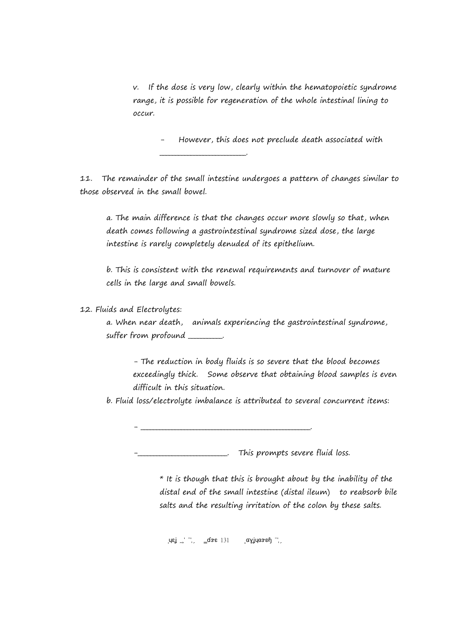v. If the dose is very low, clearly within the hematopoietic syndrome range, it is possible for regeneration of the whole intestinal lining to occur.

However, this does not preclude death associated with

11. The remainder of the small intestine undergoes a pattern of changes similar to those observed in the small bowel.

\_\_\_\_\_\_\_\_\_\_\_\_\_\_\_\_\_\_\_\_\_\_\_\_\_\_\_\_.

a. The main difference is that the changes occur more slowly so that, when death comes following a gastrointestinal syndrome sized dose, the large intestine is rarely completely denuded of its epithelium.

b. This is consistent with the renewal requirements and turnover of mature cells in the large and small bowels.

12. Fluids and Electrolytes:

a. When near death, animals experiencing the gastrointestinal syndrome, suffer from profound \_\_\_\_\_\_\_\_.

- The reduction in body fluids is so severe that the blood becomes exceedingly thick. Some observe that obtaining blood samples is even difficult in this situation.

b. Fluid loss/electrolyte imbalance is attributed to several concurrent items:

- \_\_\_\_\_\_\_\_\_\_\_\_\_\_\_\_\_\_\_\_\_\_\_\_\_\_\_\_\_\_\_\_\_\_\_\_\_\_\_\_\_\_\_\_\_\_\_\_\_\_\_\_\_\_\_.

 $\overline{\phantom{a}}$  This prompts severe fluid loss.

 $*$  It is though that this is brought about by the inability of the distal end of the small intestine (distal ileum) to reabsorb bile salts and the resulting irritation of the colon by these salts.

 $\text{Re} \int \text{Re} \int \text{Im} \int \text{Im} \left[ \text{Im} \left[ \text{Im} \left[ \text{Im} \left[ \text{Im} \right] \right] \text{Im} \left[ \text{Im} \left[ \text{Im} \left[ \text{Im} \right] \right] \right] \right] \text{Im} \left[ \text{Im} \left[ \text{Im} \left[ \text{Im} \left[ \text{Im} \left[ \text{Im} \left[ \text{Im} \left[ \text{Im} \left[ \text{Im} \left[ \text{Im} \left[ \text{Im} \left[ \text{Im} \left[ \text{Im} \left[ \text{Im} \left[ \text{$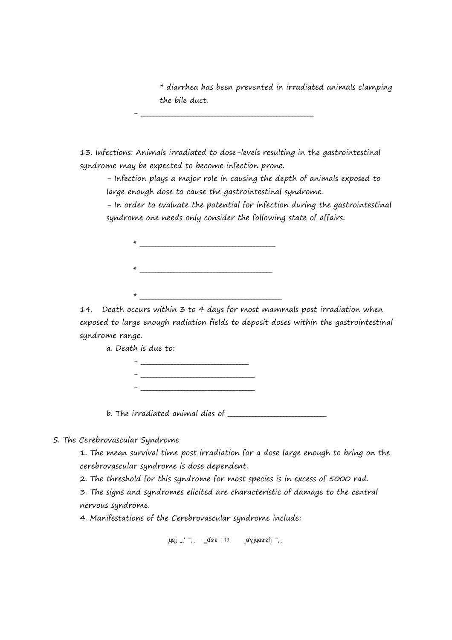\* diarrhea has been prevented in irradiated animals clamping the bile duct.

13. Infections: Animals irradiated to dose-levels resulting in the gastrointestinal syndrome may be expected to become infection prone.

- \_\_\_\_\_\_\_\_\_\_\_\_\_\_\_\_\_\_\_\_\_\_\_\_\_\_\_\_\_\_\_\_\_\_\_\_\_\_\_\_\_\_\_\_\_\_\_\_\_\_\_\_\_\_\_\_

- Infection plays a major role in causing the depth of animals exposed to large enough dose to cause the gastrointestinal syndrome.

- In order to evaluate the potential for infection during the gastrointestinal syndrome one needs only consider the following state of affairs:

\* \_\_\_\_\_\_\_\_\_\_\_\_\_\_\_\_\_\_\_\_\_\_\_\_\_\_\_\_\_\_\_\_\_\_\_\_\_\_\_\_\_\_\_\_ \* \_\_\_\_\_\_\_\_\_\_\_\_\_\_\_\_\_\_\_\_\_\_\_\_\_\_\_\_\_\_\_\_\_\_\_\_\_\_\_\_\_\_\_  $\star$ 

14. Death occurs within 3 to 4 days for most mammals post irradiation when exposed to large enough radiation fields to deposit doses within the gastrointestinal syndrome range.

a. Death is due to:

- \_\_\_\_\_\_\_\_\_\_\_\_\_\_\_\_\_\_\_\_\_\_\_\_\_\_\_\_\_\_\_\_\_\_\_ - \_\_\_\_\_\_\_\_\_\_\_\_\_\_\_\_\_\_\_\_\_\_\_\_\_\_\_\_\_\_\_\_\_\_\_\_\_ - \_\_\_\_\_\_\_\_\_\_\_\_\_\_\_\_\_\_\_\_\_\_\_\_\_\_\_\_\_\_\_\_\_\_\_\_\_

b. The irradiated animal dies of

## S. The Cerebrovascular Syndrome

1. The mean survival time post irradiation for a dose large enough to bring on the cerebrovascular syndrome is dose dependent.

2. The threshold for this syndrome for most species is in excess of 5000 rad.

3. The signs and syndromes elicited are characteristic of damage to the central nervous syndrome.

4. Manifestations of the Cerebrovascular syndrome include:

 $\text{Im} \left( \text{Im} \left( \text{Im} \left( \text{Im} \left( \text{Im} \left( \text{Im} \left( \text{Im} \left( \text{Im} \left( \text{Im} \left( \text{Im} \left( \text{Im} \left( \text{Im} \left( \text{Im} \left( \text{Im} \left( \text{Im} \left( \text{Im} \left( \text{Im} \left( \text{Im} \left( \text{Im} \left( \text{Im} \left( \text{Im} \left( \text{Im} \left( \text{Im} \left( \text{Im} \left( \text{Im} \left( \text{Im} \left( \text{Im} \left( \text{Im$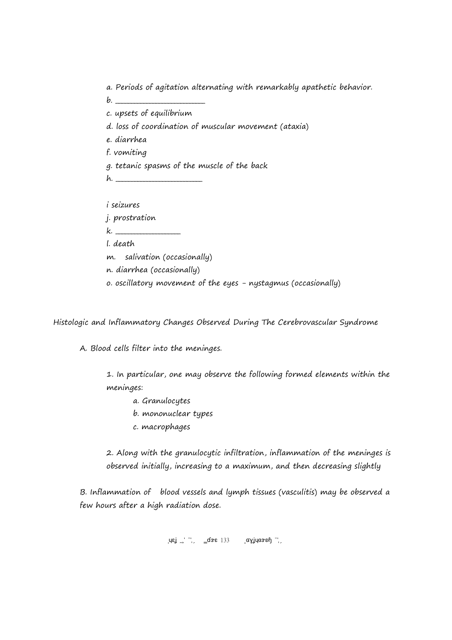a. Periods of agitation alternating with remarkably apathetic behavior.

- $b.$ c. upsets of equilibrium
- d. loss of coordination of muscular movement (ataxia)
- e. diarrhea
- f. vomiting
- g. tetanic spasms of the muscle of the back
- h. \_\_\_\_\_\_\_\_\_\_\_\_\_\_\_\_\_\_\_\_\_\_\_\_\_\_\_\_

i seizures

j. prostration

 $k.$ 

l. death

- m. salivation (occasionally)
- n. diarrhea (occasionally)
- o. oscillatory movement of the eyes nystagmus (occasionally)

Histologic and Inflammatory Changes Observed During The Cerebrovascular Syndrome

A. Blood cells filter into the meninges.

1. In particular, one may observe the following formed elements within the meninges:

- a. Granulocytes
- b. mononuclear types
- c. macrophages

2. Along with the granulocytic infiltration, inflammation of the meninges is observed initially, increasing to a maximum, and then decreasing slightly

B. Inflammation of blood vessels and lymph tissues (vasculitis) may be observed a few hours after a high radiation dose.

 $\left\langle \mathsf{u}\mathsf{g}\right\rangle _{\mathsf{u}}$   $\left\langle \mathsf{u}\right\rangle _{\mathsf{u}}$   $\left\langle \mathsf{g}\mathsf{g}\mathsf{g}\right\rangle _{\mathsf{u}}$   $\left\langle \mathsf{g}\right\rangle _{\mathsf{u}}$   $\left\langle \mathsf{g}\right\rangle _{\mathsf{u}}$   $\left\langle \mathsf{g}\right\rangle _{\mathsf{u}}$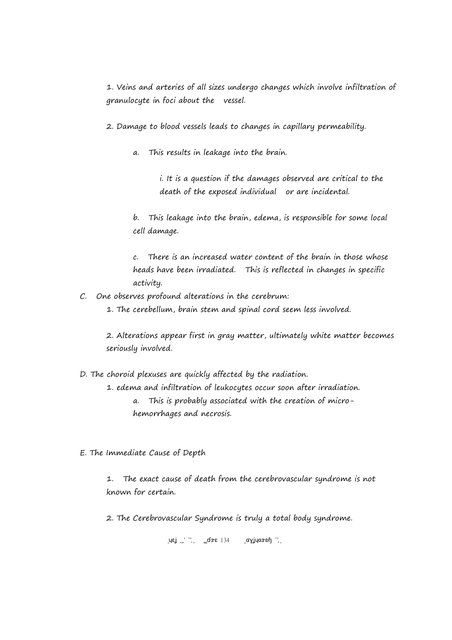1. Veins and arteries of all sizes undergo changes which involve infiltration of granulocyte in foci about the vessel.

2. Damage to blood vessels leads to changes in capillary permeability.

a. This results in leakage into the brain.

i. It is a question if the damages observed are critical to the death of the exposed individual or are incidental.

b. This leakage into the brain, edema, is responsible for some local cell damage.

c. There is an increased water content of the brain in those whose heads have been irradiated. This is reflected in changes in specific activity.

- C. One observes profound alterations in the cerebrum:
	- 1. The cerebellum, brain stem and spinal cord seem less involved.

2. Alterations appear first in gray matter, ultimately white matter becomes seriously involved.

- D. The choroid plexuses are quickly affected by the radiation. 1. edema and infiltration of leukocytes occur soon after irradiation. a. This is probably associated with the creation of microhemorrhages and necrosis.
- E. The Immediate Cause of Depth

1. The exact cause of death from the cerebrovascular syndrome is not known for certain.

2. The Cerebrovascular Syndrome is truly a total body syndrome.

 $\left[\begin{array}{ccc} \text{I} & \text{I} & \text{I} \\ \text{I} & \text{I} & \text{I} \end{array}\right]$   $\left[\begin{array}{ccc} \text{I} & \text{I} & \text{I} \\ \text{I} & \text{I} & \text{I} \end{array}\right]$   $\left[\begin{array}{ccc} \text{I} & \text{I} & \text{I} \\ \text{I} & \text{I} & \text{I} \end{array}\right]$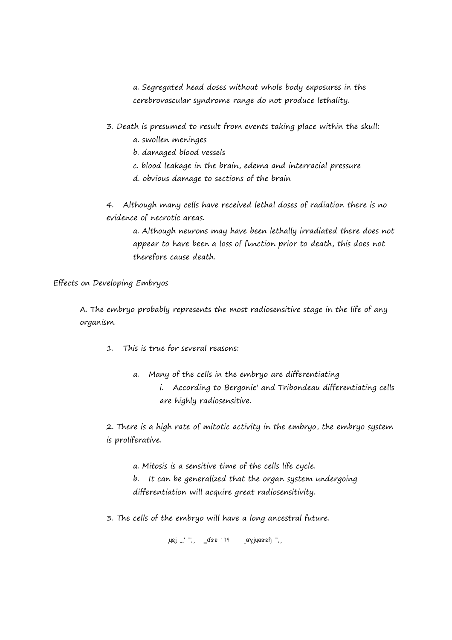a. Segregated head doses without whole body exposures in the cerebrovascular syndrome range do not produce lethality.

- 3. Death is presumed to result from events taking place within the skull:
	- a. swollen meninges
	- b. damaged blood vessels
	- c. blood leakage in the brain, edema and interracial pressure
	- d. obvious damage to sections of the brain

4. Although many cells have received lethal doses of radiation there is no evidence of necrotic areas.

a. Although neurons may have been lethally irradiated there does not appear to have been a loss of function prior to death, this does not therefore cause death.

Effects on Developing Embryos

A. The embryo probably represents the most radiosensitive stage in the life of any organism.

- 1. This is true for several reasons:
	- a. Many of the cells in the embryo are differentiating i. According to Bergonie' and Tribondeau differentiating cells are highly radiosensitive.

2. There is a high rate of mitotic activity in the embryo, the embryo system is proliferative.

a. Mitosis is a sensitive time of the cells life cycle. b. It can be generalized that the organ system undergoing differentiation will acquire great radiosensitivity.

3. The cells of the embryo will have a long ancestral future.

 $\mu$ ej 2017 Page 135 Copyright 2017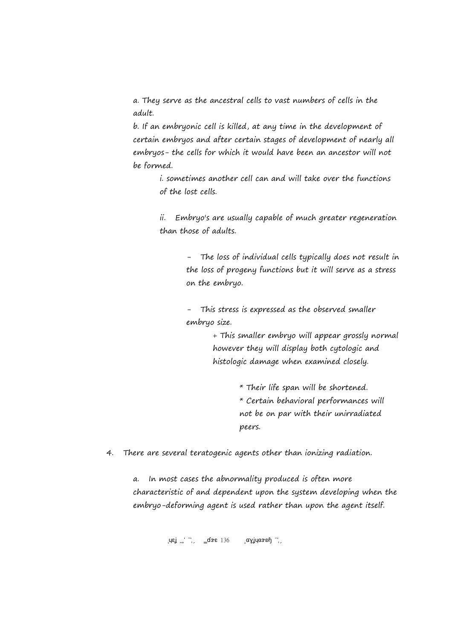a. They serve as the ancestral cells to vast numbers of cells in the adult.

b. If an embryonic cell is killed, at any time in the development of certain embryos and after certain stages of development of nearly all embryos- the cells for which it would have been an ancestor will not be formed.

> i. sometimes another cell can and will take over the functions of the lost cells.

ii. Embryo's are usually capable of much greater regeneration than those of adults.

> - The loss of individual cells typically does not result in the loss of progeny functions but it will serve as a stress on the embryo.

- This stress is expressed as the observed smaller embryo size.

> + This smaller embryo will appear grossly normal however they will display both cytologic and histologic damage when examined closely.

> > \* Their life span will be shortened. \* Certain behavioral performances will not be on par with their unirradiated

peers.

4. There are several teratogenic agents other than ionizing radiation.

a. In most cases the abnormality produced is often more characteristic of and dependent upon the system developing when the embryo-deforming agent is used rather than upon the agent itself.

 $\mu$ ej 2017 Page 136 Copyright 2017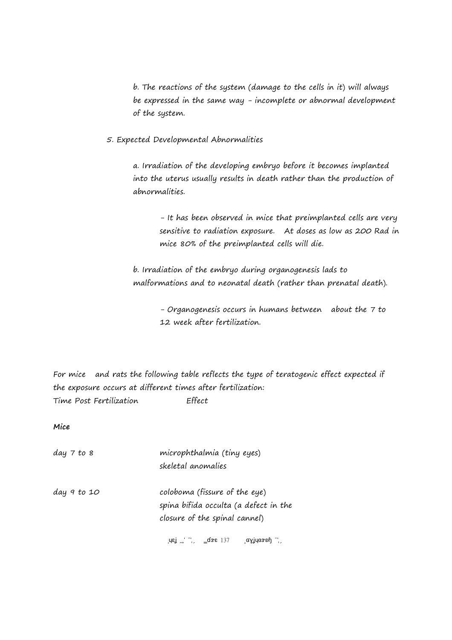b. The reactions of the system (damage to the cells in it) will always be expressed in the same way - incomplete or abnormal development of the system.

5. Expected Developmental Abnormalities

a. Irradiation of the developing embryo before it becomes implanted into the uterus usually results in death rather than the production of abnormalities.

- It has been observed in mice that preimplanted cells are very sensitive to radiation exposure. At doses as low as 200 Rad in mice 80% of the preimplanted cells will die.

b. Irradiation of the embryo during organogenesis lads to malformations and to neonatal death (rather than prenatal death).

> - Organogenesis occurs in humans between about the 7 to 12 week after fertilization.

For mice and rats the following table reflects the type of teratogenic effect expected if the exposure occurs at different times after fertilization: Time Post Fertilization Effect

**Mice**

| day 7 to 8  | microphthalmia (tiny eyes)<br>skeletal anomalies                                                                                                                                                                                |
|-------------|---------------------------------------------------------------------------------------------------------------------------------------------------------------------------------------------------------------------------------|
| day 9 to 10 | coloboma (fissure of the eye)<br>spina bifida occulta (a defect in the<br>closure of the spinal cannel)                                                                                                                         |
|             | $\mu$ εί (1, 1, 2018) της αγίνασε της ενευρώνης της ενευρώνης της ενευρώνης της ενευρώνης της ενευρώνης της ενευρώνης της ενευρώνης της ενευρώνης της ενευρώνης της ενευρώνης της ενευρώνης της ενευρώνης της ενευρώνης της ενε |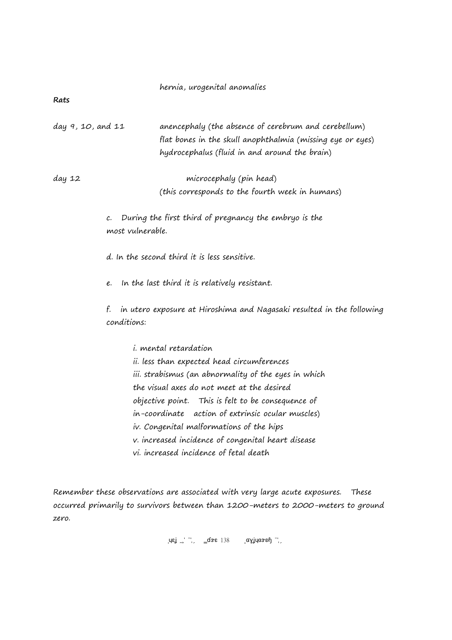|  | hernia, urogenital anomalies |
|--|------------------------------|
|  |                              |

#### **Rats**

| day 9, 10, and 11 | anencephaly (the absence of cerebrum and cerebellum)       |
|-------------------|------------------------------------------------------------|
|                   | flat bones in the skull anophthalmia (missing eye or eyes) |
|                   | hydrocephalus (fluid in and around the brain)              |

day 12 microcephaly (pin head) (this corresponds to the fourth week in humans)

> c. During the first third of pregnancy the embryo is the most vulnerable.

d. In the second third it is less sensitive.

e. In the last third it is relatively resistant.

f. in utero exposure at Hiroshima and Nagasaki resulted in the following conditions:

i. mental retardation ii. less than expected head circumferences iii. strabismus (an abnormality of the eyes in which the visual axes do not meet at the desired objective point. This is felt to be consequence of in-coordinate action of extrinsic ocular muscles) iv. Congenital malformations of the hips v. increased incidence of congenital heart disease vi. increased incidence of fetal death

Remember these observations are associated with very large acute exposures. These occurred primarily to survivors between than 1200-meters to 2000-meters to ground zero.

 $\left\langle \mathsf{u}\mathsf{g}\right\rangle_{\mathsf{u}}$   $\left\langle \mathsf{u}\right\rangle_{\mathsf{u}}$   $\left\langle \mathsf{g}\mathsf{g}\mathsf{g}\right\rangle_{\mathsf{u}}$   $\left\langle \mathsf{g}\mathsf{g}\right\rangle_{\mathsf{u}}$   $\left\langle \mathsf{g}\right\rangle_{\mathsf{u}}$   $\left\langle \mathsf{g}\right\rangle_{\mathsf{u}}$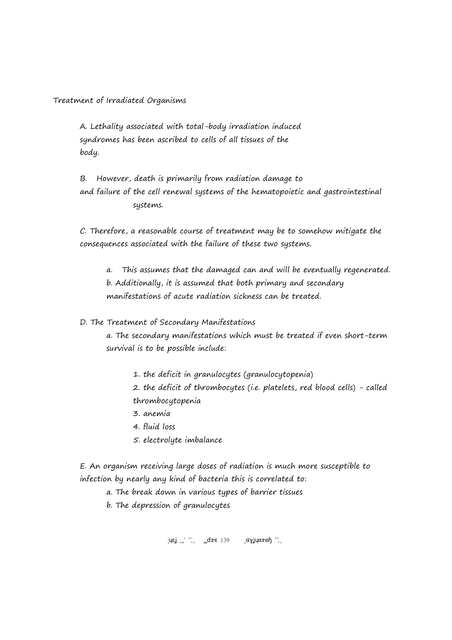Treatment of Irradiated Organisms

A. Lethality associated with total-body irradiation induced syndromes has been ascribed to cells of all tissues of the body.

B. However, death is primarily from radiation damage to and failure of the cell renewal systems of the hematopoietic and gastrointestinal systems.

C. Therefore, a reasonable course of treatment may be to somehow mitigate the consequences associated with the failure of these two systems.

a. This assumes that the damaged can and will be eventually regenerated. b. Additionally, it is assumed that both primary and secondary manifestations of acute radiation sickness can be treated.

D. The Treatment of Secondary Manifestations

a. The secondary manifestations which must be treated if even short-term survival is to be possible include:

1. the deficit in granulocytes (granulocytopenia)

2. the deficit of thrombocytes (i.e. platelets, red blood cells) - called thrombocytopenia

- 3. anemia
- 4. fluid loss
- 5. electrolyte imbalance

E. An organism receiving large doses of radiation is much more susceptible to infection by nearly any kind of bacteria this is correlated to:

a. The break down in various types of barrier tissues

b. The depression of granulocytes

 $\mu$ ej 2017 Page 139 Copyright 2017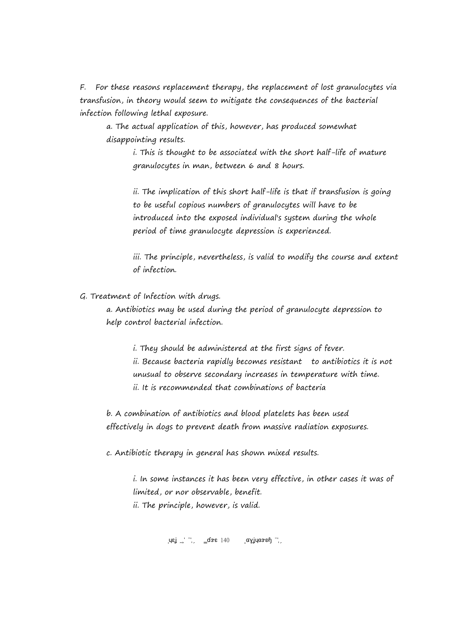F. For these reasons replacement therapy, the replacement of lost granulocytes via transfusion, in theory would seem to mitigate the consequences of the bacterial infection following lethal exposure.

a. The actual application of this, however, has produced somewhat disappointing results.

i. This is thought to be associated with the short half-life of mature granulocytes in man, between 6 and 8 hours.

ii. The implication of this short half-life is that if transfusion is going to be useful copious numbers of granulocytes will have to be introduced into the exposed individual's system during the whole period of time granulocyte depression is experienced.

iii. The principle, nevertheless, is valid to modify the course and extent of infection.

G. Treatment of Infection with drugs.

a. Antibiotics may be used during the period of granulocyte depression to help control bacterial infection.

i. They should be administered at the first signs of fever. ii. Because bacteria rapidly becomes resistant to antibiotics it is not unusual to observe secondary increases in temperature with time. ii. It is recommended that combinations of bacteria

b. A combination of antibiotics and blood platelets has been used effectively in dogs to prevent death from massive radiation exposures.

c. Antibiotic therapy in general has shown mixed results.

i. In some instances it has been very effective, in other cases it was of limited, or nor observable, benefit. ii. The principle, however, is valid.

 $\mu$ εί 2017 Page 140 Copyright 2017 Page 140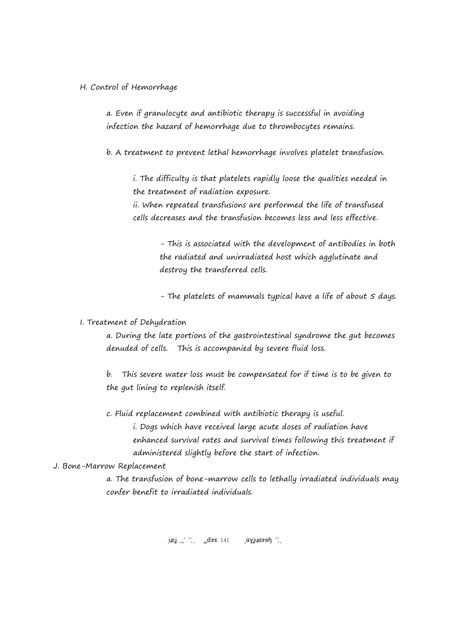## H. Control of Hemorrhage

a. Even if granulocyte and antibiotic therapy is successful in avoiding infection the hazard of hemorrhage due to thrombocytes remains.

b. A treatment to prevent lethal hemorrhage involves platelet transfusion.

i. The difficulty is that platelets rapidly loose the qualities needed in the treatment of radiation exposure.

ii. When repeated transfusions are performed the life of transfused cells decreases and the transfusion becomes less and less effective.

> - This is associated with the development of antibodies in both the radiated and unirradiated host which agglutinate and destroy the transferred cells.

> - The platelets of mammals typical have a life of about 5 days.

# I. Treatment of Dehydration

a. During the late portions of the gastrointestinal syndrome the gut becomes denuded of cells. This is accompanied by severe fluid loss.

b. This severe water loss must be compensated for if time is to be given to the gut lining to replenish itself.

c. Fluid replacement combined with antibiotic therapy is useful. i. Dogs which have received large acute doses of radiation have enhanced survival rates and survival times following this treatment if administered slightly before the start of infection.

#### J. Bone-Marrow Replacement

a. The transfusion of bone-marrow cells to lethally irradiated individuals may confer benefit to irradiated individuals.

 $\mu$ εί 2017 Φε $\mu$ ο 2017 Ραγίνια 2017 Ραγ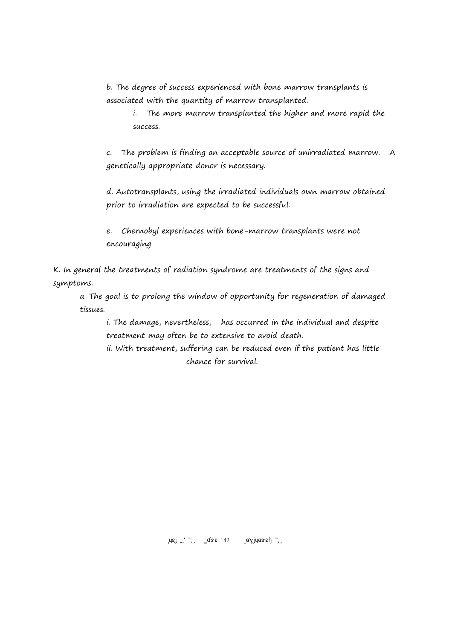b. The degree of success experienced with bone marrow transplants is associated with the quantity of marrow transplanted.

i. The more marrow transplanted the higher and more rapid the success.

c. The problem is finding an acceptable source of unirradiated marrow. A genetically appropriate donor is necessary.

d. Autotransplants, using the irradiated individuals own marrow obtained prior to irradiation are expected to be successful.

e. Chernobyl experiences with bone-marrow transplants were not encouraging

K. In general the treatments of radiation syndrome are treatments of the signs and symptoms.

a. The goal is to prolong the window of opportunity for regeneration of damaged tissues.

i. The damage, nevertheless, has occurred in the individual and despite treatment may often be to extensive to avoid death.

ii. With treatment, suffering can be reduced even if the patient has little chance for survival.